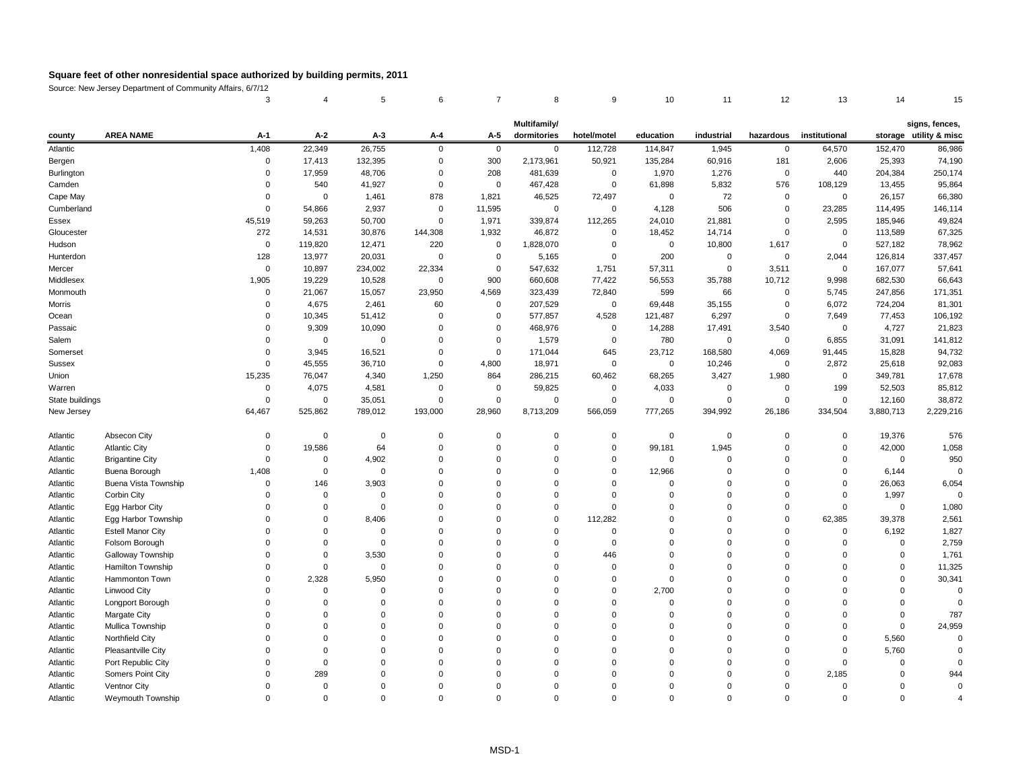Source: New Jersey Department of Community Affairs, 6/7/12

| 3     4     5     6     7     8     9     10     11     12     13     14     15 |  |  |  |  |  |  |
|---------------------------------------------------------------------------------|--|--|--|--|--|--|

|  | iigns, fences |  |
|--|---------------|--|
|  |               |  |
|  |               |  |

| <b>AREA NAME</b><br>$A-2$<br>$A-1$<br>$A-3$<br>$A-4$<br>$A-5$<br>dormitories<br>hotel/motel<br>education<br>industrial<br>institutional<br>storage utility & misc<br>hazardous<br>county<br>86,986<br>Atlantic<br>1,408<br>22,349<br>26,755<br>$\mathbf 0$<br>$\overline{0}$<br>112,728<br>114,847<br>1,945<br>$\mathbf 0$<br>64,570<br>152,470<br>$\mathbf 0$<br>300<br>2,173,961<br>181<br>2,606<br>74,190<br>0<br>17,413<br>132,395<br>$\mathbf 0$<br>50,921<br>135,284<br>60,916<br>25,393<br>Bergen<br>250,174<br>Burlington<br>17,959<br>48,706<br>208<br>481,639<br>1,970<br>1,276<br>440<br>204,384<br>0<br>$\mathbf 0$<br>$\overline{0}$<br>0<br>540<br>41,927<br>$\overline{0}$<br>61,898<br>5,832<br>576<br>13,455<br>95,864<br>Camden<br>$\overline{0}$<br>467,428<br>$\mathbf 0$<br>108,129<br>$\Omega$<br>Cape May<br>878<br>1,821<br>72,497<br>72<br>66,380<br>1,461<br>46,525<br>26,157<br>$\mathbf 0$<br>0<br>0<br>$\overline{0}$<br>0<br>11,595<br>506<br>146,114<br>Cumberland<br>54,866<br>2,937<br>$\mathbf 0$<br>4,128<br>23,285<br>114,495<br>$\Omega$<br>$\overline{0}$<br>$\overline{0}$<br>0<br>45,519<br>59,263<br>1,971<br>112,265<br>24,010<br>2,595<br>49,824<br>50,700<br>$\overline{0}$<br>339,874<br>21,881<br>185,946<br>Essex<br>$\mathbf 0$<br>Gloucester<br>272<br>1,932<br>67,325<br>14,531<br>30,876<br>144,308<br>46,872<br>18,452<br>14,714<br>$\mathbf 0$<br>113,589<br>$\mathbf 0$<br>$\overline{0}$<br>Hudson<br>220<br>78,962<br>119,820<br>12,471<br>1,828,070<br>10,800<br>1,617<br>$\mathbf 0$<br>527,182<br>$\mathbf 0$<br>0<br>0<br>0<br>200<br>2,044<br>Hunterdon<br>128<br>13,977<br>20,031<br>$\mathbf 0$<br>5,165<br>$\mathbf 0$<br>$\mathbf 0$<br>126,814<br>337,457<br>$\mathbf 0$<br>0<br>3,511<br>57,641<br>$\mathbf 0$<br>10,897<br>234,002<br>22,334<br>547,632<br>1,751<br>57,311<br>167,077<br>Mercer<br>$\mathbf 0$<br>0<br>0<br>Middlesex<br>19,229<br>900<br>66,643<br>1,905<br>10,528<br>$\mathbf 0$<br>660,608<br>77,422<br>56,553<br>35,788<br>10,712<br>9,998<br>682,530<br>4,569<br>66<br>21,067<br>23,950<br>599<br>5,745<br>247,856<br>171,351<br>Monmouth<br>15,057<br>323,439<br>72,840<br>0<br>0<br>4,675<br>81,301<br>Morris<br>2,461<br>60<br>207,529<br>$\mathbf 0$<br>69,448<br>35,155<br>6,072<br>724,204<br>$\overline{0}$<br>$\mathbf 0$<br>0<br>10,345<br>4,528<br>6,297<br>7,649<br>106,192<br>Ocean<br>51,412<br>577,857<br>121,487<br>0<br>77,453<br>0<br>$\overline{0}$<br>0<br>4,727<br>21,823<br>Passaic<br>9,309<br>10,090<br>468,976<br>14,288<br>3,540<br>$\Omega$<br>$\mathbf 0$<br>17,491<br>0<br>0<br>0<br>Salem<br>1,579<br>780<br>31,091<br>141,812<br>6,855<br>$\overline{0}$<br>$\Omega$<br>0<br>$\overline{0}$<br>0<br>0<br>0<br>0<br>94,732<br>Somerset<br>3,945<br>16,521<br>171,044<br>645<br>23,712<br>168,580<br>4,069<br>15,828<br>$\Omega$<br>0<br>$\Omega$<br>91,445<br>45,555<br>4,800<br>2,872<br>92,083<br>Sussex<br>36,710<br>$\overline{0}$<br>18,971<br>25,618<br>$\Omega$<br>$\mathbf 0$<br>0<br>10,246<br>0<br>Union<br>15,235<br>864<br>68,265<br>1,980<br>17,678<br>76,047<br>4,340<br>1,250<br>286,215<br>60,462<br>3,427<br>349,781<br>0<br>4,075<br>85,812<br>Warren<br>4,581<br>59,825<br>4,033<br>199<br>52,503<br>0<br>$\mathbf 0$<br>-0<br>0<br>0<br>0<br>State buildings<br>38,872<br>$\mathbf 0$<br>35,051<br>$\overline{0}$<br>$\mathbf 0$<br>$\mathbf 0$<br>0<br>$\mathbf 0$<br>$\boldsymbol{0}$<br>$\mathbf 0$<br>12,160<br>$\mathbf 0$<br>$\Omega$<br>28,960<br>64,467<br>525,862<br>789,012<br>193,000<br>8,713,209<br>566,059<br>777,265<br>394,992<br>26,186<br>334,504<br>3,880,713<br>2,229,216<br>New Jersey<br>19,376<br>576<br>Atlantic<br>Absecon City<br>$\mathbf 0$<br>$\mathbf 0$<br>$\mathbf 0$<br>$\mathbf 0$<br>0<br>$\mathbf 0$<br>$\boldsymbol{0}$<br>0<br>$\overline{0}$<br>0<br>$\overline{0}$<br><b>Atlantic City</b><br>19,586<br>64<br>99,181<br>42,000<br>1,058<br>Atlantic<br>$\mathbf 0$<br>1,945<br>$\Omega$<br>0<br>$\Omega$<br>$\mathbf 0$<br>$\Omega$<br>$\overline{0}$<br>4,902<br>950<br><b>Brigantine City</b><br>0<br>0<br>$\mathbf 0$<br>Atlantic<br>$\mathbf 0$<br>$\Omega$<br>0<br>0<br>$\overline{0}$<br>$\Omega$<br>$\Omega$<br>6,144<br>$\overline{0}$<br>Buena Borough<br>1,408<br>12,966<br>Atlantic<br>$\mathbf{0}$<br>$\overline{0}$<br>$\Omega$<br>$\Omega$<br>0<br>$\Omega$<br>0<br>Buena Vista Township<br>3,903<br>26,063<br>6,054<br>146<br>Atlantic<br>$\Omega$<br>0<br>$\Omega$<br>Corbin City<br>1,997<br>Atlantic<br>Egg Harbor City<br>1,080<br>Atlantic<br>$\Omega$<br>2,561<br>Egg Harbor Township<br>8,406<br>112,282<br>62,385<br>Atlantic<br>39,378<br><b>Estell Manor City</b><br>1,827<br>6,192<br>Atlantic<br>$\Omega$<br>2,759<br>Folsom Borough<br>Atlantic<br><b>Galloway Township</b><br>3,530<br>1,761<br>Atlantic<br>446<br>Hamilton Township<br>11,325<br>Atlantic<br>Hammonton Town<br>2,328<br>5,950<br>30,341<br>Atlantic<br>Linwood City<br>2,700<br>Atlantic<br>Longport Borough<br>Atlantic<br><b>Margate City</b><br>787<br>Atlantic<br>24,959<br>Mullica Township<br>Atlantic<br>Northfield City<br>5,560<br>Atlantic<br>Pleasantville City<br>5,760<br>Atlantic<br>Port Republic City<br>Atlantic<br>Somers Point City<br>289<br>2,185<br>Atlantic<br>944<br><b>Ventnor City</b><br>Atlantic<br>Weymouth Township<br>Atlantic<br>$\Omega$<br>$\Omega$<br>$\Omega$<br>$\Omega$<br>$\Omega$<br>0<br>0<br>$\Omega$ |  |  |  | Multifamily/ |  |  |  | signs, fences, |
|---------------------------------------------------------------------------------------------------------------------------------------------------------------------------------------------------------------------------------------------------------------------------------------------------------------------------------------------------------------------------------------------------------------------------------------------------------------------------------------------------------------------------------------------------------------------------------------------------------------------------------------------------------------------------------------------------------------------------------------------------------------------------------------------------------------------------------------------------------------------------------------------------------------------------------------------------------------------------------------------------------------------------------------------------------------------------------------------------------------------------------------------------------------------------------------------------------------------------------------------------------------------------------------------------------------------------------------------------------------------------------------------------------------------------------------------------------------------------------------------------------------------------------------------------------------------------------------------------------------------------------------------------------------------------------------------------------------------------------------------------------------------------------------------------------------------------------------------------------------------------------------------------------------------------------------------------------------------------------------------------------------------------------------------------------------------------------------------------------------------------------------------------------------------------------------------------------------------------------------------------------------------------------------------------------------------------------------------------------------------------------------------------------------------------------------------------------------------------------------------------------------------------------------------------------------------------------------------------------------------------------------------------------------------------------------------------------------------------------------------------------------------------------------------------------------------------------------------------------------------------------------------------------------------------------------------------------------------------------------------------------------------------------------------------------------------------------------------------------------------------------------------------------------------------------------------------------------------------------------------------------------------------------------------------------------------------------------------------------------------------------------------------------------------------------------------------------------------------------------------------------------------------------------------------------------------------------------------------------------------------------------------------------------------------------------------------------------------------------------------------------------------------------------------------------------------------------------------------------------------------------------------------------------------------------------------------------------------------------------------------------------------------------------------------------------------------------------------------------------------------------------------------------------------------------------------------------------------------------------------------------------------------------------------------------------------------------------------------------------------------------------------------------------------------------------------------------------------------------------------------------------------------------------------------------------------------------------------------------------------------------------------------------------------------------------------------------------------------------------------------------------------------------------------------------------------------------------------------------------------------------------------------------------------------------------------------------------------------------------------------------------------------------------------------------------------------------------------------------------------------------------------------------------------------------------------------------------------------------------------------------------------------------------------------------------------------------------------------------------------------------------------------------------------------------|--|--|--|--------------|--|--|--|----------------|
|                                                                                                                                                                                                                                                                                                                                                                                                                                                                                                                                                                                                                                                                                                                                                                                                                                                                                                                                                                                                                                                                                                                                                                                                                                                                                                                                                                                                                                                                                                                                                                                                                                                                                                                                                                                                                                                                                                                                                                                                                                                                                                                                                                                                                                                                                                                                                                                                                                                                                                                                                                                                                                                                                                                                                                                                                                                                                                                                                                                                                                                                                                                                                                                                                                                                                                                                                                                                                                                                                                                                                                                                                                                                                                                                                                                                                                                                                                                                                                                                                                                                                                                                                                                                                                                                                                                                                                                                                                                                                                                                                                                                                                                                                                                                                                                                                                                                                                                                                                                                                                                                                                                                                                                                                                                                                                                                                                                                                                 |  |  |  |              |  |  |  |                |
|                                                                                                                                                                                                                                                                                                                                                                                                                                                                                                                                                                                                                                                                                                                                                                                                                                                                                                                                                                                                                                                                                                                                                                                                                                                                                                                                                                                                                                                                                                                                                                                                                                                                                                                                                                                                                                                                                                                                                                                                                                                                                                                                                                                                                                                                                                                                                                                                                                                                                                                                                                                                                                                                                                                                                                                                                                                                                                                                                                                                                                                                                                                                                                                                                                                                                                                                                                                                                                                                                                                                                                                                                                                                                                                                                                                                                                                                                                                                                                                                                                                                                                                                                                                                                                                                                                                                                                                                                                                                                                                                                                                                                                                                                                                                                                                                                                                                                                                                                                                                                                                                                                                                                                                                                                                                                                                                                                                                                                 |  |  |  |              |  |  |  |                |
|                                                                                                                                                                                                                                                                                                                                                                                                                                                                                                                                                                                                                                                                                                                                                                                                                                                                                                                                                                                                                                                                                                                                                                                                                                                                                                                                                                                                                                                                                                                                                                                                                                                                                                                                                                                                                                                                                                                                                                                                                                                                                                                                                                                                                                                                                                                                                                                                                                                                                                                                                                                                                                                                                                                                                                                                                                                                                                                                                                                                                                                                                                                                                                                                                                                                                                                                                                                                                                                                                                                                                                                                                                                                                                                                                                                                                                                                                                                                                                                                                                                                                                                                                                                                                                                                                                                                                                                                                                                                                                                                                                                                                                                                                                                                                                                                                                                                                                                                                                                                                                                                                                                                                                                                                                                                                                                                                                                                                                 |  |  |  |              |  |  |  |                |
|                                                                                                                                                                                                                                                                                                                                                                                                                                                                                                                                                                                                                                                                                                                                                                                                                                                                                                                                                                                                                                                                                                                                                                                                                                                                                                                                                                                                                                                                                                                                                                                                                                                                                                                                                                                                                                                                                                                                                                                                                                                                                                                                                                                                                                                                                                                                                                                                                                                                                                                                                                                                                                                                                                                                                                                                                                                                                                                                                                                                                                                                                                                                                                                                                                                                                                                                                                                                                                                                                                                                                                                                                                                                                                                                                                                                                                                                                                                                                                                                                                                                                                                                                                                                                                                                                                                                                                                                                                                                                                                                                                                                                                                                                                                                                                                                                                                                                                                                                                                                                                                                                                                                                                                                                                                                                                                                                                                                                                 |  |  |  |              |  |  |  |                |
|                                                                                                                                                                                                                                                                                                                                                                                                                                                                                                                                                                                                                                                                                                                                                                                                                                                                                                                                                                                                                                                                                                                                                                                                                                                                                                                                                                                                                                                                                                                                                                                                                                                                                                                                                                                                                                                                                                                                                                                                                                                                                                                                                                                                                                                                                                                                                                                                                                                                                                                                                                                                                                                                                                                                                                                                                                                                                                                                                                                                                                                                                                                                                                                                                                                                                                                                                                                                                                                                                                                                                                                                                                                                                                                                                                                                                                                                                                                                                                                                                                                                                                                                                                                                                                                                                                                                                                                                                                                                                                                                                                                                                                                                                                                                                                                                                                                                                                                                                                                                                                                                                                                                                                                                                                                                                                                                                                                                                                 |  |  |  |              |  |  |  |                |
|                                                                                                                                                                                                                                                                                                                                                                                                                                                                                                                                                                                                                                                                                                                                                                                                                                                                                                                                                                                                                                                                                                                                                                                                                                                                                                                                                                                                                                                                                                                                                                                                                                                                                                                                                                                                                                                                                                                                                                                                                                                                                                                                                                                                                                                                                                                                                                                                                                                                                                                                                                                                                                                                                                                                                                                                                                                                                                                                                                                                                                                                                                                                                                                                                                                                                                                                                                                                                                                                                                                                                                                                                                                                                                                                                                                                                                                                                                                                                                                                                                                                                                                                                                                                                                                                                                                                                                                                                                                                                                                                                                                                                                                                                                                                                                                                                                                                                                                                                                                                                                                                                                                                                                                                                                                                                                                                                                                                                                 |  |  |  |              |  |  |  |                |
|                                                                                                                                                                                                                                                                                                                                                                                                                                                                                                                                                                                                                                                                                                                                                                                                                                                                                                                                                                                                                                                                                                                                                                                                                                                                                                                                                                                                                                                                                                                                                                                                                                                                                                                                                                                                                                                                                                                                                                                                                                                                                                                                                                                                                                                                                                                                                                                                                                                                                                                                                                                                                                                                                                                                                                                                                                                                                                                                                                                                                                                                                                                                                                                                                                                                                                                                                                                                                                                                                                                                                                                                                                                                                                                                                                                                                                                                                                                                                                                                                                                                                                                                                                                                                                                                                                                                                                                                                                                                                                                                                                                                                                                                                                                                                                                                                                                                                                                                                                                                                                                                                                                                                                                                                                                                                                                                                                                                                                 |  |  |  |              |  |  |  |                |
|                                                                                                                                                                                                                                                                                                                                                                                                                                                                                                                                                                                                                                                                                                                                                                                                                                                                                                                                                                                                                                                                                                                                                                                                                                                                                                                                                                                                                                                                                                                                                                                                                                                                                                                                                                                                                                                                                                                                                                                                                                                                                                                                                                                                                                                                                                                                                                                                                                                                                                                                                                                                                                                                                                                                                                                                                                                                                                                                                                                                                                                                                                                                                                                                                                                                                                                                                                                                                                                                                                                                                                                                                                                                                                                                                                                                                                                                                                                                                                                                                                                                                                                                                                                                                                                                                                                                                                                                                                                                                                                                                                                                                                                                                                                                                                                                                                                                                                                                                                                                                                                                                                                                                                                                                                                                                                                                                                                                                                 |  |  |  |              |  |  |  |                |
|                                                                                                                                                                                                                                                                                                                                                                                                                                                                                                                                                                                                                                                                                                                                                                                                                                                                                                                                                                                                                                                                                                                                                                                                                                                                                                                                                                                                                                                                                                                                                                                                                                                                                                                                                                                                                                                                                                                                                                                                                                                                                                                                                                                                                                                                                                                                                                                                                                                                                                                                                                                                                                                                                                                                                                                                                                                                                                                                                                                                                                                                                                                                                                                                                                                                                                                                                                                                                                                                                                                                                                                                                                                                                                                                                                                                                                                                                                                                                                                                                                                                                                                                                                                                                                                                                                                                                                                                                                                                                                                                                                                                                                                                                                                                                                                                                                                                                                                                                                                                                                                                                                                                                                                                                                                                                                                                                                                                                                 |  |  |  |              |  |  |  |                |
|                                                                                                                                                                                                                                                                                                                                                                                                                                                                                                                                                                                                                                                                                                                                                                                                                                                                                                                                                                                                                                                                                                                                                                                                                                                                                                                                                                                                                                                                                                                                                                                                                                                                                                                                                                                                                                                                                                                                                                                                                                                                                                                                                                                                                                                                                                                                                                                                                                                                                                                                                                                                                                                                                                                                                                                                                                                                                                                                                                                                                                                                                                                                                                                                                                                                                                                                                                                                                                                                                                                                                                                                                                                                                                                                                                                                                                                                                                                                                                                                                                                                                                                                                                                                                                                                                                                                                                                                                                                                                                                                                                                                                                                                                                                                                                                                                                                                                                                                                                                                                                                                                                                                                                                                                                                                                                                                                                                                                                 |  |  |  |              |  |  |  |                |
|                                                                                                                                                                                                                                                                                                                                                                                                                                                                                                                                                                                                                                                                                                                                                                                                                                                                                                                                                                                                                                                                                                                                                                                                                                                                                                                                                                                                                                                                                                                                                                                                                                                                                                                                                                                                                                                                                                                                                                                                                                                                                                                                                                                                                                                                                                                                                                                                                                                                                                                                                                                                                                                                                                                                                                                                                                                                                                                                                                                                                                                                                                                                                                                                                                                                                                                                                                                                                                                                                                                                                                                                                                                                                                                                                                                                                                                                                                                                                                                                                                                                                                                                                                                                                                                                                                                                                                                                                                                                                                                                                                                                                                                                                                                                                                                                                                                                                                                                                                                                                                                                                                                                                                                                                                                                                                                                                                                                                                 |  |  |  |              |  |  |  |                |
|                                                                                                                                                                                                                                                                                                                                                                                                                                                                                                                                                                                                                                                                                                                                                                                                                                                                                                                                                                                                                                                                                                                                                                                                                                                                                                                                                                                                                                                                                                                                                                                                                                                                                                                                                                                                                                                                                                                                                                                                                                                                                                                                                                                                                                                                                                                                                                                                                                                                                                                                                                                                                                                                                                                                                                                                                                                                                                                                                                                                                                                                                                                                                                                                                                                                                                                                                                                                                                                                                                                                                                                                                                                                                                                                                                                                                                                                                                                                                                                                                                                                                                                                                                                                                                                                                                                                                                                                                                                                                                                                                                                                                                                                                                                                                                                                                                                                                                                                                                                                                                                                                                                                                                                                                                                                                                                                                                                                                                 |  |  |  |              |  |  |  |                |
|                                                                                                                                                                                                                                                                                                                                                                                                                                                                                                                                                                                                                                                                                                                                                                                                                                                                                                                                                                                                                                                                                                                                                                                                                                                                                                                                                                                                                                                                                                                                                                                                                                                                                                                                                                                                                                                                                                                                                                                                                                                                                                                                                                                                                                                                                                                                                                                                                                                                                                                                                                                                                                                                                                                                                                                                                                                                                                                                                                                                                                                                                                                                                                                                                                                                                                                                                                                                                                                                                                                                                                                                                                                                                                                                                                                                                                                                                                                                                                                                                                                                                                                                                                                                                                                                                                                                                                                                                                                                                                                                                                                                                                                                                                                                                                                                                                                                                                                                                                                                                                                                                                                                                                                                                                                                                                                                                                                                                                 |  |  |  |              |  |  |  |                |
|                                                                                                                                                                                                                                                                                                                                                                                                                                                                                                                                                                                                                                                                                                                                                                                                                                                                                                                                                                                                                                                                                                                                                                                                                                                                                                                                                                                                                                                                                                                                                                                                                                                                                                                                                                                                                                                                                                                                                                                                                                                                                                                                                                                                                                                                                                                                                                                                                                                                                                                                                                                                                                                                                                                                                                                                                                                                                                                                                                                                                                                                                                                                                                                                                                                                                                                                                                                                                                                                                                                                                                                                                                                                                                                                                                                                                                                                                                                                                                                                                                                                                                                                                                                                                                                                                                                                                                                                                                                                                                                                                                                                                                                                                                                                                                                                                                                                                                                                                                                                                                                                                                                                                                                                                                                                                                                                                                                                                                 |  |  |  |              |  |  |  |                |
|                                                                                                                                                                                                                                                                                                                                                                                                                                                                                                                                                                                                                                                                                                                                                                                                                                                                                                                                                                                                                                                                                                                                                                                                                                                                                                                                                                                                                                                                                                                                                                                                                                                                                                                                                                                                                                                                                                                                                                                                                                                                                                                                                                                                                                                                                                                                                                                                                                                                                                                                                                                                                                                                                                                                                                                                                                                                                                                                                                                                                                                                                                                                                                                                                                                                                                                                                                                                                                                                                                                                                                                                                                                                                                                                                                                                                                                                                                                                                                                                                                                                                                                                                                                                                                                                                                                                                                                                                                                                                                                                                                                                                                                                                                                                                                                                                                                                                                                                                                                                                                                                                                                                                                                                                                                                                                                                                                                                                                 |  |  |  |              |  |  |  |                |
|                                                                                                                                                                                                                                                                                                                                                                                                                                                                                                                                                                                                                                                                                                                                                                                                                                                                                                                                                                                                                                                                                                                                                                                                                                                                                                                                                                                                                                                                                                                                                                                                                                                                                                                                                                                                                                                                                                                                                                                                                                                                                                                                                                                                                                                                                                                                                                                                                                                                                                                                                                                                                                                                                                                                                                                                                                                                                                                                                                                                                                                                                                                                                                                                                                                                                                                                                                                                                                                                                                                                                                                                                                                                                                                                                                                                                                                                                                                                                                                                                                                                                                                                                                                                                                                                                                                                                                                                                                                                                                                                                                                                                                                                                                                                                                                                                                                                                                                                                                                                                                                                                                                                                                                                                                                                                                                                                                                                                                 |  |  |  |              |  |  |  |                |
|                                                                                                                                                                                                                                                                                                                                                                                                                                                                                                                                                                                                                                                                                                                                                                                                                                                                                                                                                                                                                                                                                                                                                                                                                                                                                                                                                                                                                                                                                                                                                                                                                                                                                                                                                                                                                                                                                                                                                                                                                                                                                                                                                                                                                                                                                                                                                                                                                                                                                                                                                                                                                                                                                                                                                                                                                                                                                                                                                                                                                                                                                                                                                                                                                                                                                                                                                                                                                                                                                                                                                                                                                                                                                                                                                                                                                                                                                                                                                                                                                                                                                                                                                                                                                                                                                                                                                                                                                                                                                                                                                                                                                                                                                                                                                                                                                                                                                                                                                                                                                                                                                                                                                                                                                                                                                                                                                                                                                                 |  |  |  |              |  |  |  |                |
|                                                                                                                                                                                                                                                                                                                                                                                                                                                                                                                                                                                                                                                                                                                                                                                                                                                                                                                                                                                                                                                                                                                                                                                                                                                                                                                                                                                                                                                                                                                                                                                                                                                                                                                                                                                                                                                                                                                                                                                                                                                                                                                                                                                                                                                                                                                                                                                                                                                                                                                                                                                                                                                                                                                                                                                                                                                                                                                                                                                                                                                                                                                                                                                                                                                                                                                                                                                                                                                                                                                                                                                                                                                                                                                                                                                                                                                                                                                                                                                                                                                                                                                                                                                                                                                                                                                                                                                                                                                                                                                                                                                                                                                                                                                                                                                                                                                                                                                                                                                                                                                                                                                                                                                                                                                                                                                                                                                                                                 |  |  |  |              |  |  |  |                |
|                                                                                                                                                                                                                                                                                                                                                                                                                                                                                                                                                                                                                                                                                                                                                                                                                                                                                                                                                                                                                                                                                                                                                                                                                                                                                                                                                                                                                                                                                                                                                                                                                                                                                                                                                                                                                                                                                                                                                                                                                                                                                                                                                                                                                                                                                                                                                                                                                                                                                                                                                                                                                                                                                                                                                                                                                                                                                                                                                                                                                                                                                                                                                                                                                                                                                                                                                                                                                                                                                                                                                                                                                                                                                                                                                                                                                                                                                                                                                                                                                                                                                                                                                                                                                                                                                                                                                                                                                                                                                                                                                                                                                                                                                                                                                                                                                                                                                                                                                                                                                                                                                                                                                                                                                                                                                                                                                                                                                                 |  |  |  |              |  |  |  |                |
|                                                                                                                                                                                                                                                                                                                                                                                                                                                                                                                                                                                                                                                                                                                                                                                                                                                                                                                                                                                                                                                                                                                                                                                                                                                                                                                                                                                                                                                                                                                                                                                                                                                                                                                                                                                                                                                                                                                                                                                                                                                                                                                                                                                                                                                                                                                                                                                                                                                                                                                                                                                                                                                                                                                                                                                                                                                                                                                                                                                                                                                                                                                                                                                                                                                                                                                                                                                                                                                                                                                                                                                                                                                                                                                                                                                                                                                                                                                                                                                                                                                                                                                                                                                                                                                                                                                                                                                                                                                                                                                                                                                                                                                                                                                                                                                                                                                                                                                                                                                                                                                                                                                                                                                                                                                                                                                                                                                                                                 |  |  |  |              |  |  |  |                |
|                                                                                                                                                                                                                                                                                                                                                                                                                                                                                                                                                                                                                                                                                                                                                                                                                                                                                                                                                                                                                                                                                                                                                                                                                                                                                                                                                                                                                                                                                                                                                                                                                                                                                                                                                                                                                                                                                                                                                                                                                                                                                                                                                                                                                                                                                                                                                                                                                                                                                                                                                                                                                                                                                                                                                                                                                                                                                                                                                                                                                                                                                                                                                                                                                                                                                                                                                                                                                                                                                                                                                                                                                                                                                                                                                                                                                                                                                                                                                                                                                                                                                                                                                                                                                                                                                                                                                                                                                                                                                                                                                                                                                                                                                                                                                                                                                                                                                                                                                                                                                                                                                                                                                                                                                                                                                                                                                                                                                                 |  |  |  |              |  |  |  |                |
|                                                                                                                                                                                                                                                                                                                                                                                                                                                                                                                                                                                                                                                                                                                                                                                                                                                                                                                                                                                                                                                                                                                                                                                                                                                                                                                                                                                                                                                                                                                                                                                                                                                                                                                                                                                                                                                                                                                                                                                                                                                                                                                                                                                                                                                                                                                                                                                                                                                                                                                                                                                                                                                                                                                                                                                                                                                                                                                                                                                                                                                                                                                                                                                                                                                                                                                                                                                                                                                                                                                                                                                                                                                                                                                                                                                                                                                                                                                                                                                                                                                                                                                                                                                                                                                                                                                                                                                                                                                                                                                                                                                                                                                                                                                                                                                                                                                                                                                                                                                                                                                                                                                                                                                                                                                                                                                                                                                                                                 |  |  |  |              |  |  |  |                |
|                                                                                                                                                                                                                                                                                                                                                                                                                                                                                                                                                                                                                                                                                                                                                                                                                                                                                                                                                                                                                                                                                                                                                                                                                                                                                                                                                                                                                                                                                                                                                                                                                                                                                                                                                                                                                                                                                                                                                                                                                                                                                                                                                                                                                                                                                                                                                                                                                                                                                                                                                                                                                                                                                                                                                                                                                                                                                                                                                                                                                                                                                                                                                                                                                                                                                                                                                                                                                                                                                                                                                                                                                                                                                                                                                                                                                                                                                                                                                                                                                                                                                                                                                                                                                                                                                                                                                                                                                                                                                                                                                                                                                                                                                                                                                                                                                                                                                                                                                                                                                                                                                                                                                                                                                                                                                                                                                                                                                                 |  |  |  |              |  |  |  |                |
|                                                                                                                                                                                                                                                                                                                                                                                                                                                                                                                                                                                                                                                                                                                                                                                                                                                                                                                                                                                                                                                                                                                                                                                                                                                                                                                                                                                                                                                                                                                                                                                                                                                                                                                                                                                                                                                                                                                                                                                                                                                                                                                                                                                                                                                                                                                                                                                                                                                                                                                                                                                                                                                                                                                                                                                                                                                                                                                                                                                                                                                                                                                                                                                                                                                                                                                                                                                                                                                                                                                                                                                                                                                                                                                                                                                                                                                                                                                                                                                                                                                                                                                                                                                                                                                                                                                                                                                                                                                                                                                                                                                                                                                                                                                                                                                                                                                                                                                                                                                                                                                                                                                                                                                                                                                                                                                                                                                                                                 |  |  |  |              |  |  |  |                |
|                                                                                                                                                                                                                                                                                                                                                                                                                                                                                                                                                                                                                                                                                                                                                                                                                                                                                                                                                                                                                                                                                                                                                                                                                                                                                                                                                                                                                                                                                                                                                                                                                                                                                                                                                                                                                                                                                                                                                                                                                                                                                                                                                                                                                                                                                                                                                                                                                                                                                                                                                                                                                                                                                                                                                                                                                                                                                                                                                                                                                                                                                                                                                                                                                                                                                                                                                                                                                                                                                                                                                                                                                                                                                                                                                                                                                                                                                                                                                                                                                                                                                                                                                                                                                                                                                                                                                                                                                                                                                                                                                                                                                                                                                                                                                                                                                                                                                                                                                                                                                                                                                                                                                                                                                                                                                                                                                                                                                                 |  |  |  |              |  |  |  |                |
|                                                                                                                                                                                                                                                                                                                                                                                                                                                                                                                                                                                                                                                                                                                                                                                                                                                                                                                                                                                                                                                                                                                                                                                                                                                                                                                                                                                                                                                                                                                                                                                                                                                                                                                                                                                                                                                                                                                                                                                                                                                                                                                                                                                                                                                                                                                                                                                                                                                                                                                                                                                                                                                                                                                                                                                                                                                                                                                                                                                                                                                                                                                                                                                                                                                                                                                                                                                                                                                                                                                                                                                                                                                                                                                                                                                                                                                                                                                                                                                                                                                                                                                                                                                                                                                                                                                                                                                                                                                                                                                                                                                                                                                                                                                                                                                                                                                                                                                                                                                                                                                                                                                                                                                                                                                                                                                                                                                                                                 |  |  |  |              |  |  |  |                |
|                                                                                                                                                                                                                                                                                                                                                                                                                                                                                                                                                                                                                                                                                                                                                                                                                                                                                                                                                                                                                                                                                                                                                                                                                                                                                                                                                                                                                                                                                                                                                                                                                                                                                                                                                                                                                                                                                                                                                                                                                                                                                                                                                                                                                                                                                                                                                                                                                                                                                                                                                                                                                                                                                                                                                                                                                                                                                                                                                                                                                                                                                                                                                                                                                                                                                                                                                                                                                                                                                                                                                                                                                                                                                                                                                                                                                                                                                                                                                                                                                                                                                                                                                                                                                                                                                                                                                                                                                                                                                                                                                                                                                                                                                                                                                                                                                                                                                                                                                                                                                                                                                                                                                                                                                                                                                                                                                                                                                                 |  |  |  |              |  |  |  |                |
|                                                                                                                                                                                                                                                                                                                                                                                                                                                                                                                                                                                                                                                                                                                                                                                                                                                                                                                                                                                                                                                                                                                                                                                                                                                                                                                                                                                                                                                                                                                                                                                                                                                                                                                                                                                                                                                                                                                                                                                                                                                                                                                                                                                                                                                                                                                                                                                                                                                                                                                                                                                                                                                                                                                                                                                                                                                                                                                                                                                                                                                                                                                                                                                                                                                                                                                                                                                                                                                                                                                                                                                                                                                                                                                                                                                                                                                                                                                                                                                                                                                                                                                                                                                                                                                                                                                                                                                                                                                                                                                                                                                                                                                                                                                                                                                                                                                                                                                                                                                                                                                                                                                                                                                                                                                                                                                                                                                                                                 |  |  |  |              |  |  |  |                |
|                                                                                                                                                                                                                                                                                                                                                                                                                                                                                                                                                                                                                                                                                                                                                                                                                                                                                                                                                                                                                                                                                                                                                                                                                                                                                                                                                                                                                                                                                                                                                                                                                                                                                                                                                                                                                                                                                                                                                                                                                                                                                                                                                                                                                                                                                                                                                                                                                                                                                                                                                                                                                                                                                                                                                                                                                                                                                                                                                                                                                                                                                                                                                                                                                                                                                                                                                                                                                                                                                                                                                                                                                                                                                                                                                                                                                                                                                                                                                                                                                                                                                                                                                                                                                                                                                                                                                                                                                                                                                                                                                                                                                                                                                                                                                                                                                                                                                                                                                                                                                                                                                                                                                                                                                                                                                                                                                                                                                                 |  |  |  |              |  |  |  |                |
|                                                                                                                                                                                                                                                                                                                                                                                                                                                                                                                                                                                                                                                                                                                                                                                                                                                                                                                                                                                                                                                                                                                                                                                                                                                                                                                                                                                                                                                                                                                                                                                                                                                                                                                                                                                                                                                                                                                                                                                                                                                                                                                                                                                                                                                                                                                                                                                                                                                                                                                                                                                                                                                                                                                                                                                                                                                                                                                                                                                                                                                                                                                                                                                                                                                                                                                                                                                                                                                                                                                                                                                                                                                                                                                                                                                                                                                                                                                                                                                                                                                                                                                                                                                                                                                                                                                                                                                                                                                                                                                                                                                                                                                                                                                                                                                                                                                                                                                                                                                                                                                                                                                                                                                                                                                                                                                                                                                                                                 |  |  |  |              |  |  |  |                |
|                                                                                                                                                                                                                                                                                                                                                                                                                                                                                                                                                                                                                                                                                                                                                                                                                                                                                                                                                                                                                                                                                                                                                                                                                                                                                                                                                                                                                                                                                                                                                                                                                                                                                                                                                                                                                                                                                                                                                                                                                                                                                                                                                                                                                                                                                                                                                                                                                                                                                                                                                                                                                                                                                                                                                                                                                                                                                                                                                                                                                                                                                                                                                                                                                                                                                                                                                                                                                                                                                                                                                                                                                                                                                                                                                                                                                                                                                                                                                                                                                                                                                                                                                                                                                                                                                                                                                                                                                                                                                                                                                                                                                                                                                                                                                                                                                                                                                                                                                                                                                                                                                                                                                                                                                                                                                                                                                                                                                                 |  |  |  |              |  |  |  |                |
|                                                                                                                                                                                                                                                                                                                                                                                                                                                                                                                                                                                                                                                                                                                                                                                                                                                                                                                                                                                                                                                                                                                                                                                                                                                                                                                                                                                                                                                                                                                                                                                                                                                                                                                                                                                                                                                                                                                                                                                                                                                                                                                                                                                                                                                                                                                                                                                                                                                                                                                                                                                                                                                                                                                                                                                                                                                                                                                                                                                                                                                                                                                                                                                                                                                                                                                                                                                                                                                                                                                                                                                                                                                                                                                                                                                                                                                                                                                                                                                                                                                                                                                                                                                                                                                                                                                                                                                                                                                                                                                                                                                                                                                                                                                                                                                                                                                                                                                                                                                                                                                                                                                                                                                                                                                                                                                                                                                                                                 |  |  |  |              |  |  |  |                |
|                                                                                                                                                                                                                                                                                                                                                                                                                                                                                                                                                                                                                                                                                                                                                                                                                                                                                                                                                                                                                                                                                                                                                                                                                                                                                                                                                                                                                                                                                                                                                                                                                                                                                                                                                                                                                                                                                                                                                                                                                                                                                                                                                                                                                                                                                                                                                                                                                                                                                                                                                                                                                                                                                                                                                                                                                                                                                                                                                                                                                                                                                                                                                                                                                                                                                                                                                                                                                                                                                                                                                                                                                                                                                                                                                                                                                                                                                                                                                                                                                                                                                                                                                                                                                                                                                                                                                                                                                                                                                                                                                                                                                                                                                                                                                                                                                                                                                                                                                                                                                                                                                                                                                                                                                                                                                                                                                                                                                                 |  |  |  |              |  |  |  |                |
|                                                                                                                                                                                                                                                                                                                                                                                                                                                                                                                                                                                                                                                                                                                                                                                                                                                                                                                                                                                                                                                                                                                                                                                                                                                                                                                                                                                                                                                                                                                                                                                                                                                                                                                                                                                                                                                                                                                                                                                                                                                                                                                                                                                                                                                                                                                                                                                                                                                                                                                                                                                                                                                                                                                                                                                                                                                                                                                                                                                                                                                                                                                                                                                                                                                                                                                                                                                                                                                                                                                                                                                                                                                                                                                                                                                                                                                                                                                                                                                                                                                                                                                                                                                                                                                                                                                                                                                                                                                                                                                                                                                                                                                                                                                                                                                                                                                                                                                                                                                                                                                                                                                                                                                                                                                                                                                                                                                                                                 |  |  |  |              |  |  |  |                |
|                                                                                                                                                                                                                                                                                                                                                                                                                                                                                                                                                                                                                                                                                                                                                                                                                                                                                                                                                                                                                                                                                                                                                                                                                                                                                                                                                                                                                                                                                                                                                                                                                                                                                                                                                                                                                                                                                                                                                                                                                                                                                                                                                                                                                                                                                                                                                                                                                                                                                                                                                                                                                                                                                                                                                                                                                                                                                                                                                                                                                                                                                                                                                                                                                                                                                                                                                                                                                                                                                                                                                                                                                                                                                                                                                                                                                                                                                                                                                                                                                                                                                                                                                                                                                                                                                                                                                                                                                                                                                                                                                                                                                                                                                                                                                                                                                                                                                                                                                                                                                                                                                                                                                                                                                                                                                                                                                                                                                                 |  |  |  |              |  |  |  |                |
|                                                                                                                                                                                                                                                                                                                                                                                                                                                                                                                                                                                                                                                                                                                                                                                                                                                                                                                                                                                                                                                                                                                                                                                                                                                                                                                                                                                                                                                                                                                                                                                                                                                                                                                                                                                                                                                                                                                                                                                                                                                                                                                                                                                                                                                                                                                                                                                                                                                                                                                                                                                                                                                                                                                                                                                                                                                                                                                                                                                                                                                                                                                                                                                                                                                                                                                                                                                                                                                                                                                                                                                                                                                                                                                                                                                                                                                                                                                                                                                                                                                                                                                                                                                                                                                                                                                                                                                                                                                                                                                                                                                                                                                                                                                                                                                                                                                                                                                                                                                                                                                                                                                                                                                                                                                                                                                                                                                                                                 |  |  |  |              |  |  |  |                |
|                                                                                                                                                                                                                                                                                                                                                                                                                                                                                                                                                                                                                                                                                                                                                                                                                                                                                                                                                                                                                                                                                                                                                                                                                                                                                                                                                                                                                                                                                                                                                                                                                                                                                                                                                                                                                                                                                                                                                                                                                                                                                                                                                                                                                                                                                                                                                                                                                                                                                                                                                                                                                                                                                                                                                                                                                                                                                                                                                                                                                                                                                                                                                                                                                                                                                                                                                                                                                                                                                                                                                                                                                                                                                                                                                                                                                                                                                                                                                                                                                                                                                                                                                                                                                                                                                                                                                                                                                                                                                                                                                                                                                                                                                                                                                                                                                                                                                                                                                                                                                                                                                                                                                                                                                                                                                                                                                                                                                                 |  |  |  |              |  |  |  |                |
|                                                                                                                                                                                                                                                                                                                                                                                                                                                                                                                                                                                                                                                                                                                                                                                                                                                                                                                                                                                                                                                                                                                                                                                                                                                                                                                                                                                                                                                                                                                                                                                                                                                                                                                                                                                                                                                                                                                                                                                                                                                                                                                                                                                                                                                                                                                                                                                                                                                                                                                                                                                                                                                                                                                                                                                                                                                                                                                                                                                                                                                                                                                                                                                                                                                                                                                                                                                                                                                                                                                                                                                                                                                                                                                                                                                                                                                                                                                                                                                                                                                                                                                                                                                                                                                                                                                                                                                                                                                                                                                                                                                                                                                                                                                                                                                                                                                                                                                                                                                                                                                                                                                                                                                                                                                                                                                                                                                                                                 |  |  |  |              |  |  |  |                |
|                                                                                                                                                                                                                                                                                                                                                                                                                                                                                                                                                                                                                                                                                                                                                                                                                                                                                                                                                                                                                                                                                                                                                                                                                                                                                                                                                                                                                                                                                                                                                                                                                                                                                                                                                                                                                                                                                                                                                                                                                                                                                                                                                                                                                                                                                                                                                                                                                                                                                                                                                                                                                                                                                                                                                                                                                                                                                                                                                                                                                                                                                                                                                                                                                                                                                                                                                                                                                                                                                                                                                                                                                                                                                                                                                                                                                                                                                                                                                                                                                                                                                                                                                                                                                                                                                                                                                                                                                                                                                                                                                                                                                                                                                                                                                                                                                                                                                                                                                                                                                                                                                                                                                                                                                                                                                                                                                                                                                                 |  |  |  |              |  |  |  |                |
|                                                                                                                                                                                                                                                                                                                                                                                                                                                                                                                                                                                                                                                                                                                                                                                                                                                                                                                                                                                                                                                                                                                                                                                                                                                                                                                                                                                                                                                                                                                                                                                                                                                                                                                                                                                                                                                                                                                                                                                                                                                                                                                                                                                                                                                                                                                                                                                                                                                                                                                                                                                                                                                                                                                                                                                                                                                                                                                                                                                                                                                                                                                                                                                                                                                                                                                                                                                                                                                                                                                                                                                                                                                                                                                                                                                                                                                                                                                                                                                                                                                                                                                                                                                                                                                                                                                                                                                                                                                                                                                                                                                                                                                                                                                                                                                                                                                                                                                                                                                                                                                                                                                                                                                                                                                                                                                                                                                                                                 |  |  |  |              |  |  |  |                |
|                                                                                                                                                                                                                                                                                                                                                                                                                                                                                                                                                                                                                                                                                                                                                                                                                                                                                                                                                                                                                                                                                                                                                                                                                                                                                                                                                                                                                                                                                                                                                                                                                                                                                                                                                                                                                                                                                                                                                                                                                                                                                                                                                                                                                                                                                                                                                                                                                                                                                                                                                                                                                                                                                                                                                                                                                                                                                                                                                                                                                                                                                                                                                                                                                                                                                                                                                                                                                                                                                                                                                                                                                                                                                                                                                                                                                                                                                                                                                                                                                                                                                                                                                                                                                                                                                                                                                                                                                                                                                                                                                                                                                                                                                                                                                                                                                                                                                                                                                                                                                                                                                                                                                                                                                                                                                                                                                                                                                                 |  |  |  |              |  |  |  |                |
|                                                                                                                                                                                                                                                                                                                                                                                                                                                                                                                                                                                                                                                                                                                                                                                                                                                                                                                                                                                                                                                                                                                                                                                                                                                                                                                                                                                                                                                                                                                                                                                                                                                                                                                                                                                                                                                                                                                                                                                                                                                                                                                                                                                                                                                                                                                                                                                                                                                                                                                                                                                                                                                                                                                                                                                                                                                                                                                                                                                                                                                                                                                                                                                                                                                                                                                                                                                                                                                                                                                                                                                                                                                                                                                                                                                                                                                                                                                                                                                                                                                                                                                                                                                                                                                                                                                                                                                                                                                                                                                                                                                                                                                                                                                                                                                                                                                                                                                                                                                                                                                                                                                                                                                                                                                                                                                                                                                                                                 |  |  |  |              |  |  |  |                |
|                                                                                                                                                                                                                                                                                                                                                                                                                                                                                                                                                                                                                                                                                                                                                                                                                                                                                                                                                                                                                                                                                                                                                                                                                                                                                                                                                                                                                                                                                                                                                                                                                                                                                                                                                                                                                                                                                                                                                                                                                                                                                                                                                                                                                                                                                                                                                                                                                                                                                                                                                                                                                                                                                                                                                                                                                                                                                                                                                                                                                                                                                                                                                                                                                                                                                                                                                                                                                                                                                                                                                                                                                                                                                                                                                                                                                                                                                                                                                                                                                                                                                                                                                                                                                                                                                                                                                                                                                                                                                                                                                                                                                                                                                                                                                                                                                                                                                                                                                                                                                                                                                                                                                                                                                                                                                                                                                                                                                                 |  |  |  |              |  |  |  |                |
|                                                                                                                                                                                                                                                                                                                                                                                                                                                                                                                                                                                                                                                                                                                                                                                                                                                                                                                                                                                                                                                                                                                                                                                                                                                                                                                                                                                                                                                                                                                                                                                                                                                                                                                                                                                                                                                                                                                                                                                                                                                                                                                                                                                                                                                                                                                                                                                                                                                                                                                                                                                                                                                                                                                                                                                                                                                                                                                                                                                                                                                                                                                                                                                                                                                                                                                                                                                                                                                                                                                                                                                                                                                                                                                                                                                                                                                                                                                                                                                                                                                                                                                                                                                                                                                                                                                                                                                                                                                                                                                                                                                                                                                                                                                                                                                                                                                                                                                                                                                                                                                                                                                                                                                                                                                                                                                                                                                                                                 |  |  |  |              |  |  |  |                |
|                                                                                                                                                                                                                                                                                                                                                                                                                                                                                                                                                                                                                                                                                                                                                                                                                                                                                                                                                                                                                                                                                                                                                                                                                                                                                                                                                                                                                                                                                                                                                                                                                                                                                                                                                                                                                                                                                                                                                                                                                                                                                                                                                                                                                                                                                                                                                                                                                                                                                                                                                                                                                                                                                                                                                                                                                                                                                                                                                                                                                                                                                                                                                                                                                                                                                                                                                                                                                                                                                                                                                                                                                                                                                                                                                                                                                                                                                                                                                                                                                                                                                                                                                                                                                                                                                                                                                                                                                                                                                                                                                                                                                                                                                                                                                                                                                                                                                                                                                                                                                                                                                                                                                                                                                                                                                                                                                                                                                                 |  |  |  |              |  |  |  |                |
|                                                                                                                                                                                                                                                                                                                                                                                                                                                                                                                                                                                                                                                                                                                                                                                                                                                                                                                                                                                                                                                                                                                                                                                                                                                                                                                                                                                                                                                                                                                                                                                                                                                                                                                                                                                                                                                                                                                                                                                                                                                                                                                                                                                                                                                                                                                                                                                                                                                                                                                                                                                                                                                                                                                                                                                                                                                                                                                                                                                                                                                                                                                                                                                                                                                                                                                                                                                                                                                                                                                                                                                                                                                                                                                                                                                                                                                                                                                                                                                                                                                                                                                                                                                                                                                                                                                                                                                                                                                                                                                                                                                                                                                                                                                                                                                                                                                                                                                                                                                                                                                                                                                                                                                                                                                                                                                                                                                                                                 |  |  |  |              |  |  |  |                |
|                                                                                                                                                                                                                                                                                                                                                                                                                                                                                                                                                                                                                                                                                                                                                                                                                                                                                                                                                                                                                                                                                                                                                                                                                                                                                                                                                                                                                                                                                                                                                                                                                                                                                                                                                                                                                                                                                                                                                                                                                                                                                                                                                                                                                                                                                                                                                                                                                                                                                                                                                                                                                                                                                                                                                                                                                                                                                                                                                                                                                                                                                                                                                                                                                                                                                                                                                                                                                                                                                                                                                                                                                                                                                                                                                                                                                                                                                                                                                                                                                                                                                                                                                                                                                                                                                                                                                                                                                                                                                                                                                                                                                                                                                                                                                                                                                                                                                                                                                                                                                                                                                                                                                                                                                                                                                                                                                                                                                                 |  |  |  |              |  |  |  |                |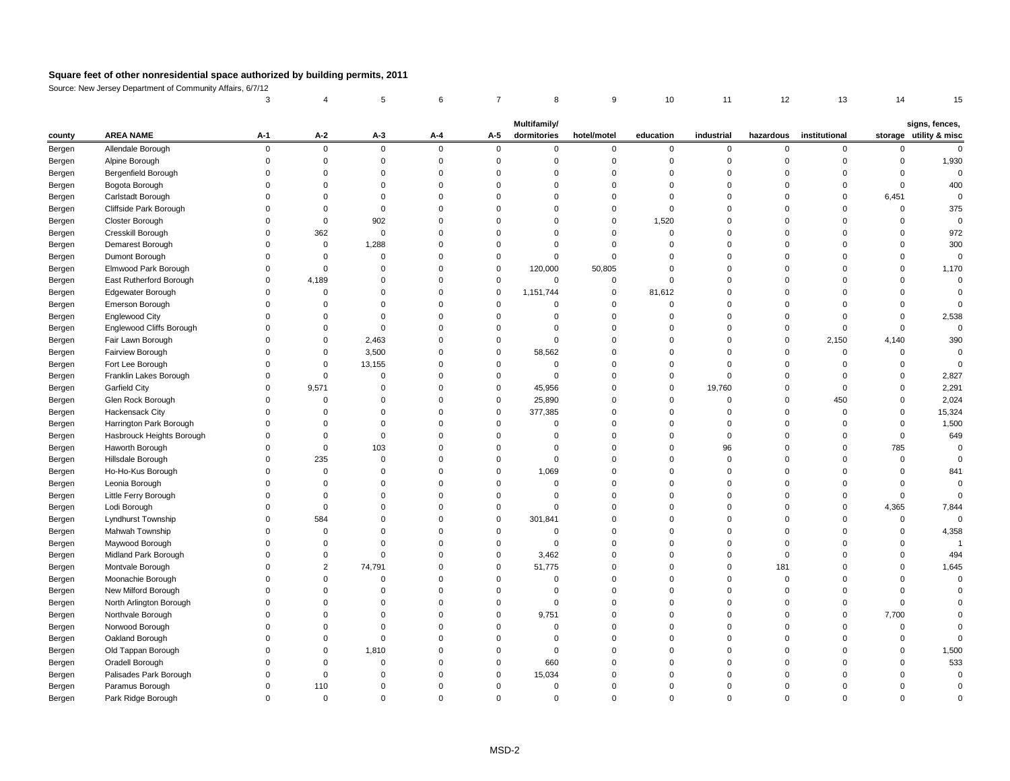Source: New Jersey Department of Community Affairs, 6/7/12

|        |                           |          |             |             |             |             | <b>Multifamily/</b> |                |           |            |          |                         |          | signs, fences,         |
|--------|---------------------------|----------|-------------|-------------|-------------|-------------|---------------------|----------------|-----------|------------|----------|-------------------------|----------|------------------------|
| county | <b>AREA NAME</b>          | $A-1$    | $A-2$       | $A-3$       | $A-4$       | $A-5$       | dormitories         | hotel/motel    | education | industrial |          | hazardous institutional |          | storage utility & misc |
| Bergen | Allendale Borough         | $\Omega$ | $\mathbf 0$ | $\mathbf 0$ | $\mathbf 0$ | $\mathbf 0$ |                     | $\Omega$       | $\Omega$  | $\Omega$   | $\Omega$ | $\Omega$                |          |                        |
| Bergen | Alpine Borough            |          |             |             | $\Omega$    |             |                     |                |           |            |          |                         |          | 1,930                  |
| Bergen | Bergenfield Borough       |          |             |             |             |             |                     |                |           |            |          |                         |          |                        |
| Bergen | Bogota Borough            |          |             |             |             |             |                     |                |           |            |          |                         |          | 400                    |
| Bergen | Carlstadt Borough         |          |             |             |             |             |                     |                |           |            |          | $\Omega$                | 6,451    |                        |
| Bergen | Cliffside Park Borough    |          |             |             |             |             |                     |                |           |            |          |                         |          | 375                    |
| Bergen | Closter Borough           |          |             | 902         |             |             |                     |                | 1,520     |            |          |                         |          |                        |
| Bergen | Cresskill Borough         |          | 362         |             |             |             |                     |                |           |            |          |                         |          | 972                    |
| Bergen | Demarest Borough          |          | 0           | 1,288       |             |             |                     |                |           |            |          |                         |          | 300                    |
| Bergen | Dumont Borough            |          |             |             |             |             |                     |                |           |            |          |                         |          |                        |
| Bergen | Elmwood Park Borough      |          |             |             |             | $\Omega$    | 120,000             | 50,805         |           |            |          |                         |          | 1,170                  |
| Bergen | East Rutherford Borough   |          | 4,189       |             |             |             | $\Omega$            |                |           |            |          |                         |          |                        |
| Bergen | Edgewater Borough         |          |             |             |             | $\Omega$    | 1,151,744           | 0              | 81,612    |            |          |                         |          |                        |
| Bergen | Emerson Borough           |          |             |             |             |             |                     |                |           |            |          |                         |          |                        |
| Bergen | <b>Englewood City</b>     |          |             |             |             |             |                     |                |           |            |          |                         |          | 2,538                  |
| Bergen | Englewood Cliffs Borough  |          |             |             |             |             |                     |                |           |            |          |                         |          |                        |
| Bergen | Fair Lawn Borough         |          | 0           | 2,463       |             |             |                     |                |           |            | $\Omega$ | 2,150                   | 4,140    | 390                    |
| Bergen | Fairview Borough          |          |             | 3,500       |             | 0           | 58,562              |                |           |            |          | 0                       |          |                        |
| Bergen | Fort Lee Borough          |          | $\Omega$    | 13,155      | $\Omega$    |             |                     |                |           |            |          | n                       |          |                        |
| Bergen | Franklin Lakes Borough    |          |             |             |             |             |                     |                |           |            |          |                         |          | 2,827                  |
| Bergen | <b>Garfield City</b>      | 0        | 9,571       |             |             | $\Omega$    | 45,956              |                | $\Omega$  | 19,760     |          | $\Omega$                |          | 2,291                  |
| Bergen | Glen Rock Borough         |          |             |             |             | 0           | 25,890              |                |           |            |          | 450                     |          | 2,024                  |
| Bergen | Hackensack City           |          |             |             |             | $\Omega$    | 377,385             |                |           |            |          | 0                       |          | 15,324                 |
| Bergen | Harrington Park Borough   |          |             |             |             |             |                     |                |           |            |          |                         |          | 1,500                  |
| Bergen | Hasbrouck Heights Borough |          |             |             |             |             |                     |                |           |            |          |                         |          | 649                    |
| Bergen | Haworth Borough           |          |             | 103         |             |             |                     |                |           | 96         |          |                         | 785      |                        |
| Bergen | Hillsdale Borough         |          | 235         |             |             |             |                     |                |           |            |          | $\Omega$                | $\Omega$ |                        |
| Bergen | Ho-Ho-Kus Borough         |          |             |             |             |             | 1,069               |                |           |            |          |                         |          | 841                    |
| Bergen | Leonia Borough            |          |             |             |             |             |                     |                |           |            |          |                         |          |                        |
| Bergen | Little Ferry Borough      |          |             |             |             |             |                     |                |           |            |          |                         |          |                        |
| Bergen | Lodi Borough              |          |             |             |             |             |                     |                |           |            |          |                         | 4,365    | 7,844                  |
| Bergen | Lyndhurst Township        |          | 584         |             |             |             | 301,841             |                |           |            |          |                         |          |                        |
| Bergen | Mahwah Township           |          |             |             |             |             |                     |                |           |            |          |                         |          | 4,358                  |
| Bergen | Maywood Borough           |          |             |             |             |             |                     |                |           |            |          |                         |          |                        |
| Bergen | Midland Park Borough      |          |             |             |             |             | 3,462               |                |           |            |          |                         |          | 494                    |
| Bergen | Montvale Borough          |          |             | 74,791      |             | 0           | 51,775              |                |           |            | 181      |                         |          | 1,645                  |
| Bergen | Moonachie Borough         |          |             |             |             |             |                     |                |           |            |          |                         |          |                        |
| Bergen | New Milford Borough       |          |             |             |             |             |                     |                |           |            |          |                         |          |                        |
| Bergen | North Arlington Borough   |          |             |             |             |             |                     |                |           |            |          |                         |          |                        |
| Bergen | Northvale Borough         |          |             |             |             | 0           | 9,751               |                |           |            |          | $\Omega$                | 7,700    |                        |
| Bergen | Norwood Borough           |          |             |             |             |             |                     |                |           |            |          |                         |          |                        |
| Bergen | Oakland Borough           |          |             |             |             |             |                     |                |           |            |          |                         |          |                        |
| Bergen | Old Tappan Borough        |          |             | 1,810       |             |             |                     |                |           |            |          |                         |          | 1,500                  |
| Bergen | Oradell Borough           |          |             |             |             |             | 660                 |                |           |            |          |                         |          | 533                    |
| Bergen | Palisades Park Borough    |          |             |             |             |             | 15,034              |                |           |            |          |                         |          |                        |
| Bergen | Paramus Borough           |          | 110         |             | $\Omega$    |             |                     |                |           |            |          |                         |          |                        |
| Bergen | Park Ridge Borough        | 0        | $\mathbf 0$ |             | 0           | $\Omega$    |                     | $\overline{0}$ |           |            | 0        | $\Omega$                |          |                        |
|        |                           |          |             |             |             |             |                     |                |           |            |          |                         |          |                        |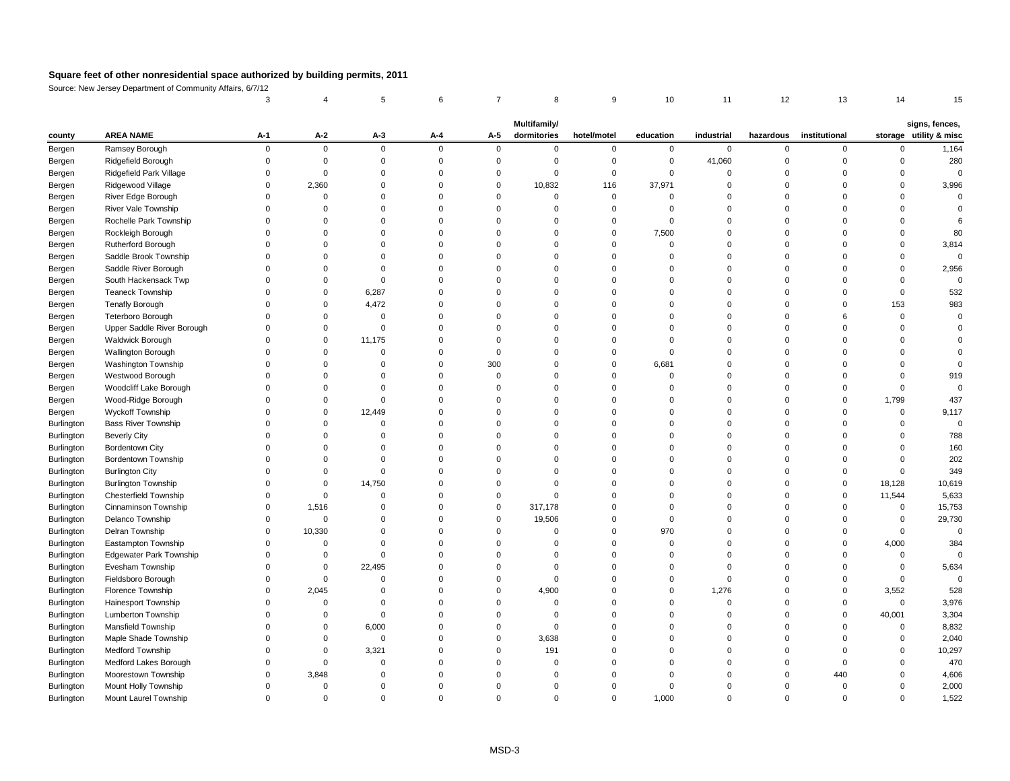Source: New Jersey Department of Community Affairs, 6/7/12

|            |                                |       |                |          |          |          | Multifamily/ |             |           |            |           |               |          | signs, fences,         |
|------------|--------------------------------|-------|----------------|----------|----------|----------|--------------|-------------|-----------|------------|-----------|---------------|----------|------------------------|
| county     | <b>AREA NAME</b>               | $A-1$ | $A-2$          | $A-3$    | $A-4$    | $A-5$    | dormitories  | hotel/motel | education | industrial | hazardous | institutional |          | storage utility & misc |
| Bergen     | Ramsey Borough                 |       | $\overline{0}$ | $\Omega$ | $\Omega$ | $\Omega$ |              |             | 0         | $\Omega$   |           | $\Omega$      |          | 1,164                  |
| Bergen     | Ridgefield Borough             |       |                |          |          |          |              |             | 0         | 41,060     |           |               |          | 280                    |
| Bergen     | Ridgefield Park Village        |       |                |          |          |          |              |             |           |            |           |               |          |                        |
| Bergen     | Ridgewood Village              |       | 2,360          |          |          | $\Omega$ | 10,832       | 116         | 37,971    |            |           |               |          | 3,996                  |
| Bergen     | River Edge Borough             |       |                |          |          |          |              |             |           |            |           |               |          |                        |
| Bergen     | River Vale Township            |       |                |          |          |          |              |             |           |            |           |               |          |                        |
| Bergen     | Rochelle Park Township         |       |                |          |          |          |              |             |           |            |           |               |          |                        |
| Bergen     | Rockleigh Borough              |       |                |          |          |          |              |             | 7,500     |            |           |               |          | 80                     |
| Bergen     | Rutherford Borough             |       |                |          |          |          |              |             |           |            |           |               |          | 3,814                  |
| Bergen     | Saddle Brook Township          |       |                |          |          |          |              |             |           |            |           |               |          |                        |
| Bergen     | Saddle River Borough           |       |                |          |          |          |              |             |           |            |           |               |          | 2,956                  |
| Bergen     | South Hackensack Twp           |       |                |          |          |          |              |             |           |            |           |               |          |                        |
| Bergen     | <b>Teaneck Township</b>        |       |                | 6,287    |          |          |              |             |           |            |           |               |          | 532                    |
| Bergen     | <b>Tenafly Borough</b>         |       |                | 4,472    |          |          |              |             |           |            |           |               | 153      | 983                    |
| Bergen     | Teterboro Borough              |       |                |          |          |          |              |             |           |            |           |               |          |                        |
| Bergen     | Upper Saddle River Borough     |       |                |          |          |          |              |             |           |            |           |               |          |                        |
| Bergen     | Waldwick Borough               |       |                | 11,175   |          |          |              |             |           |            |           |               |          |                        |
| Bergen     | Wallington Borough             |       |                |          |          |          |              |             |           |            |           |               |          |                        |
| Bergen     | Washington Township            |       |                |          |          | 300      |              |             | 6,681     |            |           |               |          |                        |
| Bergen     | Westwood Borough               |       |                |          |          |          |              |             |           |            |           |               |          | 919                    |
| Bergen     | Woodcliff Lake Borough         |       |                |          |          |          |              |             |           |            |           |               |          |                        |
| Bergen     | Wood-Ridge Borough             |       |                |          |          |          |              |             |           |            |           |               | 1,799    | 437                    |
| Bergen     | <b>Wyckoff Township</b>        |       |                | 12,449   |          |          |              |             |           |            |           |               |          | 9,117                  |
| Burlington | <b>Bass River Township</b>     |       |                |          |          |          |              |             |           |            |           |               |          |                        |
| Burlington | <b>Beverly City</b>            |       |                |          |          |          |              |             |           |            |           |               |          | 788                    |
| Burlington | <b>Bordentown City</b>         |       |                |          |          |          |              |             |           |            |           |               |          | 160                    |
| Burlington | <b>Bordentown Township</b>     |       |                |          |          |          |              |             |           |            |           |               |          | 202                    |
| Burlington | <b>Burlington City</b>         |       |                |          |          |          |              |             |           |            |           |               |          | 349                    |
| Burlington | <b>Burlington Township</b>     |       |                | 14,750   |          |          |              |             |           |            |           |               | 18,128   | 10,619                 |
| Burlington | <b>Chesterfield Township</b>   |       |                |          |          |          |              |             |           |            |           |               | 11,544   | 5,633                  |
| Burlington | Cinnaminson Township           | 0     | 1,516          |          |          | $\Omega$ | 317,178      |             |           |            |           |               | $\Omega$ | 15,753                 |
| Burlington | Delanco Township               |       | $\Omega$       |          |          |          | 19,506       |             |           |            |           |               |          | 29,730                 |
| Burlington | Delran Township                | 0     | 10,330         |          |          |          |              |             | 970       |            |           |               |          |                        |
| Burlington | Eastampton Township            |       |                |          |          |          |              |             |           |            |           |               | 4,000    | 384                    |
| Burlington | <b>Edgewater Park Township</b> |       | 0              |          |          |          |              |             |           |            |           |               |          |                        |
| Burlington | Evesham Township               |       | $\Omega$       | 22,495   |          |          |              |             |           |            |           |               |          | 5,634                  |
| Burlington | Fieldsboro Borough             |       |                |          |          |          |              |             |           |            |           |               |          |                        |
| Burlington | Florence Township              |       | 2,045          |          |          | $\Omega$ | 4,900        |             | 0         | 1,276      |           |               | 3,552    | 528                    |
| Burlington | Hainesport Township            |       | $\Omega$       |          |          | $\Omega$ |              |             |           |            |           | $\Omega$      | $\Omega$ | 3,976                  |
| Burlington | Lumberton Township             |       |                |          |          |          |              |             |           |            |           | $\Omega$      | 40,001   | 3,304                  |
| Burlington | Mansfield Township             |       | -0             | 6,000    |          |          |              |             |           |            |           |               |          | 8,832                  |
| Burlington | Maple Shade Township           |       |                | $\Omega$ |          | $\Omega$ | 3,638        |             |           |            |           |               |          | 2,040                  |
| Burlington | Medford Township               |       | 0              | 3,321    |          |          | 191          |             |           |            |           |               |          | 10,297                 |
| Burlington | Medford Lakes Borough          |       |                |          |          |          |              |             |           |            |           |               |          | 470                    |
| Burlington | Moorestown Township            |       | 3,848          |          |          |          |              |             |           |            |           | 440           |          | 4,606                  |
| Burlington | Mount Holly Township           |       |                |          |          |          |              |             |           |            |           |               |          | 2,000                  |
| Burlington | Mount Laurel Township          |       | -0             |          |          | $\Omega$ | 0            |             | 1,000     |            |           |               |          | 1,522                  |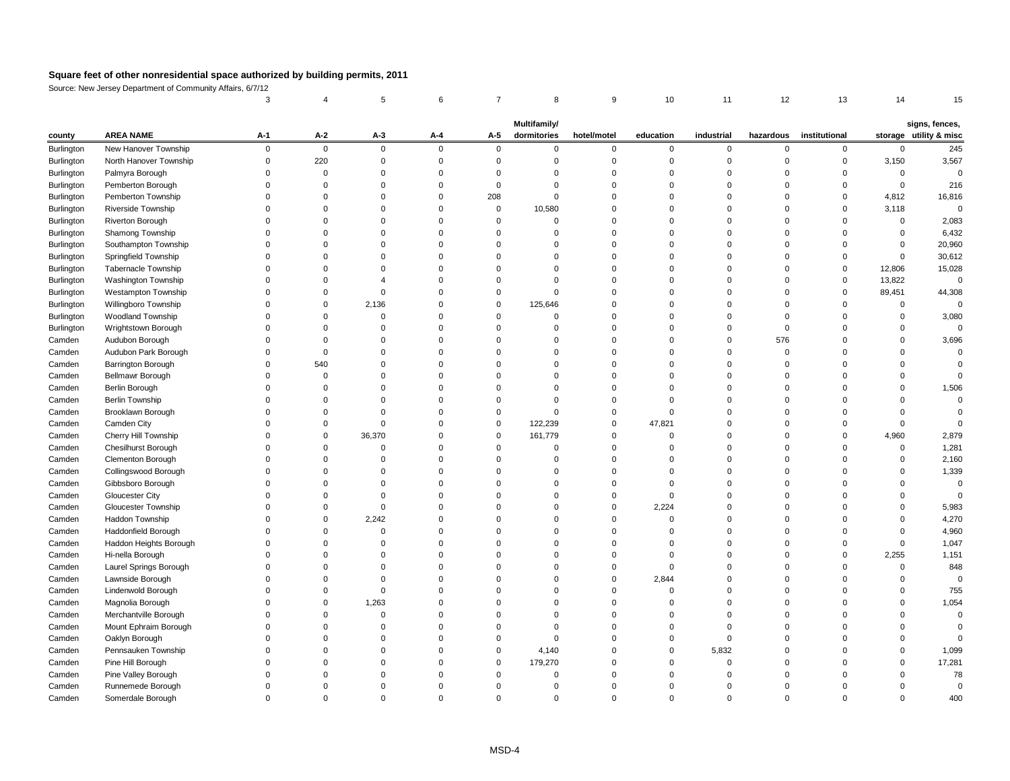Source: New Jersey Department of Community Affairs, 6/7/12

| storage utility & misc<br><b>AREA NAME</b><br>dormitories<br>$A-1$<br>$A-2$<br>$A-3$<br>education<br>industrial<br>hazardous<br>institutional<br>$A - 4$<br>$A-5$<br>hotel/motel<br>county<br>New Hanover Township<br>Burlington<br>$\mathbf 0$<br>$\overline{0}$<br>$\Omega$<br>0<br>$\Omega$<br>$\Omega$<br>$\Omega$<br>0<br>$\Omega$<br>$\Omega$<br>$\Omega$<br>$\Omega$<br>220<br>North Hanover Township<br>3,150<br>Burlington<br>Palmyra Borough<br>Burlington<br>Burlington<br>Pemberton Borough<br>Pemberton Township<br>208<br>Burlington<br>4,812<br>$\Omega$<br>3,118<br>Riverside Township<br>10,580<br>Burlington<br>0<br><b>Riverton Borough</b><br>Burlington<br>$\Omega$<br>$\Omega$<br>Burlington<br>Shamong Township<br>Southampton Township<br>Burlington<br>Springfield Township<br>Burlington<br><b>Tabernacle Township</b><br>12,806<br>Burlington<br>$\Omega$<br>13,822<br><b>Washington Township</b><br>Burlington<br><b>Westampton Township</b><br>89,451<br>Burlington<br>$\Omega$<br>Willingboro Township<br>2,136<br>125,646<br>Burlington<br>$\Omega$<br>$\Omega$<br><b>Woodland Township</b><br>Burlington<br>0<br>Wrightstown Borough<br>Burlington<br>Audubon Borough<br>576<br>Camden<br>Audubon Park Borough<br>Camden<br><b>Barrington Borough</b><br>540<br>Camden<br><b>Bellmawr Borough</b><br>Camden<br><b>Berlin Borough</b><br>Camden<br><b>Berlin Township</b><br>Camden<br>Brooklawn Borough<br>Camden<br>∩<br>Camden City<br>122,239<br>47,821<br>Camden<br>Cherry Hill Township<br>36,370<br>161,779<br>4,960<br>Camden<br><b>Chesilhurst Borough</b><br>Camden<br>Clementon Borough<br>Camden<br>$\Omega$<br>Camden<br>Collingswood Borough<br>Gibbsboro Borough<br>Camden<br><b>Gloucester City</b><br>Camden<br>2,224<br><b>Gloucester Township</b><br>Camden<br>Haddon Township<br>2,242<br>Camden<br>Haddonfield Borough<br>Camden<br>Haddon Heights Borough<br>Camden<br>Hi-nella Borough<br>Camden<br>2,255<br>Camden<br>Laurel Springs Borough<br>2,844<br>Camden<br>Lawnside Borough<br>Lindenwold Borough<br>Camden<br>Magnolia Borough<br>1,263<br>Camden<br>Merchantville Borough<br>Camden<br>Mount Ephraim Borough<br>Camden<br>Oaklyn Borough<br>Camden<br>Pennsauken Township<br>Camden<br>4,140<br>5,832<br>Pine Hill Borough<br>179,270<br>Camden<br>Pine Valley Borough<br>Camden<br>Runnemede Borough<br>Camden |        |                   |  |  | Multifamily/ |  |  |  | signs, fences, |
|----------------------------------------------------------------------------------------------------------------------------------------------------------------------------------------------------------------------------------------------------------------------------------------------------------------------------------------------------------------------------------------------------------------------------------------------------------------------------------------------------------------------------------------------------------------------------------------------------------------------------------------------------------------------------------------------------------------------------------------------------------------------------------------------------------------------------------------------------------------------------------------------------------------------------------------------------------------------------------------------------------------------------------------------------------------------------------------------------------------------------------------------------------------------------------------------------------------------------------------------------------------------------------------------------------------------------------------------------------------------------------------------------------------------------------------------------------------------------------------------------------------------------------------------------------------------------------------------------------------------------------------------------------------------------------------------------------------------------------------------------------------------------------------------------------------------------------------------------------------------------------------------------------------------------------------------------------------------------------------------------------------------------------------------------------------------------------------------------------------------------------------------------------------------------------------------------------------------------------------------------------------------------------------------------------------------------------------------------------------------------------|--------|-------------------|--|--|--------------|--|--|--|----------------|
|                                                                                                                                                                                                                                                                                                                                                                                                                                                                                                                                                                                                                                                                                                                                                                                                                                                                                                                                                                                                                                                                                                                                                                                                                                                                                                                                                                                                                                                                                                                                                                                                                                                                                                                                                                                                                                                                                                                                                                                                                                                                                                                                                                                                                                                                                                                                                                                  |        |                   |  |  |              |  |  |  |                |
|                                                                                                                                                                                                                                                                                                                                                                                                                                                                                                                                                                                                                                                                                                                                                                                                                                                                                                                                                                                                                                                                                                                                                                                                                                                                                                                                                                                                                                                                                                                                                                                                                                                                                                                                                                                                                                                                                                                                                                                                                                                                                                                                                                                                                                                                                                                                                                                  |        |                   |  |  |              |  |  |  | 245            |
|                                                                                                                                                                                                                                                                                                                                                                                                                                                                                                                                                                                                                                                                                                                                                                                                                                                                                                                                                                                                                                                                                                                                                                                                                                                                                                                                                                                                                                                                                                                                                                                                                                                                                                                                                                                                                                                                                                                                                                                                                                                                                                                                                                                                                                                                                                                                                                                  |        |                   |  |  |              |  |  |  | 3,567          |
|                                                                                                                                                                                                                                                                                                                                                                                                                                                                                                                                                                                                                                                                                                                                                                                                                                                                                                                                                                                                                                                                                                                                                                                                                                                                                                                                                                                                                                                                                                                                                                                                                                                                                                                                                                                                                                                                                                                                                                                                                                                                                                                                                                                                                                                                                                                                                                                  |        |                   |  |  |              |  |  |  |                |
|                                                                                                                                                                                                                                                                                                                                                                                                                                                                                                                                                                                                                                                                                                                                                                                                                                                                                                                                                                                                                                                                                                                                                                                                                                                                                                                                                                                                                                                                                                                                                                                                                                                                                                                                                                                                                                                                                                                                                                                                                                                                                                                                                                                                                                                                                                                                                                                  |        |                   |  |  |              |  |  |  | 216            |
|                                                                                                                                                                                                                                                                                                                                                                                                                                                                                                                                                                                                                                                                                                                                                                                                                                                                                                                                                                                                                                                                                                                                                                                                                                                                                                                                                                                                                                                                                                                                                                                                                                                                                                                                                                                                                                                                                                                                                                                                                                                                                                                                                                                                                                                                                                                                                                                  |        |                   |  |  |              |  |  |  | 16,816         |
|                                                                                                                                                                                                                                                                                                                                                                                                                                                                                                                                                                                                                                                                                                                                                                                                                                                                                                                                                                                                                                                                                                                                                                                                                                                                                                                                                                                                                                                                                                                                                                                                                                                                                                                                                                                                                                                                                                                                                                                                                                                                                                                                                                                                                                                                                                                                                                                  |        |                   |  |  |              |  |  |  |                |
|                                                                                                                                                                                                                                                                                                                                                                                                                                                                                                                                                                                                                                                                                                                                                                                                                                                                                                                                                                                                                                                                                                                                                                                                                                                                                                                                                                                                                                                                                                                                                                                                                                                                                                                                                                                                                                                                                                                                                                                                                                                                                                                                                                                                                                                                                                                                                                                  |        |                   |  |  |              |  |  |  | 2,083          |
|                                                                                                                                                                                                                                                                                                                                                                                                                                                                                                                                                                                                                                                                                                                                                                                                                                                                                                                                                                                                                                                                                                                                                                                                                                                                                                                                                                                                                                                                                                                                                                                                                                                                                                                                                                                                                                                                                                                                                                                                                                                                                                                                                                                                                                                                                                                                                                                  |        |                   |  |  |              |  |  |  | 6,432          |
|                                                                                                                                                                                                                                                                                                                                                                                                                                                                                                                                                                                                                                                                                                                                                                                                                                                                                                                                                                                                                                                                                                                                                                                                                                                                                                                                                                                                                                                                                                                                                                                                                                                                                                                                                                                                                                                                                                                                                                                                                                                                                                                                                                                                                                                                                                                                                                                  |        |                   |  |  |              |  |  |  | 20,960         |
|                                                                                                                                                                                                                                                                                                                                                                                                                                                                                                                                                                                                                                                                                                                                                                                                                                                                                                                                                                                                                                                                                                                                                                                                                                                                                                                                                                                                                                                                                                                                                                                                                                                                                                                                                                                                                                                                                                                                                                                                                                                                                                                                                                                                                                                                                                                                                                                  |        |                   |  |  |              |  |  |  | 30,612         |
|                                                                                                                                                                                                                                                                                                                                                                                                                                                                                                                                                                                                                                                                                                                                                                                                                                                                                                                                                                                                                                                                                                                                                                                                                                                                                                                                                                                                                                                                                                                                                                                                                                                                                                                                                                                                                                                                                                                                                                                                                                                                                                                                                                                                                                                                                                                                                                                  |        |                   |  |  |              |  |  |  | 15,028         |
|                                                                                                                                                                                                                                                                                                                                                                                                                                                                                                                                                                                                                                                                                                                                                                                                                                                                                                                                                                                                                                                                                                                                                                                                                                                                                                                                                                                                                                                                                                                                                                                                                                                                                                                                                                                                                                                                                                                                                                                                                                                                                                                                                                                                                                                                                                                                                                                  |        |                   |  |  |              |  |  |  |                |
|                                                                                                                                                                                                                                                                                                                                                                                                                                                                                                                                                                                                                                                                                                                                                                                                                                                                                                                                                                                                                                                                                                                                                                                                                                                                                                                                                                                                                                                                                                                                                                                                                                                                                                                                                                                                                                                                                                                                                                                                                                                                                                                                                                                                                                                                                                                                                                                  |        |                   |  |  |              |  |  |  | 44,308         |
|                                                                                                                                                                                                                                                                                                                                                                                                                                                                                                                                                                                                                                                                                                                                                                                                                                                                                                                                                                                                                                                                                                                                                                                                                                                                                                                                                                                                                                                                                                                                                                                                                                                                                                                                                                                                                                                                                                                                                                                                                                                                                                                                                                                                                                                                                                                                                                                  |        |                   |  |  |              |  |  |  |                |
|                                                                                                                                                                                                                                                                                                                                                                                                                                                                                                                                                                                                                                                                                                                                                                                                                                                                                                                                                                                                                                                                                                                                                                                                                                                                                                                                                                                                                                                                                                                                                                                                                                                                                                                                                                                                                                                                                                                                                                                                                                                                                                                                                                                                                                                                                                                                                                                  |        |                   |  |  |              |  |  |  | 3,080          |
|                                                                                                                                                                                                                                                                                                                                                                                                                                                                                                                                                                                                                                                                                                                                                                                                                                                                                                                                                                                                                                                                                                                                                                                                                                                                                                                                                                                                                                                                                                                                                                                                                                                                                                                                                                                                                                                                                                                                                                                                                                                                                                                                                                                                                                                                                                                                                                                  |        |                   |  |  |              |  |  |  |                |
|                                                                                                                                                                                                                                                                                                                                                                                                                                                                                                                                                                                                                                                                                                                                                                                                                                                                                                                                                                                                                                                                                                                                                                                                                                                                                                                                                                                                                                                                                                                                                                                                                                                                                                                                                                                                                                                                                                                                                                                                                                                                                                                                                                                                                                                                                                                                                                                  |        |                   |  |  |              |  |  |  | 3,696          |
|                                                                                                                                                                                                                                                                                                                                                                                                                                                                                                                                                                                                                                                                                                                                                                                                                                                                                                                                                                                                                                                                                                                                                                                                                                                                                                                                                                                                                                                                                                                                                                                                                                                                                                                                                                                                                                                                                                                                                                                                                                                                                                                                                                                                                                                                                                                                                                                  |        |                   |  |  |              |  |  |  |                |
|                                                                                                                                                                                                                                                                                                                                                                                                                                                                                                                                                                                                                                                                                                                                                                                                                                                                                                                                                                                                                                                                                                                                                                                                                                                                                                                                                                                                                                                                                                                                                                                                                                                                                                                                                                                                                                                                                                                                                                                                                                                                                                                                                                                                                                                                                                                                                                                  |        |                   |  |  |              |  |  |  |                |
|                                                                                                                                                                                                                                                                                                                                                                                                                                                                                                                                                                                                                                                                                                                                                                                                                                                                                                                                                                                                                                                                                                                                                                                                                                                                                                                                                                                                                                                                                                                                                                                                                                                                                                                                                                                                                                                                                                                                                                                                                                                                                                                                                                                                                                                                                                                                                                                  |        |                   |  |  |              |  |  |  |                |
|                                                                                                                                                                                                                                                                                                                                                                                                                                                                                                                                                                                                                                                                                                                                                                                                                                                                                                                                                                                                                                                                                                                                                                                                                                                                                                                                                                                                                                                                                                                                                                                                                                                                                                                                                                                                                                                                                                                                                                                                                                                                                                                                                                                                                                                                                                                                                                                  |        |                   |  |  |              |  |  |  | 1,506          |
|                                                                                                                                                                                                                                                                                                                                                                                                                                                                                                                                                                                                                                                                                                                                                                                                                                                                                                                                                                                                                                                                                                                                                                                                                                                                                                                                                                                                                                                                                                                                                                                                                                                                                                                                                                                                                                                                                                                                                                                                                                                                                                                                                                                                                                                                                                                                                                                  |        |                   |  |  |              |  |  |  |                |
|                                                                                                                                                                                                                                                                                                                                                                                                                                                                                                                                                                                                                                                                                                                                                                                                                                                                                                                                                                                                                                                                                                                                                                                                                                                                                                                                                                                                                                                                                                                                                                                                                                                                                                                                                                                                                                                                                                                                                                                                                                                                                                                                                                                                                                                                                                                                                                                  |        |                   |  |  |              |  |  |  |                |
|                                                                                                                                                                                                                                                                                                                                                                                                                                                                                                                                                                                                                                                                                                                                                                                                                                                                                                                                                                                                                                                                                                                                                                                                                                                                                                                                                                                                                                                                                                                                                                                                                                                                                                                                                                                                                                                                                                                                                                                                                                                                                                                                                                                                                                                                                                                                                                                  |        |                   |  |  |              |  |  |  |                |
|                                                                                                                                                                                                                                                                                                                                                                                                                                                                                                                                                                                                                                                                                                                                                                                                                                                                                                                                                                                                                                                                                                                                                                                                                                                                                                                                                                                                                                                                                                                                                                                                                                                                                                                                                                                                                                                                                                                                                                                                                                                                                                                                                                                                                                                                                                                                                                                  |        |                   |  |  |              |  |  |  | 2,879          |
|                                                                                                                                                                                                                                                                                                                                                                                                                                                                                                                                                                                                                                                                                                                                                                                                                                                                                                                                                                                                                                                                                                                                                                                                                                                                                                                                                                                                                                                                                                                                                                                                                                                                                                                                                                                                                                                                                                                                                                                                                                                                                                                                                                                                                                                                                                                                                                                  |        |                   |  |  |              |  |  |  | 1,281          |
|                                                                                                                                                                                                                                                                                                                                                                                                                                                                                                                                                                                                                                                                                                                                                                                                                                                                                                                                                                                                                                                                                                                                                                                                                                                                                                                                                                                                                                                                                                                                                                                                                                                                                                                                                                                                                                                                                                                                                                                                                                                                                                                                                                                                                                                                                                                                                                                  |        |                   |  |  |              |  |  |  | 2,160          |
|                                                                                                                                                                                                                                                                                                                                                                                                                                                                                                                                                                                                                                                                                                                                                                                                                                                                                                                                                                                                                                                                                                                                                                                                                                                                                                                                                                                                                                                                                                                                                                                                                                                                                                                                                                                                                                                                                                                                                                                                                                                                                                                                                                                                                                                                                                                                                                                  |        |                   |  |  |              |  |  |  | 1,339          |
|                                                                                                                                                                                                                                                                                                                                                                                                                                                                                                                                                                                                                                                                                                                                                                                                                                                                                                                                                                                                                                                                                                                                                                                                                                                                                                                                                                                                                                                                                                                                                                                                                                                                                                                                                                                                                                                                                                                                                                                                                                                                                                                                                                                                                                                                                                                                                                                  |        |                   |  |  |              |  |  |  |                |
|                                                                                                                                                                                                                                                                                                                                                                                                                                                                                                                                                                                                                                                                                                                                                                                                                                                                                                                                                                                                                                                                                                                                                                                                                                                                                                                                                                                                                                                                                                                                                                                                                                                                                                                                                                                                                                                                                                                                                                                                                                                                                                                                                                                                                                                                                                                                                                                  |        |                   |  |  |              |  |  |  |                |
|                                                                                                                                                                                                                                                                                                                                                                                                                                                                                                                                                                                                                                                                                                                                                                                                                                                                                                                                                                                                                                                                                                                                                                                                                                                                                                                                                                                                                                                                                                                                                                                                                                                                                                                                                                                                                                                                                                                                                                                                                                                                                                                                                                                                                                                                                                                                                                                  |        |                   |  |  |              |  |  |  | 5,983          |
|                                                                                                                                                                                                                                                                                                                                                                                                                                                                                                                                                                                                                                                                                                                                                                                                                                                                                                                                                                                                                                                                                                                                                                                                                                                                                                                                                                                                                                                                                                                                                                                                                                                                                                                                                                                                                                                                                                                                                                                                                                                                                                                                                                                                                                                                                                                                                                                  |        |                   |  |  |              |  |  |  | 4,270          |
|                                                                                                                                                                                                                                                                                                                                                                                                                                                                                                                                                                                                                                                                                                                                                                                                                                                                                                                                                                                                                                                                                                                                                                                                                                                                                                                                                                                                                                                                                                                                                                                                                                                                                                                                                                                                                                                                                                                                                                                                                                                                                                                                                                                                                                                                                                                                                                                  |        |                   |  |  |              |  |  |  | 4,960          |
|                                                                                                                                                                                                                                                                                                                                                                                                                                                                                                                                                                                                                                                                                                                                                                                                                                                                                                                                                                                                                                                                                                                                                                                                                                                                                                                                                                                                                                                                                                                                                                                                                                                                                                                                                                                                                                                                                                                                                                                                                                                                                                                                                                                                                                                                                                                                                                                  |        |                   |  |  |              |  |  |  | 1,047          |
|                                                                                                                                                                                                                                                                                                                                                                                                                                                                                                                                                                                                                                                                                                                                                                                                                                                                                                                                                                                                                                                                                                                                                                                                                                                                                                                                                                                                                                                                                                                                                                                                                                                                                                                                                                                                                                                                                                                                                                                                                                                                                                                                                                                                                                                                                                                                                                                  |        |                   |  |  |              |  |  |  | 1,151          |
|                                                                                                                                                                                                                                                                                                                                                                                                                                                                                                                                                                                                                                                                                                                                                                                                                                                                                                                                                                                                                                                                                                                                                                                                                                                                                                                                                                                                                                                                                                                                                                                                                                                                                                                                                                                                                                                                                                                                                                                                                                                                                                                                                                                                                                                                                                                                                                                  |        |                   |  |  |              |  |  |  | 848            |
|                                                                                                                                                                                                                                                                                                                                                                                                                                                                                                                                                                                                                                                                                                                                                                                                                                                                                                                                                                                                                                                                                                                                                                                                                                                                                                                                                                                                                                                                                                                                                                                                                                                                                                                                                                                                                                                                                                                                                                                                                                                                                                                                                                                                                                                                                                                                                                                  |        |                   |  |  |              |  |  |  |                |
|                                                                                                                                                                                                                                                                                                                                                                                                                                                                                                                                                                                                                                                                                                                                                                                                                                                                                                                                                                                                                                                                                                                                                                                                                                                                                                                                                                                                                                                                                                                                                                                                                                                                                                                                                                                                                                                                                                                                                                                                                                                                                                                                                                                                                                                                                                                                                                                  |        |                   |  |  |              |  |  |  | 755            |
|                                                                                                                                                                                                                                                                                                                                                                                                                                                                                                                                                                                                                                                                                                                                                                                                                                                                                                                                                                                                                                                                                                                                                                                                                                                                                                                                                                                                                                                                                                                                                                                                                                                                                                                                                                                                                                                                                                                                                                                                                                                                                                                                                                                                                                                                                                                                                                                  |        |                   |  |  |              |  |  |  | 1,054          |
|                                                                                                                                                                                                                                                                                                                                                                                                                                                                                                                                                                                                                                                                                                                                                                                                                                                                                                                                                                                                                                                                                                                                                                                                                                                                                                                                                                                                                                                                                                                                                                                                                                                                                                                                                                                                                                                                                                                                                                                                                                                                                                                                                                                                                                                                                                                                                                                  |        |                   |  |  |              |  |  |  |                |
|                                                                                                                                                                                                                                                                                                                                                                                                                                                                                                                                                                                                                                                                                                                                                                                                                                                                                                                                                                                                                                                                                                                                                                                                                                                                                                                                                                                                                                                                                                                                                                                                                                                                                                                                                                                                                                                                                                                                                                                                                                                                                                                                                                                                                                                                                                                                                                                  |        |                   |  |  |              |  |  |  |                |
|                                                                                                                                                                                                                                                                                                                                                                                                                                                                                                                                                                                                                                                                                                                                                                                                                                                                                                                                                                                                                                                                                                                                                                                                                                                                                                                                                                                                                                                                                                                                                                                                                                                                                                                                                                                                                                                                                                                                                                                                                                                                                                                                                                                                                                                                                                                                                                                  |        |                   |  |  |              |  |  |  |                |
|                                                                                                                                                                                                                                                                                                                                                                                                                                                                                                                                                                                                                                                                                                                                                                                                                                                                                                                                                                                                                                                                                                                                                                                                                                                                                                                                                                                                                                                                                                                                                                                                                                                                                                                                                                                                                                                                                                                                                                                                                                                                                                                                                                                                                                                                                                                                                                                  |        |                   |  |  |              |  |  |  | 1,099          |
|                                                                                                                                                                                                                                                                                                                                                                                                                                                                                                                                                                                                                                                                                                                                                                                                                                                                                                                                                                                                                                                                                                                                                                                                                                                                                                                                                                                                                                                                                                                                                                                                                                                                                                                                                                                                                                                                                                                                                                                                                                                                                                                                                                                                                                                                                                                                                                                  |        |                   |  |  |              |  |  |  | 17,281         |
|                                                                                                                                                                                                                                                                                                                                                                                                                                                                                                                                                                                                                                                                                                                                                                                                                                                                                                                                                                                                                                                                                                                                                                                                                                                                                                                                                                                                                                                                                                                                                                                                                                                                                                                                                                                                                                                                                                                                                                                                                                                                                                                                                                                                                                                                                                                                                                                  |        |                   |  |  |              |  |  |  | 78             |
|                                                                                                                                                                                                                                                                                                                                                                                                                                                                                                                                                                                                                                                                                                                                                                                                                                                                                                                                                                                                                                                                                                                                                                                                                                                                                                                                                                                                                                                                                                                                                                                                                                                                                                                                                                                                                                                                                                                                                                                                                                                                                                                                                                                                                                                                                                                                                                                  |        |                   |  |  |              |  |  |  |                |
| 0<br>0<br>$\Omega$<br>0                                                                                                                                                                                                                                                                                                                                                                                                                                                                                                                                                                                                                                                                                                                                                                                                                                                                                                                                                                                                                                                                                                                                                                                                                                                                                                                                                                                                                                                                                                                                                                                                                                                                                                                                                                                                                                                                                                                                                                                                                                                                                                                                                                                                                                                                                                                                                          | Camden | Somerdale Borough |  |  |              |  |  |  | 400            |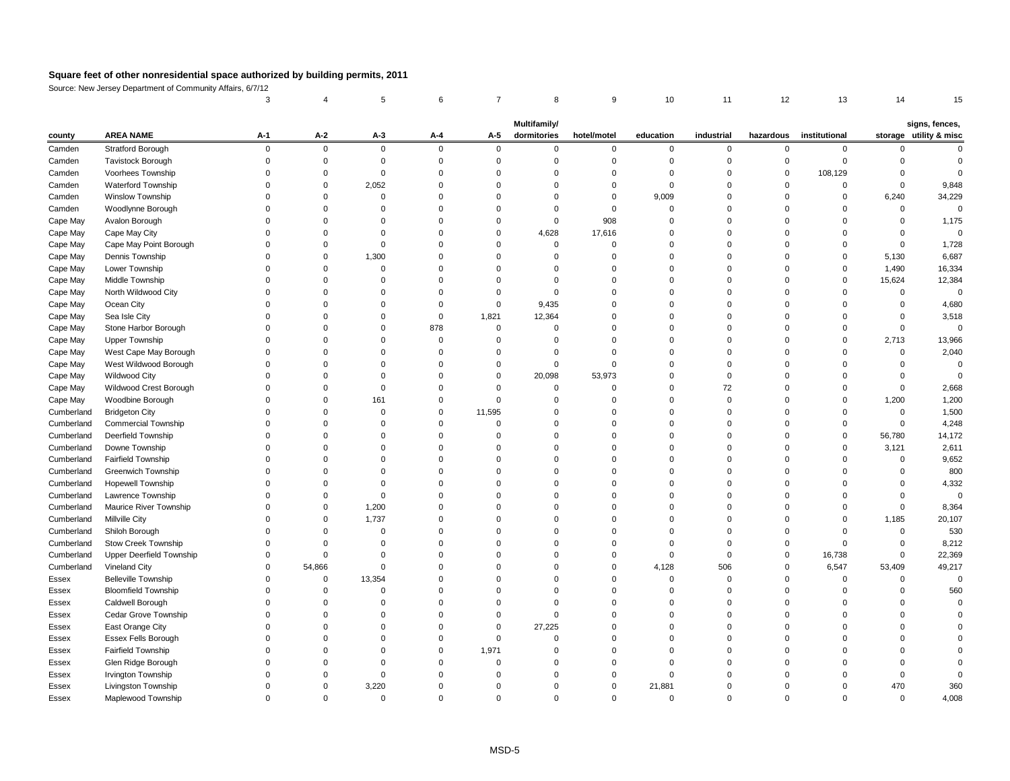Source: New Jersey Department of Community Affairs, 6/7/12

|            |                                          |       |                |                |          |          | <b>Multifamily/</b> |             |              |            |           |               |              | signs, fences,         |
|------------|------------------------------------------|-------|----------------|----------------|----------|----------|---------------------|-------------|--------------|------------|-----------|---------------|--------------|------------------------|
| county     | <b>AREA NAME</b>                         | $A-1$ | $A-2$          | $A-3$          | $A-4$    | $A-5$    | dormitories         | hotel/motel | education    | industrial | hazardous | institutional |              | storage utility & misc |
| Camden     | <b>Stratford Borough</b>                 |       | $\overline{0}$ | $\mathbf 0$    | $\Omega$ | $\Omega$ | $\Omega$            | O           | $\mathbf{0}$ | $\Omega$   |           | $\Omega$      |              |                        |
| Camden     | <b>Tavistock Borough</b>                 |       |                |                |          |          |                     |             |              |            |           |               |              |                        |
| Camden     | Voorhees Township                        |       |                |                |          |          |                     |             |              |            |           | 108,129       |              |                        |
| Camden     | Waterford Township                       |       |                | 2,052          |          |          |                     |             |              |            |           |               |              | 9,848                  |
| Camden     | <b>Winslow Township</b>                  |       |                |                |          |          |                     |             | 9,009        |            |           |               | 6,240        | 34,229                 |
| Camden     | Woodlynne Borough                        |       |                |                |          |          |                     |             |              |            |           |               |              |                        |
| Cape May   | Avalon Borough                           |       |                |                |          |          | 0                   | 908         |              |            |           |               |              | 1,175                  |
| Cape May   | Cape May City                            |       |                |                |          |          | 4,628               | 17,616      |              |            |           |               |              |                        |
| Cape May   | Cape May Point Borough                   |       |                |                |          |          | 0                   |             |              |            |           |               |              | 1,728                  |
| Cape May   | Dennis Township                          |       |                | 1,300          |          |          |                     |             |              |            |           |               | 5,130        | 6,687                  |
| Cape May   | Lower Township                           |       |                |                |          |          |                     |             |              |            |           |               | 1,490        | 16,334                 |
| Cape May   | Middle Township                          |       |                |                |          |          |                     |             |              |            |           |               | 15,624       | 12,384                 |
| Cape May   | North Wildwood City                      |       |                |                |          |          | ∩                   |             |              |            |           |               | <sup>0</sup> |                        |
| Cape May   | Ocean City                               |       |                |                |          | $\Omega$ | 9,435               |             |              |            |           |               |              | 4,680                  |
| Cape May   | Sea Isle City                            |       |                |                |          | 1,821    | 12,364              |             |              |            |           |               |              | 3,518                  |
| Cape May   | Stone Harbor Borough                     |       |                |                | 878      | ∩        |                     |             |              |            |           |               |              |                        |
| Cape May   | <b>Upper Township</b>                    |       |                |                |          |          |                     |             |              |            |           | 0             | 2,713        | 13,966                 |
| Cape May   | West Cape May Borough                    |       |                |                |          |          |                     |             |              |            |           |               | ∩            | 2,040                  |
| Cape May   | West Wildwood Borough                    |       |                |                |          |          |                     |             |              |            |           |               |              |                        |
| Cape May   | <b>Wildwood City</b>                     |       |                |                |          | $\Omega$ | 20,098              | 53,973      |              |            |           |               |              |                        |
| Cape May   | Wildwood Crest Borough                   |       |                |                |          |          |                     |             |              | 72         |           |               |              | 2,668                  |
| Cape May   | Woodbine Borough                         |       |                | 161            |          |          |                     |             |              |            |           |               | 1,200        | 1,200                  |
| Cumberland | <b>Bridgeton City</b>                    |       |                |                |          | 11,595   |                     |             |              |            |           |               |              | 1,500                  |
| Cumberland | <b>Commercial Township</b>               |       |                |                |          |          |                     |             |              |            |           |               |              | 4,248                  |
| Cumberland | Deerfield Township                       |       |                |                |          |          |                     |             |              |            |           |               | 56,780       | 14,172                 |
| Cumberland | Downe Township                           |       |                |                |          |          |                     |             |              |            |           |               | 3,121        | 2,611                  |
| Cumberland | Fairfield Township                       |       |                |                |          |          |                     |             |              |            |           |               | 0            | 9,652                  |
| Cumberland | <b>Greenwich Township</b>                |       |                |                |          |          |                     |             |              |            |           |               |              | 800                    |
| Cumberland | Hopewell Township                        |       |                |                |          |          |                     |             |              |            |           |               |              | 4,332                  |
| Cumberland | Lawrence Township                        |       |                |                |          |          |                     |             |              |            |           |               |              |                        |
| Cumberland | Maurice River Township                   |       |                | 1,200          |          |          |                     |             |              |            |           |               |              | 8,364                  |
| Cumberland | <b>Millville City</b>                    |       | $\Omega$       | 1,737          |          |          |                     |             |              |            |           |               | 1,185        | 20,107                 |
| Cumberland | Shiloh Borough                           |       |                |                |          |          |                     |             |              |            |           |               | $\Omega$     | 530                    |
| Cumberland | <b>Stow Creek Township</b>               |       |                |                |          |          |                     |             |              |            |           |               |              | 8,212                  |
| Cumberland | <b>Upper Deerfield Township</b>          |       |                |                |          |          |                     |             |              |            |           | 16,738        |              | 22,369                 |
| Cumberland | <b>Vineland City</b>                     |       | 54,866         |                |          |          |                     |             | 4,128        | 506        |           | 6,547         | 53,409       | 49,217                 |
| Essex      | <b>Belleville Township</b>               |       | $\Omega$       | 13,354         |          |          |                     |             |              |            |           | $\Omega$      |              |                        |
| Essex      | <b>Bloomfield Township</b>               |       |                |                |          |          |                     |             |              |            |           |               |              | 560                    |
| Essex      | Caldwell Borough                         |       |                |                |          |          |                     |             |              |            |           |               |              |                        |
| Essex      | Cedar Grove Township                     |       |                |                |          |          |                     |             |              |            |           |               |              |                        |
| Essex      | East Orange City                         |       |                |                |          | $\Omega$ | 27,225              |             |              |            |           |               |              |                        |
|            | Essex Fells Borough                      |       |                |                |          |          |                     |             |              |            |           |               |              |                        |
| Essex      |                                          |       |                |                |          |          |                     |             |              |            |           |               |              |                        |
| Essex      | Fairfield Township                       |       |                |                |          | 1,971    |                     |             |              |            |           |               |              |                        |
| Essex      | Glen Ridge Borough<br>Irvington Township |       |                |                |          |          |                     |             |              |            |           |               |              |                        |
| Essex      |                                          |       |                |                |          |          |                     |             |              |            |           |               |              |                        |
| Essex      | Livingston Township                      |       |                | 3,220          |          |          |                     |             | 21,881       |            |           |               | 470          | 360                    |
| Essex      | Maplewood Township                       |       | $\Omega$       | $\overline{0}$ |          | $\Omega$ | 0                   | 0           | 0            |            |           |               | $\mathbf 0$  | 4,008                  |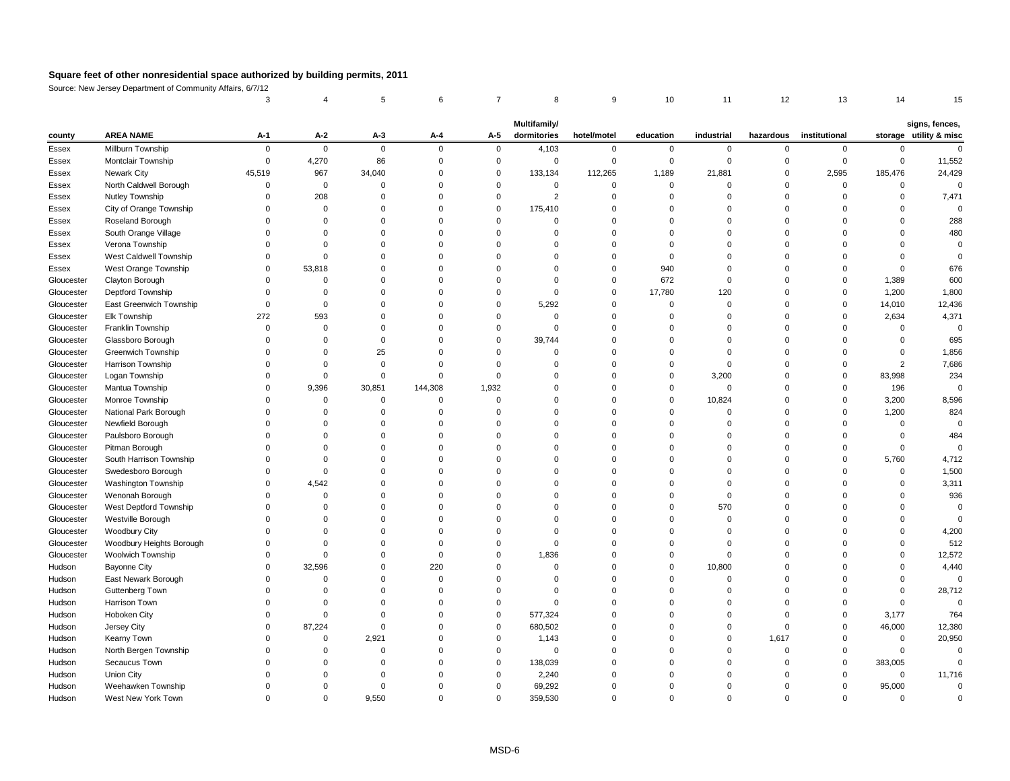Source: New Jersey Department of Community Affairs, 6/7/12

| county       | <b>AREA NAME</b>         | $A-1$        | $A-2$    | $A-3$        | $A-4$    | $A-5$    | <b>Multifamily/</b><br>dormitories | hotel/motel | education | industrial | hazardous | institutional |             | signs, fences,<br>storage utility & misc |
|--------------|--------------------------|--------------|----------|--------------|----------|----------|------------------------------------|-------------|-----------|------------|-----------|---------------|-------------|------------------------------------------|
| Essex        | Millburn Township        | 0            | $\Omega$ | $\mathbf{0}$ | $\Omega$ | -0       | 4,103                              |             |           | $\Omega$   |           |               |             |                                          |
| <b>Essex</b> | Montclair Township       |              | 4,270    | 86           |          |          | 0                                  |             |           |            |           | $\Omega$      |             | 11,552                                   |
| Essex        | <b>Newark City</b>       | 45,519       | 967      | 34,040       |          |          | 133,134                            | 112,265     | 1,189     | 21,881     |           | 2,595         | 185,476     | 24,429                                   |
| Essex        | North Caldwell Borough   |              | 0        |              |          |          | ∩                                  |             |           |            |           | $\Omega$      |             |                                          |
| Essex        | <b>Nutley Township</b>   |              | 208      |              |          |          |                                    |             |           |            |           |               |             | 7,471                                    |
| Essex        | City of Orange Township  |              |          |              |          |          | 175,410                            |             |           |            |           |               |             |                                          |
| Essex        | Roseland Borough         |              |          |              |          |          |                                    |             |           |            |           |               |             | 288                                      |
| Essex        | South Orange Village     |              |          |              |          |          |                                    |             |           |            |           |               |             | 480                                      |
| Essex        | Verona Township          |              |          |              |          |          |                                    |             |           |            |           |               |             |                                          |
| Essex        | West Caldwell Township   |              |          |              |          |          |                                    |             |           |            |           |               |             |                                          |
| Essex        | West Orange Township     |              | 53,818   |              |          |          |                                    |             | 940       |            |           |               |             | 676                                      |
| Gloucester   | Clayton Borough          |              |          |              |          |          |                                    |             | 672       |            |           | $\Omega$      | 1,389       | 600                                      |
| Gloucester   | Deptford Township        |              |          |              |          |          |                                    |             | 17,780    | 120        |           | 0             | 1,200       | 1,800                                    |
| Gloucester   | East Greenwich Township  |              |          |              |          |          | 5,292                              |             |           |            |           | $\Omega$      | 14,010      | 12,436                                   |
| Gloucester   | Elk Township             | 272          | 593      |              |          |          |                                    |             |           |            |           |               | 2,634       | 4,371                                    |
| Gloucester   | Franklin Township        |              |          |              |          |          | ∩                                  |             |           |            |           |               |             |                                          |
| Gloucester   | Glassboro Borough        |              |          |              |          |          | 39,744                             |             |           |            |           |               |             | 695                                      |
| Gloucester   | Greenwich Township       |              |          | 25           |          |          |                                    |             |           |            |           |               |             | 1,856                                    |
| Gloucester   | Harrison Township        |              |          |              |          |          |                                    |             |           |            |           |               |             | 7,686                                    |
| Gloucester   | Logan Township           |              |          |              |          |          |                                    |             |           | 3,200      |           | $\Omega$      | 83,998      | 234                                      |
| Gloucester   | Mantua Township          |              | 9,396    | 30,851       | 144,308  | 1,932    |                                    |             |           |            |           |               | 196         |                                          |
| Gloucester   | Monroe Township          |              |          |              |          |          |                                    |             |           | 10,824     |           | $\Omega$      | 3,200       | 8,596                                    |
| Gloucester   | National Park Borough    |              |          |              |          |          |                                    |             |           |            |           |               | 1,200       | 824                                      |
| Gloucester   | Newfield Borough         |              |          |              |          |          |                                    |             |           |            |           |               |             |                                          |
| Gloucester   | Paulsboro Borough        |              |          |              |          |          |                                    |             |           |            |           |               |             | 484                                      |
| Gloucester   | Pitman Borough           |              |          |              |          |          |                                    |             |           |            |           |               |             |                                          |
| Gloucester   | South Harrison Township  |              |          |              |          |          |                                    |             |           |            |           |               | 5,760       | 4,712                                    |
| Gloucester   | Swedesboro Borough       |              |          |              |          |          |                                    |             |           |            |           |               | $\sim$      | 1,500                                    |
| Gloucester   | Washington Township      |              | 4,542    |              |          |          |                                    |             |           |            |           |               |             | 3,311                                    |
| Gloucester   | Wenonah Borough          |              |          |              |          |          |                                    |             |           |            |           |               |             | 936                                      |
| Gloucester   | West Deptford Township   |              |          |              |          |          |                                    |             |           | 570        |           |               |             |                                          |
| Gloucester   | Westville Borough        |              |          |              |          |          |                                    |             |           |            |           |               |             |                                          |
| Gloucester   | Woodbury City            |              |          |              |          |          |                                    |             |           |            |           |               |             | 4,200                                    |
| Gloucester   | Woodbury Heights Borough |              |          |              |          |          | $\Omega$                           |             |           |            |           |               |             | 512                                      |
| Gloucester   | <b>Woolwich Township</b> | <sup>0</sup> |          |              |          |          | 1,836                              |             |           |            |           |               |             | 12,572                                   |
| Hudson       | <b>Bayonne City</b>      |              | 32,596   |              | 220      |          |                                    |             |           | 10,800     |           |               |             | 4,440                                    |
| Hudson       | East Newark Borough      |              |          |              |          |          |                                    |             |           |            |           |               |             | 0                                        |
| Hudson       | <b>Guttenberg Town</b>   |              |          |              |          |          |                                    |             |           |            |           |               |             | 28,712                                   |
| Hudson       | Harrison Town            |              |          |              |          |          |                                    |             |           |            |           | $\Omega$      |             |                                          |
| Hudson       | Hoboken City             |              |          |              |          | $\Omega$ | 577,324                            |             |           |            |           | $\Omega$      | 3,177       | 764                                      |
| Hudson       | Jersey City              |              | 87,224   |              |          | $\Omega$ | 680,502                            |             |           |            |           | $\Omega$      | 46,000      | 12,380                                   |
| Hudson       | <b>Kearny Town</b>       |              |          | 2,921        |          |          | 1,143                              |             |           |            | 1,617     |               | 0           | 20,950                                   |
| Hudson       | North Bergen Township    |              |          |              |          |          | $\Omega$                           |             |           |            |           | $\Omega$      |             |                                          |
| Hudson       | Secaucus Town            |              |          |              |          | ∩        | 138,039                            |             |           |            |           | $\Omega$      | 383,005     |                                          |
| Hudson       | <b>Union City</b>        |              |          |              |          |          | 2,240                              |             |           |            |           | $\Omega$      | $\mathbf 0$ | 11,716                                   |
| Hudson       | Weehawken Township       |              |          |              |          |          | 69,292                             |             |           |            |           | 0             | 95,000      |                                          |
| Hudson       | West New York Town       | $\Omega$     | $\Omega$ | 9,550        | 0        | $\Omega$ | 359,530                            | 0           |           | $\Omega$   |           | $\Omega$      | $\Omega$    |                                          |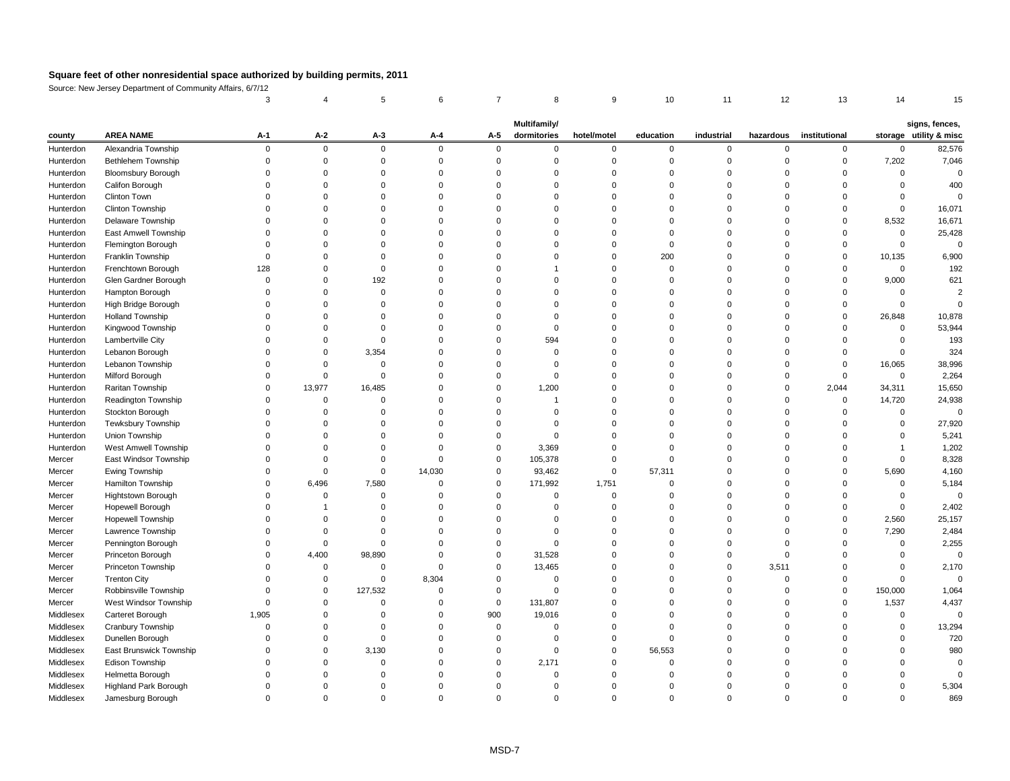Source: New Jersey Department of Community Affairs, 6/7/12

| <b>AREA NAME</b><br>$A-2$<br>storage utility & misc<br>$A-1$<br>$A-3$<br>$A-5$<br>dormitories<br>education<br>industrial<br>institutional<br>$A - 4$<br>hotel/motel<br>hazardous<br>county<br>Alexandria Township<br>$\overline{0}$<br>$\mathbf 0$<br>$\Omega$<br>0<br>$\overline{0}$<br>$\mathbf 0$<br>Hunterdon<br>0<br>$\mathbf 0$<br>$\mathbf 0$<br>$\mathbf{0}$<br>$\Omega$<br>0<br>Bethlehem Township<br>7,202<br>Hunterdon<br>0<br><b>Bloomsbury Borough</b><br>Hunterdon<br>Califon Borough<br>Hunterdon<br><b>Clinton Town</b><br>Hunterdon<br>Clinton Township<br>Hunterdon<br>Delaware Township<br>8,532<br>Hunterdon<br>East Amwell Township<br>Hunterdon<br>Flemington Borough<br>Hunterdon<br>200<br>Franklin Township<br>10,135<br>Hunterdon<br>Frenchtown Borough<br>Hunterdon<br>128<br>$\Omega$<br>Glen Gardner Borough<br>192<br>9,000<br>Hunterdon<br>Hampton Borough<br>Hunterdon<br>High Bridge Borough<br>Hunterdon<br><b>Holland Township</b><br>26,848<br>Hunterdon<br>Kingwood Township<br>53,944<br>Hunterdon<br>$\Omega$<br>Lambertville City<br>594<br>Hunterdon<br>3,354<br>Lebanon Borough<br>Hunterdon<br>0<br>Lebanon Township<br>38,996<br>16,065<br>Hunterdon<br>0<br>Milford Borough<br>$\overline{0}$<br>Hunterdon<br>$\Omega$<br>15,650<br>Raritan Township<br>13,977<br>16,485<br>1,200<br>2,044<br>34,311<br>Hunterdon<br>0<br>24,938<br><b>Readington Township</b><br>14,720<br>Hunterdon<br>0<br>Stockton Borough<br>Hunterdon<br>0<br>Tewksbury Township<br>27,920<br>Hunterdon<br>5,241<br>Union Township<br>Hunterdon<br>West Amwell Township<br>1,202<br>3,369<br>Hunterdon<br>8,328<br>East Windsor Township<br>105,378<br>Mercer<br>Mercer<br>Ewing Township<br>14,030<br>93,462<br>57,311<br>5,690<br>4,160<br>0<br>0<br>Hamilton Township<br>5,184<br>6,496<br>7,580<br>171,992<br>1,751<br>Mercer<br>Hightstown Borough<br>Mercer<br>U<br><sup>0</sup><br>Hopewell Borough<br>2,402<br>Mercer<br><b>Hopewell Township</b><br>2,560<br>25,157<br>Mercer<br>7,290<br>2,484<br>Lawrence Township<br>Mercer<br>2,255<br>Pennington Borough<br>Mercer<br>4,400<br>Princeton Borough<br>98,890<br>31,528<br>Mercer<br>$\Omega$<br>Princeton Township<br>3,511<br>2,170<br>13,465<br>Mercer<br><b>Trenton City</b><br>8,304<br>Mercer<br>$\Omega$<br>Robbinsville Township<br>127,532<br>1,064<br>150,000<br>Mercer<br>$\Omega$<br>∩<br>4,437<br>West Windsor Township<br>131,807<br>1,537<br>Mercer<br>$\Omega$<br>1,905<br>900<br>Middlesex<br>Carteret Borough<br>19,016<br>Middlesex<br>Cranbury Township<br>13,294<br>720<br>Middlesex<br>Dunellen Borough<br>East Brunswick Township<br>Middlesex<br>56,553<br>980<br>3,130<br>$\Omega$<br>$\Omega$<br>2,171<br>Middlesex<br>Edison Township<br>0<br>Helmetta Borough<br>Middlesex<br>5,304<br>Middlesex<br><b>Highland Park Borough</b> |           |                   |          |          |  | Multifamily/ |   |   |   |                | signs, fences, |
|--------------------------------------------------------------------------------------------------------------------------------------------------------------------------------------------------------------------------------------------------------------------------------------------------------------------------------------------------------------------------------------------------------------------------------------------------------------------------------------------------------------------------------------------------------------------------------------------------------------------------------------------------------------------------------------------------------------------------------------------------------------------------------------------------------------------------------------------------------------------------------------------------------------------------------------------------------------------------------------------------------------------------------------------------------------------------------------------------------------------------------------------------------------------------------------------------------------------------------------------------------------------------------------------------------------------------------------------------------------------------------------------------------------------------------------------------------------------------------------------------------------------------------------------------------------------------------------------------------------------------------------------------------------------------------------------------------------------------------------------------------------------------------------------------------------------------------------------------------------------------------------------------------------------------------------------------------------------------------------------------------------------------------------------------------------------------------------------------------------------------------------------------------------------------------------------------------------------------------------------------------------------------------------------------------------------------------------------------------------------------------------------------------------------------------------------------------------------------------------------------------------------------------------------------------------------------------------------------------------------------------------------------------------------------------------------------------------------------------------------------------------------------------------------------------------------------------------------|-----------|-------------------|----------|----------|--|--------------|---|---|---|----------------|----------------|
|                                                                                                                                                                                                                                                                                                                                                                                                                                                                                                                                                                                                                                                                                                                                                                                                                                                                                                                                                                                                                                                                                                                                                                                                                                                                                                                                                                                                                                                                                                                                                                                                                                                                                                                                                                                                                                                                                                                                                                                                                                                                                                                                                                                                                                                                                                                                                                                                                                                                                                                                                                                                                                                                                                                                                                                                                                            |           |                   |          |          |  |              |   |   |   |                |                |
|                                                                                                                                                                                                                                                                                                                                                                                                                                                                                                                                                                                                                                                                                                                                                                                                                                                                                                                                                                                                                                                                                                                                                                                                                                                                                                                                                                                                                                                                                                                                                                                                                                                                                                                                                                                                                                                                                                                                                                                                                                                                                                                                                                                                                                                                                                                                                                                                                                                                                                                                                                                                                                                                                                                                                                                                                                            |           |                   |          |          |  |              |   |   |   |                | 82,576         |
|                                                                                                                                                                                                                                                                                                                                                                                                                                                                                                                                                                                                                                                                                                                                                                                                                                                                                                                                                                                                                                                                                                                                                                                                                                                                                                                                                                                                                                                                                                                                                                                                                                                                                                                                                                                                                                                                                                                                                                                                                                                                                                                                                                                                                                                                                                                                                                                                                                                                                                                                                                                                                                                                                                                                                                                                                                            |           |                   |          |          |  |              |   |   |   |                | 7,046          |
|                                                                                                                                                                                                                                                                                                                                                                                                                                                                                                                                                                                                                                                                                                                                                                                                                                                                                                                                                                                                                                                                                                                                                                                                                                                                                                                                                                                                                                                                                                                                                                                                                                                                                                                                                                                                                                                                                                                                                                                                                                                                                                                                                                                                                                                                                                                                                                                                                                                                                                                                                                                                                                                                                                                                                                                                                                            |           |                   |          |          |  |              |   |   |   |                |                |
|                                                                                                                                                                                                                                                                                                                                                                                                                                                                                                                                                                                                                                                                                                                                                                                                                                                                                                                                                                                                                                                                                                                                                                                                                                                                                                                                                                                                                                                                                                                                                                                                                                                                                                                                                                                                                                                                                                                                                                                                                                                                                                                                                                                                                                                                                                                                                                                                                                                                                                                                                                                                                                                                                                                                                                                                                                            |           |                   |          |          |  |              |   |   |   |                | 400            |
|                                                                                                                                                                                                                                                                                                                                                                                                                                                                                                                                                                                                                                                                                                                                                                                                                                                                                                                                                                                                                                                                                                                                                                                                                                                                                                                                                                                                                                                                                                                                                                                                                                                                                                                                                                                                                                                                                                                                                                                                                                                                                                                                                                                                                                                                                                                                                                                                                                                                                                                                                                                                                                                                                                                                                                                                                                            |           |                   |          |          |  |              |   |   |   |                |                |
|                                                                                                                                                                                                                                                                                                                                                                                                                                                                                                                                                                                                                                                                                                                                                                                                                                                                                                                                                                                                                                                                                                                                                                                                                                                                                                                                                                                                                                                                                                                                                                                                                                                                                                                                                                                                                                                                                                                                                                                                                                                                                                                                                                                                                                                                                                                                                                                                                                                                                                                                                                                                                                                                                                                                                                                                                                            |           |                   |          |          |  |              |   |   |   |                | 16,071         |
|                                                                                                                                                                                                                                                                                                                                                                                                                                                                                                                                                                                                                                                                                                                                                                                                                                                                                                                                                                                                                                                                                                                                                                                                                                                                                                                                                                                                                                                                                                                                                                                                                                                                                                                                                                                                                                                                                                                                                                                                                                                                                                                                                                                                                                                                                                                                                                                                                                                                                                                                                                                                                                                                                                                                                                                                                                            |           |                   |          |          |  |              |   |   |   |                | 16,671         |
|                                                                                                                                                                                                                                                                                                                                                                                                                                                                                                                                                                                                                                                                                                                                                                                                                                                                                                                                                                                                                                                                                                                                                                                                                                                                                                                                                                                                                                                                                                                                                                                                                                                                                                                                                                                                                                                                                                                                                                                                                                                                                                                                                                                                                                                                                                                                                                                                                                                                                                                                                                                                                                                                                                                                                                                                                                            |           |                   |          |          |  |              |   |   |   |                | 25,428         |
|                                                                                                                                                                                                                                                                                                                                                                                                                                                                                                                                                                                                                                                                                                                                                                                                                                                                                                                                                                                                                                                                                                                                                                                                                                                                                                                                                                                                                                                                                                                                                                                                                                                                                                                                                                                                                                                                                                                                                                                                                                                                                                                                                                                                                                                                                                                                                                                                                                                                                                                                                                                                                                                                                                                                                                                                                                            |           |                   |          |          |  |              |   |   |   |                |                |
|                                                                                                                                                                                                                                                                                                                                                                                                                                                                                                                                                                                                                                                                                                                                                                                                                                                                                                                                                                                                                                                                                                                                                                                                                                                                                                                                                                                                                                                                                                                                                                                                                                                                                                                                                                                                                                                                                                                                                                                                                                                                                                                                                                                                                                                                                                                                                                                                                                                                                                                                                                                                                                                                                                                                                                                                                                            |           |                   |          |          |  |              |   |   |   |                | 6,900          |
|                                                                                                                                                                                                                                                                                                                                                                                                                                                                                                                                                                                                                                                                                                                                                                                                                                                                                                                                                                                                                                                                                                                                                                                                                                                                                                                                                                                                                                                                                                                                                                                                                                                                                                                                                                                                                                                                                                                                                                                                                                                                                                                                                                                                                                                                                                                                                                                                                                                                                                                                                                                                                                                                                                                                                                                                                                            |           |                   |          |          |  |              |   |   |   |                | 192            |
|                                                                                                                                                                                                                                                                                                                                                                                                                                                                                                                                                                                                                                                                                                                                                                                                                                                                                                                                                                                                                                                                                                                                                                                                                                                                                                                                                                                                                                                                                                                                                                                                                                                                                                                                                                                                                                                                                                                                                                                                                                                                                                                                                                                                                                                                                                                                                                                                                                                                                                                                                                                                                                                                                                                                                                                                                                            |           |                   |          |          |  |              |   |   |   |                | 621            |
|                                                                                                                                                                                                                                                                                                                                                                                                                                                                                                                                                                                                                                                                                                                                                                                                                                                                                                                                                                                                                                                                                                                                                                                                                                                                                                                                                                                                                                                                                                                                                                                                                                                                                                                                                                                                                                                                                                                                                                                                                                                                                                                                                                                                                                                                                                                                                                                                                                                                                                                                                                                                                                                                                                                                                                                                                                            |           |                   |          |          |  |              |   |   |   |                |                |
|                                                                                                                                                                                                                                                                                                                                                                                                                                                                                                                                                                                                                                                                                                                                                                                                                                                                                                                                                                                                                                                                                                                                                                                                                                                                                                                                                                                                                                                                                                                                                                                                                                                                                                                                                                                                                                                                                                                                                                                                                                                                                                                                                                                                                                                                                                                                                                                                                                                                                                                                                                                                                                                                                                                                                                                                                                            |           |                   |          |          |  |              |   |   |   |                |                |
|                                                                                                                                                                                                                                                                                                                                                                                                                                                                                                                                                                                                                                                                                                                                                                                                                                                                                                                                                                                                                                                                                                                                                                                                                                                                                                                                                                                                                                                                                                                                                                                                                                                                                                                                                                                                                                                                                                                                                                                                                                                                                                                                                                                                                                                                                                                                                                                                                                                                                                                                                                                                                                                                                                                                                                                                                                            |           |                   |          |          |  |              |   |   |   |                | 10,878         |
|                                                                                                                                                                                                                                                                                                                                                                                                                                                                                                                                                                                                                                                                                                                                                                                                                                                                                                                                                                                                                                                                                                                                                                                                                                                                                                                                                                                                                                                                                                                                                                                                                                                                                                                                                                                                                                                                                                                                                                                                                                                                                                                                                                                                                                                                                                                                                                                                                                                                                                                                                                                                                                                                                                                                                                                                                                            |           |                   |          |          |  |              |   |   |   |                |                |
|                                                                                                                                                                                                                                                                                                                                                                                                                                                                                                                                                                                                                                                                                                                                                                                                                                                                                                                                                                                                                                                                                                                                                                                                                                                                                                                                                                                                                                                                                                                                                                                                                                                                                                                                                                                                                                                                                                                                                                                                                                                                                                                                                                                                                                                                                                                                                                                                                                                                                                                                                                                                                                                                                                                                                                                                                                            |           |                   |          |          |  |              |   |   |   |                | 193            |
|                                                                                                                                                                                                                                                                                                                                                                                                                                                                                                                                                                                                                                                                                                                                                                                                                                                                                                                                                                                                                                                                                                                                                                                                                                                                                                                                                                                                                                                                                                                                                                                                                                                                                                                                                                                                                                                                                                                                                                                                                                                                                                                                                                                                                                                                                                                                                                                                                                                                                                                                                                                                                                                                                                                                                                                                                                            |           |                   |          |          |  |              |   |   |   |                | 324            |
|                                                                                                                                                                                                                                                                                                                                                                                                                                                                                                                                                                                                                                                                                                                                                                                                                                                                                                                                                                                                                                                                                                                                                                                                                                                                                                                                                                                                                                                                                                                                                                                                                                                                                                                                                                                                                                                                                                                                                                                                                                                                                                                                                                                                                                                                                                                                                                                                                                                                                                                                                                                                                                                                                                                                                                                                                                            |           |                   |          |          |  |              |   |   |   |                |                |
|                                                                                                                                                                                                                                                                                                                                                                                                                                                                                                                                                                                                                                                                                                                                                                                                                                                                                                                                                                                                                                                                                                                                                                                                                                                                                                                                                                                                                                                                                                                                                                                                                                                                                                                                                                                                                                                                                                                                                                                                                                                                                                                                                                                                                                                                                                                                                                                                                                                                                                                                                                                                                                                                                                                                                                                                                                            |           |                   |          |          |  |              |   |   |   |                | 2,264          |
|                                                                                                                                                                                                                                                                                                                                                                                                                                                                                                                                                                                                                                                                                                                                                                                                                                                                                                                                                                                                                                                                                                                                                                                                                                                                                                                                                                                                                                                                                                                                                                                                                                                                                                                                                                                                                                                                                                                                                                                                                                                                                                                                                                                                                                                                                                                                                                                                                                                                                                                                                                                                                                                                                                                                                                                                                                            |           |                   |          |          |  |              |   |   |   |                |                |
|                                                                                                                                                                                                                                                                                                                                                                                                                                                                                                                                                                                                                                                                                                                                                                                                                                                                                                                                                                                                                                                                                                                                                                                                                                                                                                                                                                                                                                                                                                                                                                                                                                                                                                                                                                                                                                                                                                                                                                                                                                                                                                                                                                                                                                                                                                                                                                                                                                                                                                                                                                                                                                                                                                                                                                                                                                            |           |                   |          |          |  |              |   |   |   |                |                |
|                                                                                                                                                                                                                                                                                                                                                                                                                                                                                                                                                                                                                                                                                                                                                                                                                                                                                                                                                                                                                                                                                                                                                                                                                                                                                                                                                                                                                                                                                                                                                                                                                                                                                                                                                                                                                                                                                                                                                                                                                                                                                                                                                                                                                                                                                                                                                                                                                                                                                                                                                                                                                                                                                                                                                                                                                                            |           |                   |          |          |  |              |   |   |   |                |                |
|                                                                                                                                                                                                                                                                                                                                                                                                                                                                                                                                                                                                                                                                                                                                                                                                                                                                                                                                                                                                                                                                                                                                                                                                                                                                                                                                                                                                                                                                                                                                                                                                                                                                                                                                                                                                                                                                                                                                                                                                                                                                                                                                                                                                                                                                                                                                                                                                                                                                                                                                                                                                                                                                                                                                                                                                                                            |           |                   |          |          |  |              |   |   |   |                |                |
|                                                                                                                                                                                                                                                                                                                                                                                                                                                                                                                                                                                                                                                                                                                                                                                                                                                                                                                                                                                                                                                                                                                                                                                                                                                                                                                                                                                                                                                                                                                                                                                                                                                                                                                                                                                                                                                                                                                                                                                                                                                                                                                                                                                                                                                                                                                                                                                                                                                                                                                                                                                                                                                                                                                                                                                                                                            |           |                   |          |          |  |              |   |   |   |                |                |
|                                                                                                                                                                                                                                                                                                                                                                                                                                                                                                                                                                                                                                                                                                                                                                                                                                                                                                                                                                                                                                                                                                                                                                                                                                                                                                                                                                                                                                                                                                                                                                                                                                                                                                                                                                                                                                                                                                                                                                                                                                                                                                                                                                                                                                                                                                                                                                                                                                                                                                                                                                                                                                                                                                                                                                                                                                            |           |                   |          |          |  |              |   |   |   |                |                |
|                                                                                                                                                                                                                                                                                                                                                                                                                                                                                                                                                                                                                                                                                                                                                                                                                                                                                                                                                                                                                                                                                                                                                                                                                                                                                                                                                                                                                                                                                                                                                                                                                                                                                                                                                                                                                                                                                                                                                                                                                                                                                                                                                                                                                                                                                                                                                                                                                                                                                                                                                                                                                                                                                                                                                                                                                                            |           |                   |          |          |  |              |   |   |   |                |                |
|                                                                                                                                                                                                                                                                                                                                                                                                                                                                                                                                                                                                                                                                                                                                                                                                                                                                                                                                                                                                                                                                                                                                                                                                                                                                                                                                                                                                                                                                                                                                                                                                                                                                                                                                                                                                                                                                                                                                                                                                                                                                                                                                                                                                                                                                                                                                                                                                                                                                                                                                                                                                                                                                                                                                                                                                                                            |           |                   |          |          |  |              |   |   |   |                |                |
|                                                                                                                                                                                                                                                                                                                                                                                                                                                                                                                                                                                                                                                                                                                                                                                                                                                                                                                                                                                                                                                                                                                                                                                                                                                                                                                                                                                                                                                                                                                                                                                                                                                                                                                                                                                                                                                                                                                                                                                                                                                                                                                                                                                                                                                                                                                                                                                                                                                                                                                                                                                                                                                                                                                                                                                                                                            |           |                   |          |          |  |              |   |   |   |                |                |
|                                                                                                                                                                                                                                                                                                                                                                                                                                                                                                                                                                                                                                                                                                                                                                                                                                                                                                                                                                                                                                                                                                                                                                                                                                                                                                                                                                                                                                                                                                                                                                                                                                                                                                                                                                                                                                                                                                                                                                                                                                                                                                                                                                                                                                                                                                                                                                                                                                                                                                                                                                                                                                                                                                                                                                                                                                            |           |                   |          |          |  |              |   |   |   |                |                |
|                                                                                                                                                                                                                                                                                                                                                                                                                                                                                                                                                                                                                                                                                                                                                                                                                                                                                                                                                                                                                                                                                                                                                                                                                                                                                                                                                                                                                                                                                                                                                                                                                                                                                                                                                                                                                                                                                                                                                                                                                                                                                                                                                                                                                                                                                                                                                                                                                                                                                                                                                                                                                                                                                                                                                                                                                                            |           |                   |          |          |  |              |   |   |   |                |                |
|                                                                                                                                                                                                                                                                                                                                                                                                                                                                                                                                                                                                                                                                                                                                                                                                                                                                                                                                                                                                                                                                                                                                                                                                                                                                                                                                                                                                                                                                                                                                                                                                                                                                                                                                                                                                                                                                                                                                                                                                                                                                                                                                                                                                                                                                                                                                                                                                                                                                                                                                                                                                                                                                                                                                                                                                                                            |           |                   |          |          |  |              |   |   |   |                |                |
|                                                                                                                                                                                                                                                                                                                                                                                                                                                                                                                                                                                                                                                                                                                                                                                                                                                                                                                                                                                                                                                                                                                                                                                                                                                                                                                                                                                                                                                                                                                                                                                                                                                                                                                                                                                                                                                                                                                                                                                                                                                                                                                                                                                                                                                                                                                                                                                                                                                                                                                                                                                                                                                                                                                                                                                                                                            |           |                   |          |          |  |              |   |   |   |                |                |
|                                                                                                                                                                                                                                                                                                                                                                                                                                                                                                                                                                                                                                                                                                                                                                                                                                                                                                                                                                                                                                                                                                                                                                                                                                                                                                                                                                                                                                                                                                                                                                                                                                                                                                                                                                                                                                                                                                                                                                                                                                                                                                                                                                                                                                                                                                                                                                                                                                                                                                                                                                                                                                                                                                                                                                                                                                            |           |                   |          |          |  |              |   |   |   |                |                |
|                                                                                                                                                                                                                                                                                                                                                                                                                                                                                                                                                                                                                                                                                                                                                                                                                                                                                                                                                                                                                                                                                                                                                                                                                                                                                                                                                                                                                                                                                                                                                                                                                                                                                                                                                                                                                                                                                                                                                                                                                                                                                                                                                                                                                                                                                                                                                                                                                                                                                                                                                                                                                                                                                                                                                                                                                                            |           |                   |          |          |  |              |   |   |   |                |                |
|                                                                                                                                                                                                                                                                                                                                                                                                                                                                                                                                                                                                                                                                                                                                                                                                                                                                                                                                                                                                                                                                                                                                                                                                                                                                                                                                                                                                                                                                                                                                                                                                                                                                                                                                                                                                                                                                                                                                                                                                                                                                                                                                                                                                                                                                                                                                                                                                                                                                                                                                                                                                                                                                                                                                                                                                                                            |           |                   |          |          |  |              |   |   |   |                |                |
|                                                                                                                                                                                                                                                                                                                                                                                                                                                                                                                                                                                                                                                                                                                                                                                                                                                                                                                                                                                                                                                                                                                                                                                                                                                                                                                                                                                                                                                                                                                                                                                                                                                                                                                                                                                                                                                                                                                                                                                                                                                                                                                                                                                                                                                                                                                                                                                                                                                                                                                                                                                                                                                                                                                                                                                                                                            |           |                   |          |          |  |              |   |   |   |                |                |
|                                                                                                                                                                                                                                                                                                                                                                                                                                                                                                                                                                                                                                                                                                                                                                                                                                                                                                                                                                                                                                                                                                                                                                                                                                                                                                                                                                                                                                                                                                                                                                                                                                                                                                                                                                                                                                                                                                                                                                                                                                                                                                                                                                                                                                                                                                                                                                                                                                                                                                                                                                                                                                                                                                                                                                                                                                            |           |                   |          |          |  |              |   |   |   |                |                |
|                                                                                                                                                                                                                                                                                                                                                                                                                                                                                                                                                                                                                                                                                                                                                                                                                                                                                                                                                                                                                                                                                                                                                                                                                                                                                                                                                                                                                                                                                                                                                                                                                                                                                                                                                                                                                                                                                                                                                                                                                                                                                                                                                                                                                                                                                                                                                                                                                                                                                                                                                                                                                                                                                                                                                                                                                                            |           |                   |          |          |  |              |   |   |   |                |                |
|                                                                                                                                                                                                                                                                                                                                                                                                                                                                                                                                                                                                                                                                                                                                                                                                                                                                                                                                                                                                                                                                                                                                                                                                                                                                                                                                                                                                                                                                                                                                                                                                                                                                                                                                                                                                                                                                                                                                                                                                                                                                                                                                                                                                                                                                                                                                                                                                                                                                                                                                                                                                                                                                                                                                                                                                                                            |           |                   |          |          |  |              |   |   |   |                |                |
|                                                                                                                                                                                                                                                                                                                                                                                                                                                                                                                                                                                                                                                                                                                                                                                                                                                                                                                                                                                                                                                                                                                                                                                                                                                                                                                                                                                                                                                                                                                                                                                                                                                                                                                                                                                                                                                                                                                                                                                                                                                                                                                                                                                                                                                                                                                                                                                                                                                                                                                                                                                                                                                                                                                                                                                                                                            |           |                   |          |          |  |              |   |   |   |                |                |
|                                                                                                                                                                                                                                                                                                                                                                                                                                                                                                                                                                                                                                                                                                                                                                                                                                                                                                                                                                                                                                                                                                                                                                                                                                                                                                                                                                                                                                                                                                                                                                                                                                                                                                                                                                                                                                                                                                                                                                                                                                                                                                                                                                                                                                                                                                                                                                                                                                                                                                                                                                                                                                                                                                                                                                                                                                            |           |                   |          |          |  |              |   |   |   |                |                |
|                                                                                                                                                                                                                                                                                                                                                                                                                                                                                                                                                                                                                                                                                                                                                                                                                                                                                                                                                                                                                                                                                                                                                                                                                                                                                                                                                                                                                                                                                                                                                                                                                                                                                                                                                                                                                                                                                                                                                                                                                                                                                                                                                                                                                                                                                                                                                                                                                                                                                                                                                                                                                                                                                                                                                                                                                                            |           |                   |          |          |  |              |   |   |   |                |                |
|                                                                                                                                                                                                                                                                                                                                                                                                                                                                                                                                                                                                                                                                                                                                                                                                                                                                                                                                                                                                                                                                                                                                                                                                                                                                                                                                                                                                                                                                                                                                                                                                                                                                                                                                                                                                                                                                                                                                                                                                                                                                                                                                                                                                                                                                                                                                                                                                                                                                                                                                                                                                                                                                                                                                                                                                                                            |           |                   |          |          |  |              |   |   |   |                |                |
|                                                                                                                                                                                                                                                                                                                                                                                                                                                                                                                                                                                                                                                                                                                                                                                                                                                                                                                                                                                                                                                                                                                                                                                                                                                                                                                                                                                                                                                                                                                                                                                                                                                                                                                                                                                                                                                                                                                                                                                                                                                                                                                                                                                                                                                                                                                                                                                                                                                                                                                                                                                                                                                                                                                                                                                                                                            |           |                   |          |          |  |              |   |   |   |                |                |
|                                                                                                                                                                                                                                                                                                                                                                                                                                                                                                                                                                                                                                                                                                                                                                                                                                                                                                                                                                                                                                                                                                                                                                                                                                                                                                                                                                                                                                                                                                                                                                                                                                                                                                                                                                                                                                                                                                                                                                                                                                                                                                                                                                                                                                                                                                                                                                                                                                                                                                                                                                                                                                                                                                                                                                                                                                            |           |                   |          |          |  |              |   |   |   |                |                |
|                                                                                                                                                                                                                                                                                                                                                                                                                                                                                                                                                                                                                                                                                                                                                                                                                                                                                                                                                                                                                                                                                                                                                                                                                                                                                                                                                                                                                                                                                                                                                                                                                                                                                                                                                                                                                                                                                                                                                                                                                                                                                                                                                                                                                                                                                                                                                                                                                                                                                                                                                                                                                                                                                                                                                                                                                                            | Middlesex | Jamesburg Borough | $\Omega$ | $\Omega$ |  | 0            | 0 | 0 | 0 | $\overline{0}$ | 869            |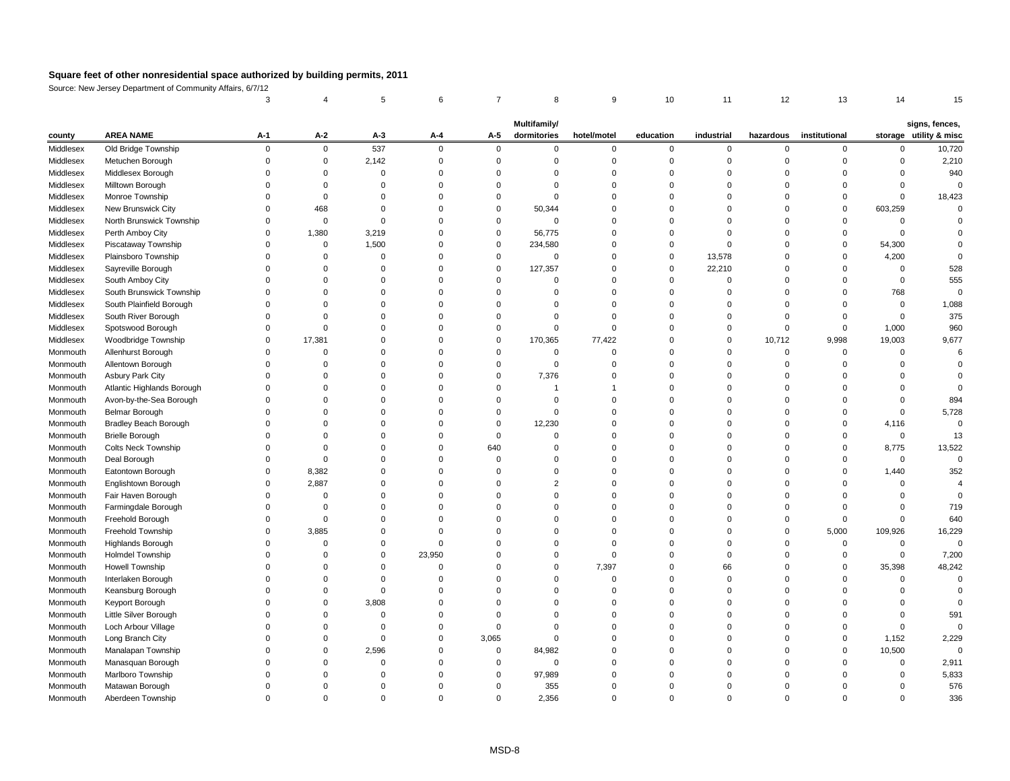Source: New Jersey Department of Community Affairs, 6/7/12

|           |                              |              |          |       |          |          | <b>Multifamily/</b> |              |           |            |           |               |         | signs, fences,         |
|-----------|------------------------------|--------------|----------|-------|----------|----------|---------------------|--------------|-----------|------------|-----------|---------------|---------|------------------------|
| county    | <b>AREA NAME</b>             | $A-1$        | $A-2$    | $A-3$ | $A-4$    | $A-5$    | dormitories         | hotel/motel  | education | industrial | hazardous | institutional |         | storage utility & misc |
| Middlesex | Old Bridge Township          | <sup>n</sup> | 0        | 537   | $\Omega$ |          | $\Omega$            | <sup>0</sup> |           | $\Omega$   | ∩         |               |         | 10,720                 |
| Middlesex | Metuchen Borough             |              |          | 2,142 |          |          |                     |              |           |            |           |               |         | 2,210                  |
| Middlesex | Middlesex Borough            |              |          |       |          |          | $\Omega$            |              |           |            |           |               |         | 940                    |
| Middlesex | Milltown Borough             |              |          |       |          |          |                     |              |           |            |           |               |         |                        |
| Middlesex | Monroe Township              |              |          |       |          |          |                     |              |           |            |           |               |         | 18,423                 |
| Middlesex | New Brunswick City           |              | 468      |       |          |          | 50,344              |              |           |            |           |               | 603,259 |                        |
| Middlesex | North Brunswick Township     |              | $\Omega$ |       |          |          | ∩                   |              |           |            |           |               |         |                        |
| Middlesex | Perth Amboy City             |              | 1,380    | 3,219 |          |          | 56,775              |              |           |            |           |               |         |                        |
| Middlesex | Piscataway Township          |              | 0        | 1,500 |          |          | 234,580             |              |           |            |           |               | 54,300  |                        |
| Middlesex | Plainsboro Township          |              |          |       |          |          | $\Omega$            |              |           | 13,578     |           |               | 4,200   |                        |
| Middlesex | Sayreville Borough           |              |          |       |          |          | 127,357             |              |           | 22,210     |           |               |         | 528                    |
| Middlesex | South Amboy City             |              |          |       |          |          |                     |              |           |            |           |               |         | 555                    |
| Middlesex | South Brunswick Township     |              |          |       |          |          |                     |              |           |            |           |               | 768     |                        |
| Middlesex | South Plainfield Borough     |              |          |       |          |          |                     |              |           |            |           |               |         | 1,088                  |
| Middlesex | South River Borough          |              |          |       |          |          |                     |              |           |            |           |               |         | 375                    |
| Middlesex | Spotswood Borough            |              |          |       |          |          | $\Omega$            |              |           |            |           |               | 1,000   | 960                    |
| Middlesex | Woodbridge Township          |              | 17,381   |       |          |          | 170,365             | 77,422       |           | 0          | 10,712    | 9,998         | 19,003  | 9,677                  |
| Monmouth  | Allenhurst Borough           |              |          |       |          |          |                     |              |           |            |           |               |         |                        |
| Monmouth  | Allentown Borough            |              |          |       |          |          | 0                   |              |           |            |           |               |         |                        |
| Monmouth  | <b>Asbury Park City</b>      |              |          |       |          |          | 7,376               |              |           |            |           |               |         |                        |
| Monmouth  | Atlantic Highlands Borough   |              |          |       |          |          |                     |              |           |            |           |               |         |                        |
| Monmouth  | Avon-by-the-Sea Borough      |              |          |       |          |          |                     |              |           |            |           |               |         | 894                    |
| Monmouth  | <b>Belmar Borough</b>        |              |          |       |          |          | 0                   |              |           |            |           |               |         | 5,728                  |
| Monmouth  | <b>Bradley Beach Borough</b> |              |          |       |          |          | 12,230              |              |           |            |           |               | 4,116   |                        |
| Monmouth  | <b>Brielle Borough</b>       |              |          |       |          |          |                     |              |           |            |           |               |         | 13                     |
| Monmouth  | <b>Colts Neck Township</b>   |              |          |       |          | 640      |                     |              |           |            |           |               | 8,775   | 13,522                 |
| Monmouth  | Deal Borough                 |              |          |       |          |          |                     |              |           |            |           |               |         |                        |
| Monmouth  | Eatontown Borough            |              | 8,382    |       |          |          |                     |              |           |            |           |               | 1,440   | 352                    |
| Monmouth  | Englishtown Borough          |              | 2,887    |       |          |          |                     |              |           |            |           |               |         |                        |
| Monmouth  | Fair Haven Borough           |              |          |       |          |          |                     |              |           |            |           |               |         |                        |
| Monmouth  | Farmingdale Borough          |              |          |       |          |          |                     |              |           |            |           |               |         | 719                    |
| Monmouth  | Freehold Borough             |              |          |       |          |          |                     |              |           |            |           |               |         | 640                    |
| Monmouth  | Freehold Township            |              | 3,885    |       |          |          |                     |              |           |            |           | 5,000         | 109,926 | 16,229                 |
| Monmouth  | Highlands Borough            |              |          |       |          |          |                     |              |           |            |           |               |         | 0                      |
| Monmouth  | <b>Holmdel Township</b>      |              |          |       | 23,950   |          |                     |              |           |            |           |               |         | 7,200                  |
| Monmouth  | <b>Howell Township</b>       |              |          |       |          |          |                     | 7,397        |           | 66         |           |               | 35,398  | 48,242                 |
| Monmouth  | Interlaken Borough           |              |          |       |          |          |                     |              |           |            |           |               |         |                        |
| Monmouth  | Keansburg Borough            |              |          |       |          |          |                     |              |           |            |           |               |         |                        |
| Monmouth  | Keyport Borough              |              |          | 3,808 |          |          |                     |              |           |            |           |               |         |                        |
| Monmouth  | Little Silver Borough        |              |          |       |          |          |                     |              |           |            |           |               |         | 591                    |
| Monmouth  | Loch Arbour Village          |              |          |       |          |          |                     |              |           |            |           |               |         |                        |
| Monmouth  | Long Branch City             |              |          |       |          | 3,065    |                     |              |           |            |           |               | 1,152   | 2,229                  |
| Monmouth  | Manalapan Township           |              |          | 2,596 |          | $\Omega$ | 84,982              |              |           |            |           |               | 10,500  |                        |
| Monmouth  | Manasquan Borough            |              |          |       |          |          | $\Omega$            |              |           |            |           |               |         | 2,911                  |
| Monmouth  | Marlboro Township            |              |          |       |          |          | 97,989              |              |           |            |           |               |         | 5,833                  |
| Monmouth  | Matawan Borough              |              |          |       |          |          | 355                 |              |           |            |           |               |         | 576                    |
| Monmouth  | Aberdeen Township            | 0            | 0        | 0     |          | $\Omega$ | 2,356               | 0            |           | 0          | 0         |               | 0       | 336                    |
|           |                              |              |          |       |          |          |                     |              |           |            |           |               |         |                        |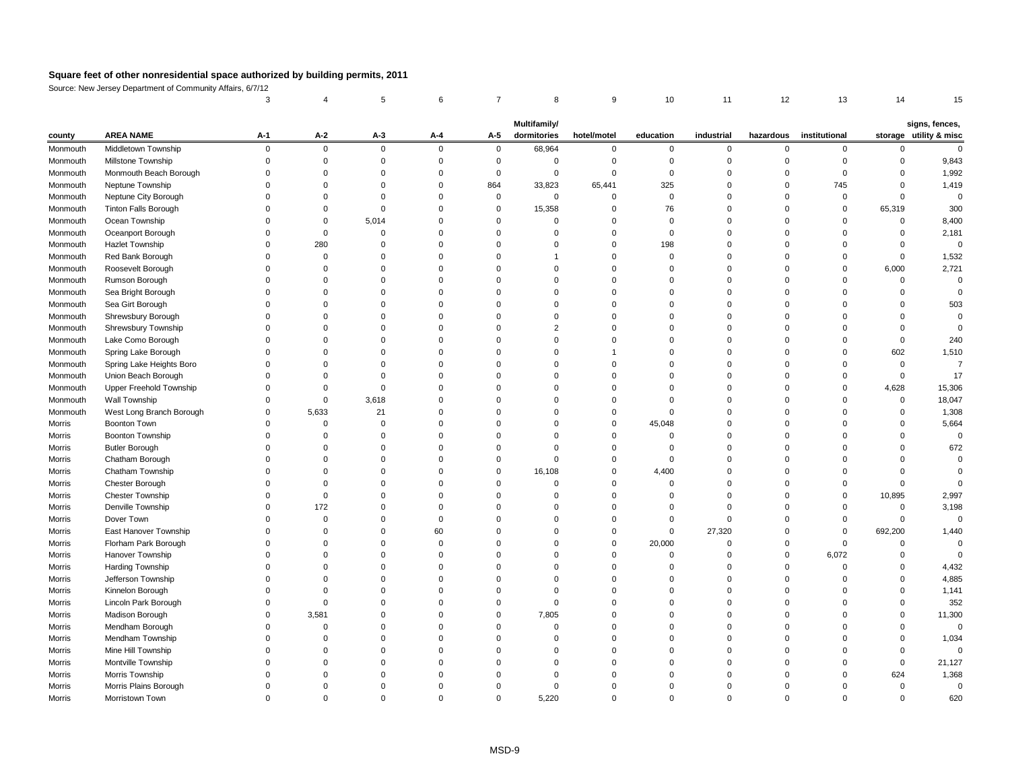Source: New Jersey Department of Community Affairs, 6/7/12

| signs, fences,<br>storage utility & misc<br><b>AREA NAME</b><br>$A-2$<br>hazardous institutional<br>$A-1$<br>$A-3$<br>$A-4$<br>$A-5$<br>dormitories<br>education<br>industrial<br>hotel/motel<br>county<br>Middletown Township<br>68,964<br>Monmouth<br>$\Omega$<br>$\mathbf 0$<br>$\mathbf 0$<br>$\overline{0}$<br>$\mathbf 0$<br>$\mathbf 0$<br>$\mathbf 0$<br>$\mathbf{0}$<br>$\overline{0}$<br>$\Omega$<br>Millstone Township<br>Monmouth<br>$\Omega$<br>Monmouth Beach Borough<br>Monmouth<br>$\Omega$<br>0<br>Neptune Township<br>864<br>33,823<br>325<br>745<br>65,441<br>Monmouth<br>Neptune City Borough<br>Monmouth<br>0<br>$\Omega$<br><b>Tinton Falls Borough</b><br>15,358<br>65,319<br>76<br>0<br>Monmouth<br>Ocean Township<br>5,014<br>Monmouth<br>$\Omega$<br>$\Omega$<br>0<br>Oceanport Borough<br>2,181<br>Monmouth<br>280<br><b>Hazlet Township</b><br>198<br>Monmouth<br>$\Omega$<br>Red Bank Borough<br>Monmouth<br>2,721<br>Roosevelt Borough<br>6,000<br>Monmouth<br>$\Omega$<br>Rumson Borough<br>Monmouth<br>Sea Bright Borough<br>Monmouth<br>$\Omega$<br>Sea Girt Borough<br>Monmouth<br>Shrewsbury Borough<br>Monmouth<br>Shrewsbury Township<br>Monmouth<br>Lake Como Borough<br>Monmouth<br>Spring Lake Borough<br>602<br>Monmouth<br>Spring Lake Heights Boro<br>Monmouth<br>Union Beach Borough<br>17<br>Monmouth<br>15,306<br>Upper Freehold Township<br>4,628<br>Monmouth<br>0<br>Wall Township<br>3,618<br>Monmouth<br>$\Omega$<br>5,633<br>West Long Branch Borough<br>21<br>Monmouth<br>0<br>$\Omega$<br><b>Boonton Town</b><br><b>Morris</b><br>45,048<br>0<br><b>Boonton Township</b><br>Morris<br><b>Butler Borough</b><br>Morris<br>Chatham Borough<br>Morris<br>$\Omega$<br>Morris<br>Chatham Township<br>16,108<br>4,400<br>Chester Borough<br><b>Morris</b><br><b>Chester Township</b><br>10,895<br><b>Morris</b><br>$\Omega$<br>Denville Township<br>Morris<br>172<br>Dover Town<br>Morris<br>$\Omega$<br>East Hanover Township<br>27,320<br>Morris<br>692,200<br>60<br>$\Omega$<br>Florham Park Borough<br>20,000<br><b>Morris</b><br>$\Omega$<br>Hanover Township<br>Morris<br>6,072<br>Harding Township<br>Morris<br>$\Omega$<br>Jefferson Township<br><b>Morris</b><br>Kinnelon Borough<br><b>Morris</b><br>$\Omega$<br>Lincoln Park Borough<br><b>Morris</b><br>$\Omega$<br>Madison Borough<br>3,581<br>7,805<br><b>Morris</b><br>$\Omega$<br>Mendham Borough<br>Morris<br>Mendham Township<br><b>Morris</b><br>Mine Hill Township<br>Morris<br>Montville Township<br>Morris<br>Morris Township<br>624<br><b>Morris</b><br>Morris Plains Borough<br>Morris<br>Morristown Town<br>5,220<br>Morris<br>0<br>0<br>$\Omega$ |  |  |  | <b>Multifamily/</b> |  |  |  |          |
|---------------------------------------------------------------------------------------------------------------------------------------------------------------------------------------------------------------------------------------------------------------------------------------------------------------------------------------------------------------------------------------------------------------------------------------------------------------------------------------------------------------------------------------------------------------------------------------------------------------------------------------------------------------------------------------------------------------------------------------------------------------------------------------------------------------------------------------------------------------------------------------------------------------------------------------------------------------------------------------------------------------------------------------------------------------------------------------------------------------------------------------------------------------------------------------------------------------------------------------------------------------------------------------------------------------------------------------------------------------------------------------------------------------------------------------------------------------------------------------------------------------------------------------------------------------------------------------------------------------------------------------------------------------------------------------------------------------------------------------------------------------------------------------------------------------------------------------------------------------------------------------------------------------------------------------------------------------------------------------------------------------------------------------------------------------------------------------------------------------------------------------------------------------------------------------------------------------------------------------------------------------------------------------------------------------------------------------------------------------------------------------------------------------------------------------------------------------------------------------------------------------------------------------------------------------------------------------------------------------------------------------------------------------------------|--|--|--|---------------------|--|--|--|----------|
|                                                                                                                                                                                                                                                                                                                                                                                                                                                                                                                                                                                                                                                                                                                                                                                                                                                                                                                                                                                                                                                                                                                                                                                                                                                                                                                                                                                                                                                                                                                                                                                                                                                                                                                                                                                                                                                                                                                                                                                                                                                                                                                                                                                                                                                                                                                                                                                                                                                                                                                                                                                                                                                                           |  |  |  |                     |  |  |  |          |
|                                                                                                                                                                                                                                                                                                                                                                                                                                                                                                                                                                                                                                                                                                                                                                                                                                                                                                                                                                                                                                                                                                                                                                                                                                                                                                                                                                                                                                                                                                                                                                                                                                                                                                                                                                                                                                                                                                                                                                                                                                                                                                                                                                                                                                                                                                                                                                                                                                                                                                                                                                                                                                                                           |  |  |  |                     |  |  |  |          |
|                                                                                                                                                                                                                                                                                                                                                                                                                                                                                                                                                                                                                                                                                                                                                                                                                                                                                                                                                                                                                                                                                                                                                                                                                                                                                                                                                                                                                                                                                                                                                                                                                                                                                                                                                                                                                                                                                                                                                                                                                                                                                                                                                                                                                                                                                                                                                                                                                                                                                                                                                                                                                                                                           |  |  |  |                     |  |  |  | 9,843    |
|                                                                                                                                                                                                                                                                                                                                                                                                                                                                                                                                                                                                                                                                                                                                                                                                                                                                                                                                                                                                                                                                                                                                                                                                                                                                                                                                                                                                                                                                                                                                                                                                                                                                                                                                                                                                                                                                                                                                                                                                                                                                                                                                                                                                                                                                                                                                                                                                                                                                                                                                                                                                                                                                           |  |  |  |                     |  |  |  | 1,992    |
|                                                                                                                                                                                                                                                                                                                                                                                                                                                                                                                                                                                                                                                                                                                                                                                                                                                                                                                                                                                                                                                                                                                                                                                                                                                                                                                                                                                                                                                                                                                                                                                                                                                                                                                                                                                                                                                                                                                                                                                                                                                                                                                                                                                                                                                                                                                                                                                                                                                                                                                                                                                                                                                                           |  |  |  |                     |  |  |  | 1,419    |
|                                                                                                                                                                                                                                                                                                                                                                                                                                                                                                                                                                                                                                                                                                                                                                                                                                                                                                                                                                                                                                                                                                                                                                                                                                                                                                                                                                                                                                                                                                                                                                                                                                                                                                                                                                                                                                                                                                                                                                                                                                                                                                                                                                                                                                                                                                                                                                                                                                                                                                                                                                                                                                                                           |  |  |  |                     |  |  |  | $\Omega$ |
|                                                                                                                                                                                                                                                                                                                                                                                                                                                                                                                                                                                                                                                                                                                                                                                                                                                                                                                                                                                                                                                                                                                                                                                                                                                                                                                                                                                                                                                                                                                                                                                                                                                                                                                                                                                                                                                                                                                                                                                                                                                                                                                                                                                                                                                                                                                                                                                                                                                                                                                                                                                                                                                                           |  |  |  |                     |  |  |  | 300      |
|                                                                                                                                                                                                                                                                                                                                                                                                                                                                                                                                                                                                                                                                                                                                                                                                                                                                                                                                                                                                                                                                                                                                                                                                                                                                                                                                                                                                                                                                                                                                                                                                                                                                                                                                                                                                                                                                                                                                                                                                                                                                                                                                                                                                                                                                                                                                                                                                                                                                                                                                                                                                                                                                           |  |  |  |                     |  |  |  | 8,400    |
|                                                                                                                                                                                                                                                                                                                                                                                                                                                                                                                                                                                                                                                                                                                                                                                                                                                                                                                                                                                                                                                                                                                                                                                                                                                                                                                                                                                                                                                                                                                                                                                                                                                                                                                                                                                                                                                                                                                                                                                                                                                                                                                                                                                                                                                                                                                                                                                                                                                                                                                                                                                                                                                                           |  |  |  |                     |  |  |  |          |
|                                                                                                                                                                                                                                                                                                                                                                                                                                                                                                                                                                                                                                                                                                                                                                                                                                                                                                                                                                                                                                                                                                                                                                                                                                                                                                                                                                                                                                                                                                                                                                                                                                                                                                                                                                                                                                                                                                                                                                                                                                                                                                                                                                                                                                                                                                                                                                                                                                                                                                                                                                                                                                                                           |  |  |  |                     |  |  |  | 0        |
|                                                                                                                                                                                                                                                                                                                                                                                                                                                                                                                                                                                                                                                                                                                                                                                                                                                                                                                                                                                                                                                                                                                                                                                                                                                                                                                                                                                                                                                                                                                                                                                                                                                                                                                                                                                                                                                                                                                                                                                                                                                                                                                                                                                                                                                                                                                                                                                                                                                                                                                                                                                                                                                                           |  |  |  |                     |  |  |  | 1,532    |
|                                                                                                                                                                                                                                                                                                                                                                                                                                                                                                                                                                                                                                                                                                                                                                                                                                                                                                                                                                                                                                                                                                                                                                                                                                                                                                                                                                                                                                                                                                                                                                                                                                                                                                                                                                                                                                                                                                                                                                                                                                                                                                                                                                                                                                                                                                                                                                                                                                                                                                                                                                                                                                                                           |  |  |  |                     |  |  |  |          |
|                                                                                                                                                                                                                                                                                                                                                                                                                                                                                                                                                                                                                                                                                                                                                                                                                                                                                                                                                                                                                                                                                                                                                                                                                                                                                                                                                                                                                                                                                                                                                                                                                                                                                                                                                                                                                                                                                                                                                                                                                                                                                                                                                                                                                                                                                                                                                                                                                                                                                                                                                                                                                                                                           |  |  |  |                     |  |  |  |          |
|                                                                                                                                                                                                                                                                                                                                                                                                                                                                                                                                                                                                                                                                                                                                                                                                                                                                                                                                                                                                                                                                                                                                                                                                                                                                                                                                                                                                                                                                                                                                                                                                                                                                                                                                                                                                                                                                                                                                                                                                                                                                                                                                                                                                                                                                                                                                                                                                                                                                                                                                                                                                                                                                           |  |  |  |                     |  |  |  |          |
|                                                                                                                                                                                                                                                                                                                                                                                                                                                                                                                                                                                                                                                                                                                                                                                                                                                                                                                                                                                                                                                                                                                                                                                                                                                                                                                                                                                                                                                                                                                                                                                                                                                                                                                                                                                                                                                                                                                                                                                                                                                                                                                                                                                                                                                                                                                                                                                                                                                                                                                                                                                                                                                                           |  |  |  |                     |  |  |  | 503      |
|                                                                                                                                                                                                                                                                                                                                                                                                                                                                                                                                                                                                                                                                                                                                                                                                                                                                                                                                                                                                                                                                                                                                                                                                                                                                                                                                                                                                                                                                                                                                                                                                                                                                                                                                                                                                                                                                                                                                                                                                                                                                                                                                                                                                                                                                                                                                                                                                                                                                                                                                                                                                                                                                           |  |  |  |                     |  |  |  |          |
|                                                                                                                                                                                                                                                                                                                                                                                                                                                                                                                                                                                                                                                                                                                                                                                                                                                                                                                                                                                                                                                                                                                                                                                                                                                                                                                                                                                                                                                                                                                                                                                                                                                                                                                                                                                                                                                                                                                                                                                                                                                                                                                                                                                                                                                                                                                                                                                                                                                                                                                                                                                                                                                                           |  |  |  |                     |  |  |  |          |
|                                                                                                                                                                                                                                                                                                                                                                                                                                                                                                                                                                                                                                                                                                                                                                                                                                                                                                                                                                                                                                                                                                                                                                                                                                                                                                                                                                                                                                                                                                                                                                                                                                                                                                                                                                                                                                                                                                                                                                                                                                                                                                                                                                                                                                                                                                                                                                                                                                                                                                                                                                                                                                                                           |  |  |  |                     |  |  |  | 240      |
|                                                                                                                                                                                                                                                                                                                                                                                                                                                                                                                                                                                                                                                                                                                                                                                                                                                                                                                                                                                                                                                                                                                                                                                                                                                                                                                                                                                                                                                                                                                                                                                                                                                                                                                                                                                                                                                                                                                                                                                                                                                                                                                                                                                                                                                                                                                                                                                                                                                                                                                                                                                                                                                                           |  |  |  |                     |  |  |  | 1,510    |
|                                                                                                                                                                                                                                                                                                                                                                                                                                                                                                                                                                                                                                                                                                                                                                                                                                                                                                                                                                                                                                                                                                                                                                                                                                                                                                                                                                                                                                                                                                                                                                                                                                                                                                                                                                                                                                                                                                                                                                                                                                                                                                                                                                                                                                                                                                                                                                                                                                                                                                                                                                                                                                                                           |  |  |  |                     |  |  |  |          |
|                                                                                                                                                                                                                                                                                                                                                                                                                                                                                                                                                                                                                                                                                                                                                                                                                                                                                                                                                                                                                                                                                                                                                                                                                                                                                                                                                                                                                                                                                                                                                                                                                                                                                                                                                                                                                                                                                                                                                                                                                                                                                                                                                                                                                                                                                                                                                                                                                                                                                                                                                                                                                                                                           |  |  |  |                     |  |  |  |          |
|                                                                                                                                                                                                                                                                                                                                                                                                                                                                                                                                                                                                                                                                                                                                                                                                                                                                                                                                                                                                                                                                                                                                                                                                                                                                                                                                                                                                                                                                                                                                                                                                                                                                                                                                                                                                                                                                                                                                                                                                                                                                                                                                                                                                                                                                                                                                                                                                                                                                                                                                                                                                                                                                           |  |  |  |                     |  |  |  |          |
|                                                                                                                                                                                                                                                                                                                                                                                                                                                                                                                                                                                                                                                                                                                                                                                                                                                                                                                                                                                                                                                                                                                                                                                                                                                                                                                                                                                                                                                                                                                                                                                                                                                                                                                                                                                                                                                                                                                                                                                                                                                                                                                                                                                                                                                                                                                                                                                                                                                                                                                                                                                                                                                                           |  |  |  |                     |  |  |  | 18,047   |
|                                                                                                                                                                                                                                                                                                                                                                                                                                                                                                                                                                                                                                                                                                                                                                                                                                                                                                                                                                                                                                                                                                                                                                                                                                                                                                                                                                                                                                                                                                                                                                                                                                                                                                                                                                                                                                                                                                                                                                                                                                                                                                                                                                                                                                                                                                                                                                                                                                                                                                                                                                                                                                                                           |  |  |  |                     |  |  |  | 1,308    |
|                                                                                                                                                                                                                                                                                                                                                                                                                                                                                                                                                                                                                                                                                                                                                                                                                                                                                                                                                                                                                                                                                                                                                                                                                                                                                                                                                                                                                                                                                                                                                                                                                                                                                                                                                                                                                                                                                                                                                                                                                                                                                                                                                                                                                                                                                                                                                                                                                                                                                                                                                                                                                                                                           |  |  |  |                     |  |  |  | 5,664    |
|                                                                                                                                                                                                                                                                                                                                                                                                                                                                                                                                                                                                                                                                                                                                                                                                                                                                                                                                                                                                                                                                                                                                                                                                                                                                                                                                                                                                                                                                                                                                                                                                                                                                                                                                                                                                                                                                                                                                                                                                                                                                                                                                                                                                                                                                                                                                                                                                                                                                                                                                                                                                                                                                           |  |  |  |                     |  |  |  |          |
|                                                                                                                                                                                                                                                                                                                                                                                                                                                                                                                                                                                                                                                                                                                                                                                                                                                                                                                                                                                                                                                                                                                                                                                                                                                                                                                                                                                                                                                                                                                                                                                                                                                                                                                                                                                                                                                                                                                                                                                                                                                                                                                                                                                                                                                                                                                                                                                                                                                                                                                                                                                                                                                                           |  |  |  |                     |  |  |  | 672      |
|                                                                                                                                                                                                                                                                                                                                                                                                                                                                                                                                                                                                                                                                                                                                                                                                                                                                                                                                                                                                                                                                                                                                                                                                                                                                                                                                                                                                                                                                                                                                                                                                                                                                                                                                                                                                                                                                                                                                                                                                                                                                                                                                                                                                                                                                                                                                                                                                                                                                                                                                                                                                                                                                           |  |  |  |                     |  |  |  |          |
|                                                                                                                                                                                                                                                                                                                                                                                                                                                                                                                                                                                                                                                                                                                                                                                                                                                                                                                                                                                                                                                                                                                                                                                                                                                                                                                                                                                                                                                                                                                                                                                                                                                                                                                                                                                                                                                                                                                                                                                                                                                                                                                                                                                                                                                                                                                                                                                                                                                                                                                                                                                                                                                                           |  |  |  |                     |  |  |  |          |
|                                                                                                                                                                                                                                                                                                                                                                                                                                                                                                                                                                                                                                                                                                                                                                                                                                                                                                                                                                                                                                                                                                                                                                                                                                                                                                                                                                                                                                                                                                                                                                                                                                                                                                                                                                                                                                                                                                                                                                                                                                                                                                                                                                                                                                                                                                                                                                                                                                                                                                                                                                                                                                                                           |  |  |  |                     |  |  |  |          |
|                                                                                                                                                                                                                                                                                                                                                                                                                                                                                                                                                                                                                                                                                                                                                                                                                                                                                                                                                                                                                                                                                                                                                                                                                                                                                                                                                                                                                                                                                                                                                                                                                                                                                                                                                                                                                                                                                                                                                                                                                                                                                                                                                                                                                                                                                                                                                                                                                                                                                                                                                                                                                                                                           |  |  |  |                     |  |  |  | 2,997    |
|                                                                                                                                                                                                                                                                                                                                                                                                                                                                                                                                                                                                                                                                                                                                                                                                                                                                                                                                                                                                                                                                                                                                                                                                                                                                                                                                                                                                                                                                                                                                                                                                                                                                                                                                                                                                                                                                                                                                                                                                                                                                                                                                                                                                                                                                                                                                                                                                                                                                                                                                                                                                                                                                           |  |  |  |                     |  |  |  | 3,198    |
|                                                                                                                                                                                                                                                                                                                                                                                                                                                                                                                                                                                                                                                                                                                                                                                                                                                                                                                                                                                                                                                                                                                                                                                                                                                                                                                                                                                                                                                                                                                                                                                                                                                                                                                                                                                                                                                                                                                                                                                                                                                                                                                                                                                                                                                                                                                                                                                                                                                                                                                                                                                                                                                                           |  |  |  |                     |  |  |  | 0        |
|                                                                                                                                                                                                                                                                                                                                                                                                                                                                                                                                                                                                                                                                                                                                                                                                                                                                                                                                                                                                                                                                                                                                                                                                                                                                                                                                                                                                                                                                                                                                                                                                                                                                                                                                                                                                                                                                                                                                                                                                                                                                                                                                                                                                                                                                                                                                                                                                                                                                                                                                                                                                                                                                           |  |  |  |                     |  |  |  | 1,440    |
|                                                                                                                                                                                                                                                                                                                                                                                                                                                                                                                                                                                                                                                                                                                                                                                                                                                                                                                                                                                                                                                                                                                                                                                                                                                                                                                                                                                                                                                                                                                                                                                                                                                                                                                                                                                                                                                                                                                                                                                                                                                                                                                                                                                                                                                                                                                                                                                                                                                                                                                                                                                                                                                                           |  |  |  |                     |  |  |  |          |
|                                                                                                                                                                                                                                                                                                                                                                                                                                                                                                                                                                                                                                                                                                                                                                                                                                                                                                                                                                                                                                                                                                                                                                                                                                                                                                                                                                                                                                                                                                                                                                                                                                                                                                                                                                                                                                                                                                                                                                                                                                                                                                                                                                                                                                                                                                                                                                                                                                                                                                                                                                                                                                                                           |  |  |  |                     |  |  |  |          |
|                                                                                                                                                                                                                                                                                                                                                                                                                                                                                                                                                                                                                                                                                                                                                                                                                                                                                                                                                                                                                                                                                                                                                                                                                                                                                                                                                                                                                                                                                                                                                                                                                                                                                                                                                                                                                                                                                                                                                                                                                                                                                                                                                                                                                                                                                                                                                                                                                                                                                                                                                                                                                                                                           |  |  |  |                     |  |  |  | 4,432    |
|                                                                                                                                                                                                                                                                                                                                                                                                                                                                                                                                                                                                                                                                                                                                                                                                                                                                                                                                                                                                                                                                                                                                                                                                                                                                                                                                                                                                                                                                                                                                                                                                                                                                                                                                                                                                                                                                                                                                                                                                                                                                                                                                                                                                                                                                                                                                                                                                                                                                                                                                                                                                                                                                           |  |  |  |                     |  |  |  | 4,885    |
|                                                                                                                                                                                                                                                                                                                                                                                                                                                                                                                                                                                                                                                                                                                                                                                                                                                                                                                                                                                                                                                                                                                                                                                                                                                                                                                                                                                                                                                                                                                                                                                                                                                                                                                                                                                                                                                                                                                                                                                                                                                                                                                                                                                                                                                                                                                                                                                                                                                                                                                                                                                                                                                                           |  |  |  |                     |  |  |  | 1,141    |
|                                                                                                                                                                                                                                                                                                                                                                                                                                                                                                                                                                                                                                                                                                                                                                                                                                                                                                                                                                                                                                                                                                                                                                                                                                                                                                                                                                                                                                                                                                                                                                                                                                                                                                                                                                                                                                                                                                                                                                                                                                                                                                                                                                                                                                                                                                                                                                                                                                                                                                                                                                                                                                                                           |  |  |  |                     |  |  |  | 352      |
|                                                                                                                                                                                                                                                                                                                                                                                                                                                                                                                                                                                                                                                                                                                                                                                                                                                                                                                                                                                                                                                                                                                                                                                                                                                                                                                                                                                                                                                                                                                                                                                                                                                                                                                                                                                                                                                                                                                                                                                                                                                                                                                                                                                                                                                                                                                                                                                                                                                                                                                                                                                                                                                                           |  |  |  |                     |  |  |  | 11,300   |
|                                                                                                                                                                                                                                                                                                                                                                                                                                                                                                                                                                                                                                                                                                                                                                                                                                                                                                                                                                                                                                                                                                                                                                                                                                                                                                                                                                                                                                                                                                                                                                                                                                                                                                                                                                                                                                                                                                                                                                                                                                                                                                                                                                                                                                                                                                                                                                                                                                                                                                                                                                                                                                                                           |  |  |  |                     |  |  |  | 0        |
|                                                                                                                                                                                                                                                                                                                                                                                                                                                                                                                                                                                                                                                                                                                                                                                                                                                                                                                                                                                                                                                                                                                                                                                                                                                                                                                                                                                                                                                                                                                                                                                                                                                                                                                                                                                                                                                                                                                                                                                                                                                                                                                                                                                                                                                                                                                                                                                                                                                                                                                                                                                                                                                                           |  |  |  |                     |  |  |  | 1,034    |
|                                                                                                                                                                                                                                                                                                                                                                                                                                                                                                                                                                                                                                                                                                                                                                                                                                                                                                                                                                                                                                                                                                                                                                                                                                                                                                                                                                                                                                                                                                                                                                                                                                                                                                                                                                                                                                                                                                                                                                                                                                                                                                                                                                                                                                                                                                                                                                                                                                                                                                                                                                                                                                                                           |  |  |  |                     |  |  |  |          |
|                                                                                                                                                                                                                                                                                                                                                                                                                                                                                                                                                                                                                                                                                                                                                                                                                                                                                                                                                                                                                                                                                                                                                                                                                                                                                                                                                                                                                                                                                                                                                                                                                                                                                                                                                                                                                                                                                                                                                                                                                                                                                                                                                                                                                                                                                                                                                                                                                                                                                                                                                                                                                                                                           |  |  |  |                     |  |  |  | 21,127   |
|                                                                                                                                                                                                                                                                                                                                                                                                                                                                                                                                                                                                                                                                                                                                                                                                                                                                                                                                                                                                                                                                                                                                                                                                                                                                                                                                                                                                                                                                                                                                                                                                                                                                                                                                                                                                                                                                                                                                                                                                                                                                                                                                                                                                                                                                                                                                                                                                                                                                                                                                                                                                                                                                           |  |  |  |                     |  |  |  | 1,368    |
|                                                                                                                                                                                                                                                                                                                                                                                                                                                                                                                                                                                                                                                                                                                                                                                                                                                                                                                                                                                                                                                                                                                                                                                                                                                                                                                                                                                                                                                                                                                                                                                                                                                                                                                                                                                                                                                                                                                                                                                                                                                                                                                                                                                                                                                                                                                                                                                                                                                                                                                                                                                                                                                                           |  |  |  |                     |  |  |  | 0        |
|                                                                                                                                                                                                                                                                                                                                                                                                                                                                                                                                                                                                                                                                                                                                                                                                                                                                                                                                                                                                                                                                                                                                                                                                                                                                                                                                                                                                                                                                                                                                                                                                                                                                                                                                                                                                                                                                                                                                                                                                                                                                                                                                                                                                                                                                                                                                                                                                                                                                                                                                                                                                                                                                           |  |  |  |                     |  |  |  | 620      |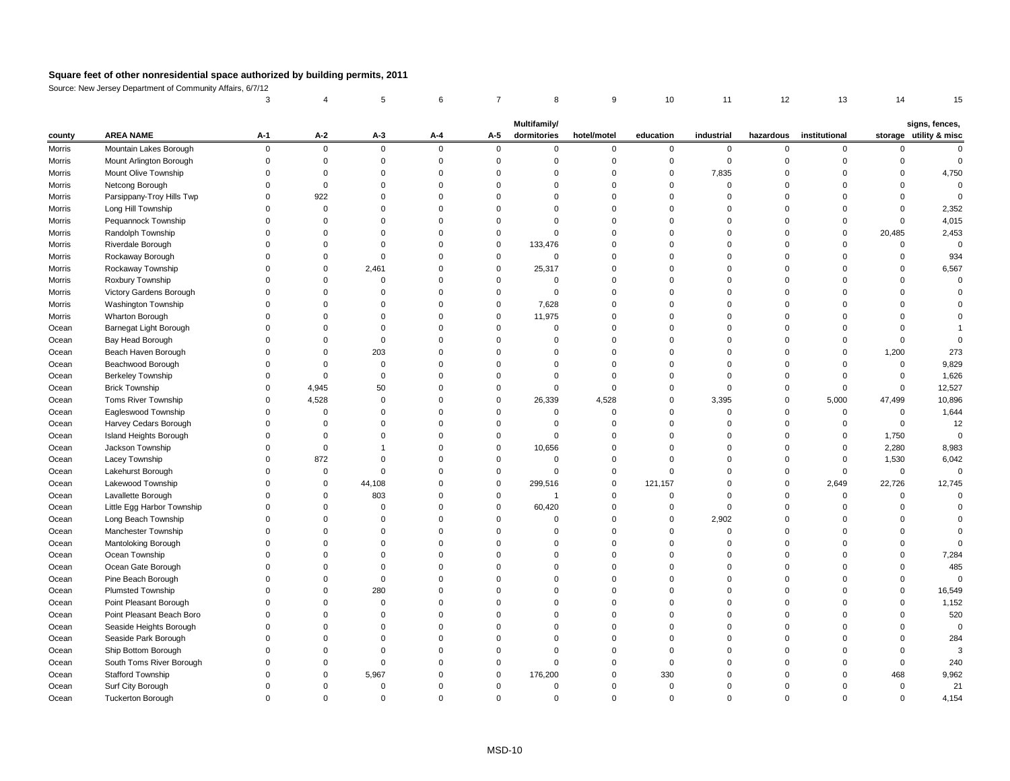Source: New Jersey Department of Community Affairs, 6/7/12

| storage utility & misc<br><b>AREA NAME</b><br>$A-2$<br>dormitories<br>institutional<br>$A-1$<br>$A-3$<br>$A-5$<br>hotel/motel<br>education<br>industrial<br>hazardous<br>$A - 4$<br>county<br>Mountain Lakes Borough<br>Morris<br>0<br>$\mathbf 0$<br>$\mathbf 0$<br>$\Omega$<br>$\Omega$<br>$\mathbf 0$<br>0<br>0<br>-0<br>$\Omega$<br>Mount Arlington Borough<br>Morris<br>$\Omega$<br>- ೧<br>Mount Olive Township<br>7,835<br><b>Morris</b><br>$\Omega$<br>$\Omega$<br>Netcong Borough<br><b>Morris</b><br>Parsippany-Troy Hills Twp<br>922<br><b>Morris</b><br>Long Hill Township<br><b>Morris</b><br>Pequannock Township<br><b>Morris</b><br>$\Omega$<br>Randolph Township<br><b>Morris</b><br>20,485<br>$\Omega$<br>Riverdale Borough<br>133,476<br><b>Morris</b><br>$\Omega$<br>$\Omega$<br>Rockaway Borough<br><b>Morris</b><br>$\Omega$<br>Rockaway Township<br>2,461<br>25,317<br>Morris<br>$\Omega$<br>Roxbury Township<br><b>Morris</b><br>∩<br>Victory Gardens Borough<br><b>Morris</b><br>∩<br>Washington Township<br>7,628<br><b>Morris</b><br><b>Wharton Borough</b><br>11,975<br><b>Morris</b><br>Barnegat Light Borough<br>Ocean<br>Bay Head Borough<br>Ocean<br>Beach Haven Borough<br>203<br>1,200<br>Ocean<br>$\Omega$<br>Beachwood Borough<br>Ocean<br><b>Berkeley Township</b><br>Ocean<br>4,945<br><b>Brick Township</b><br>50<br>Ocean<br>Toms River Township<br>4,528<br>26,339<br>4,528<br>3,395<br>5,000<br>47,499<br>Ocean<br>Eagleswood Township<br>Ocean<br>$\Omega$<br>0<br>Harvey Cedars Borough<br>Ocean<br>$\Omega$<br>$\Omega$<br>Island Heights Borough<br>1,750<br>$\Omega$<br>$\Omega$<br>Ocean<br>Jackson Township<br>10,656<br>2,280<br>Ocean<br>$\Omega$<br>Lacey Township<br>872<br>1,530<br>Ocean<br>$\Omega$<br>$\Omega$<br>Ocean<br>Lakehurst Borough<br>Lakewood Township<br>44,108<br>121,157<br>2,649<br>22,726<br>Ocean<br>299,516<br>Lavallette Borough<br>803<br>Ocean<br>0<br>$\Omega$<br>$\Omega$<br>$\Omega$<br>Little Egg Harbor Township<br>60,420<br>Ocean<br>Long Beach Township<br>2,902<br>Ocean<br>0<br>Manchester Township<br>Ocean<br>Mantoloking Borough<br>Ocean<br>Ocean Township<br>Ocean<br>Ocean Gate Borough<br>Ocean<br>Pine Beach Borough<br>Ocean<br>Plumsted Township<br>280<br>Ocean<br>Point Pleasant Borough<br>Ocean<br>Point Pleasant Beach Boro<br>Ocean<br>Seaside Heights Borough<br>Ocean<br>Seaside Park Borough<br>Ocean<br>Ship Bottom Borough<br>Ocean<br>South Toms River Borough<br>Ocean<br><b>Stafford Township</b><br>330<br>5,967<br>176,200<br>Ocean<br>468<br>Surf City Borough<br>Ocean<br>$\Omega$ |       |                          |   |          |          |  | <b>Multifamily/</b> |   |   |          |          |   | signs, fences, |
|------------------------------------------------------------------------------------------------------------------------------------------------------------------------------------------------------------------------------------------------------------------------------------------------------------------------------------------------------------------------------------------------------------------------------------------------------------------------------------------------------------------------------------------------------------------------------------------------------------------------------------------------------------------------------------------------------------------------------------------------------------------------------------------------------------------------------------------------------------------------------------------------------------------------------------------------------------------------------------------------------------------------------------------------------------------------------------------------------------------------------------------------------------------------------------------------------------------------------------------------------------------------------------------------------------------------------------------------------------------------------------------------------------------------------------------------------------------------------------------------------------------------------------------------------------------------------------------------------------------------------------------------------------------------------------------------------------------------------------------------------------------------------------------------------------------------------------------------------------------------------------------------------------------------------------------------------------------------------------------------------------------------------------------------------------------------------------------------------------------------------------------------------------------------------------------------------------------------------------------------------------------------------------------------------------------------------------------------------------------------------------------------------------------------------------------------------------------------------------------------------------------------------------------------------------------------------------------------------|-------|--------------------------|---|----------|----------|--|---------------------|---|---|----------|----------|---|----------------|
|                                                                                                                                                                                                                                                                                                                                                                                                                                                                                                                                                                                                                                                                                                                                                                                                                                                                                                                                                                                                                                                                                                                                                                                                                                                                                                                                                                                                                                                                                                                                                                                                                                                                                                                                                                                                                                                                                                                                                                                                                                                                                                                                                                                                                                                                                                                                                                                                                                                                                                                                                                                                      |       |                          |   |          |          |  |                     |   |   |          |          |   |                |
|                                                                                                                                                                                                                                                                                                                                                                                                                                                                                                                                                                                                                                                                                                                                                                                                                                                                                                                                                                                                                                                                                                                                                                                                                                                                                                                                                                                                                                                                                                                                                                                                                                                                                                                                                                                                                                                                                                                                                                                                                                                                                                                                                                                                                                                                                                                                                                                                                                                                                                                                                                                                      |       |                          |   |          |          |  |                     |   |   |          |          |   |                |
|                                                                                                                                                                                                                                                                                                                                                                                                                                                                                                                                                                                                                                                                                                                                                                                                                                                                                                                                                                                                                                                                                                                                                                                                                                                                                                                                                                                                                                                                                                                                                                                                                                                                                                                                                                                                                                                                                                                                                                                                                                                                                                                                                                                                                                                                                                                                                                                                                                                                                                                                                                                                      |       |                          |   |          |          |  |                     |   |   |          |          |   |                |
|                                                                                                                                                                                                                                                                                                                                                                                                                                                                                                                                                                                                                                                                                                                                                                                                                                                                                                                                                                                                                                                                                                                                                                                                                                                                                                                                                                                                                                                                                                                                                                                                                                                                                                                                                                                                                                                                                                                                                                                                                                                                                                                                                                                                                                                                                                                                                                                                                                                                                                                                                                                                      |       |                          |   |          |          |  |                     |   |   |          |          |   | 4,750          |
|                                                                                                                                                                                                                                                                                                                                                                                                                                                                                                                                                                                                                                                                                                                                                                                                                                                                                                                                                                                                                                                                                                                                                                                                                                                                                                                                                                                                                                                                                                                                                                                                                                                                                                                                                                                                                                                                                                                                                                                                                                                                                                                                                                                                                                                                                                                                                                                                                                                                                                                                                                                                      |       |                          |   |          |          |  |                     |   |   |          |          |   |                |
|                                                                                                                                                                                                                                                                                                                                                                                                                                                                                                                                                                                                                                                                                                                                                                                                                                                                                                                                                                                                                                                                                                                                                                                                                                                                                                                                                                                                                                                                                                                                                                                                                                                                                                                                                                                                                                                                                                                                                                                                                                                                                                                                                                                                                                                                                                                                                                                                                                                                                                                                                                                                      |       |                          |   |          |          |  |                     |   |   |          |          |   |                |
|                                                                                                                                                                                                                                                                                                                                                                                                                                                                                                                                                                                                                                                                                                                                                                                                                                                                                                                                                                                                                                                                                                                                                                                                                                                                                                                                                                                                                                                                                                                                                                                                                                                                                                                                                                                                                                                                                                                                                                                                                                                                                                                                                                                                                                                                                                                                                                                                                                                                                                                                                                                                      |       |                          |   |          |          |  |                     |   |   |          |          |   | 2,352          |
|                                                                                                                                                                                                                                                                                                                                                                                                                                                                                                                                                                                                                                                                                                                                                                                                                                                                                                                                                                                                                                                                                                                                                                                                                                                                                                                                                                                                                                                                                                                                                                                                                                                                                                                                                                                                                                                                                                                                                                                                                                                                                                                                                                                                                                                                                                                                                                                                                                                                                                                                                                                                      |       |                          |   |          |          |  |                     |   |   |          |          |   | 4,015          |
|                                                                                                                                                                                                                                                                                                                                                                                                                                                                                                                                                                                                                                                                                                                                                                                                                                                                                                                                                                                                                                                                                                                                                                                                                                                                                                                                                                                                                                                                                                                                                                                                                                                                                                                                                                                                                                                                                                                                                                                                                                                                                                                                                                                                                                                                                                                                                                                                                                                                                                                                                                                                      |       |                          |   |          |          |  |                     |   |   |          |          |   | 2,453          |
|                                                                                                                                                                                                                                                                                                                                                                                                                                                                                                                                                                                                                                                                                                                                                                                                                                                                                                                                                                                                                                                                                                                                                                                                                                                                                                                                                                                                                                                                                                                                                                                                                                                                                                                                                                                                                                                                                                                                                                                                                                                                                                                                                                                                                                                                                                                                                                                                                                                                                                                                                                                                      |       |                          |   |          |          |  |                     |   |   |          |          |   |                |
|                                                                                                                                                                                                                                                                                                                                                                                                                                                                                                                                                                                                                                                                                                                                                                                                                                                                                                                                                                                                                                                                                                                                                                                                                                                                                                                                                                                                                                                                                                                                                                                                                                                                                                                                                                                                                                                                                                                                                                                                                                                                                                                                                                                                                                                                                                                                                                                                                                                                                                                                                                                                      |       |                          |   |          |          |  |                     |   |   |          |          |   | 934            |
|                                                                                                                                                                                                                                                                                                                                                                                                                                                                                                                                                                                                                                                                                                                                                                                                                                                                                                                                                                                                                                                                                                                                                                                                                                                                                                                                                                                                                                                                                                                                                                                                                                                                                                                                                                                                                                                                                                                                                                                                                                                                                                                                                                                                                                                                                                                                                                                                                                                                                                                                                                                                      |       |                          |   |          |          |  |                     |   |   |          |          |   | 6,567          |
|                                                                                                                                                                                                                                                                                                                                                                                                                                                                                                                                                                                                                                                                                                                                                                                                                                                                                                                                                                                                                                                                                                                                                                                                                                                                                                                                                                                                                                                                                                                                                                                                                                                                                                                                                                                                                                                                                                                                                                                                                                                                                                                                                                                                                                                                                                                                                                                                                                                                                                                                                                                                      |       |                          |   |          |          |  |                     |   |   |          |          |   |                |
|                                                                                                                                                                                                                                                                                                                                                                                                                                                                                                                                                                                                                                                                                                                                                                                                                                                                                                                                                                                                                                                                                                                                                                                                                                                                                                                                                                                                                                                                                                                                                                                                                                                                                                                                                                                                                                                                                                                                                                                                                                                                                                                                                                                                                                                                                                                                                                                                                                                                                                                                                                                                      |       |                          |   |          |          |  |                     |   |   |          |          |   |                |
|                                                                                                                                                                                                                                                                                                                                                                                                                                                                                                                                                                                                                                                                                                                                                                                                                                                                                                                                                                                                                                                                                                                                                                                                                                                                                                                                                                                                                                                                                                                                                                                                                                                                                                                                                                                                                                                                                                                                                                                                                                                                                                                                                                                                                                                                                                                                                                                                                                                                                                                                                                                                      |       |                          |   |          |          |  |                     |   |   |          |          |   |                |
|                                                                                                                                                                                                                                                                                                                                                                                                                                                                                                                                                                                                                                                                                                                                                                                                                                                                                                                                                                                                                                                                                                                                                                                                                                                                                                                                                                                                                                                                                                                                                                                                                                                                                                                                                                                                                                                                                                                                                                                                                                                                                                                                                                                                                                                                                                                                                                                                                                                                                                                                                                                                      |       |                          |   |          |          |  |                     |   |   |          |          |   |                |
|                                                                                                                                                                                                                                                                                                                                                                                                                                                                                                                                                                                                                                                                                                                                                                                                                                                                                                                                                                                                                                                                                                                                                                                                                                                                                                                                                                                                                                                                                                                                                                                                                                                                                                                                                                                                                                                                                                                                                                                                                                                                                                                                                                                                                                                                                                                                                                                                                                                                                                                                                                                                      |       |                          |   |          |          |  |                     |   |   |          |          |   |                |
|                                                                                                                                                                                                                                                                                                                                                                                                                                                                                                                                                                                                                                                                                                                                                                                                                                                                                                                                                                                                                                                                                                                                                                                                                                                                                                                                                                                                                                                                                                                                                                                                                                                                                                                                                                                                                                                                                                                                                                                                                                                                                                                                                                                                                                                                                                                                                                                                                                                                                                                                                                                                      |       |                          |   |          |          |  |                     |   |   |          |          |   |                |
|                                                                                                                                                                                                                                                                                                                                                                                                                                                                                                                                                                                                                                                                                                                                                                                                                                                                                                                                                                                                                                                                                                                                                                                                                                                                                                                                                                                                                                                                                                                                                                                                                                                                                                                                                                                                                                                                                                                                                                                                                                                                                                                                                                                                                                                                                                                                                                                                                                                                                                                                                                                                      |       |                          |   |          |          |  |                     |   |   |          |          |   | 273            |
|                                                                                                                                                                                                                                                                                                                                                                                                                                                                                                                                                                                                                                                                                                                                                                                                                                                                                                                                                                                                                                                                                                                                                                                                                                                                                                                                                                                                                                                                                                                                                                                                                                                                                                                                                                                                                                                                                                                                                                                                                                                                                                                                                                                                                                                                                                                                                                                                                                                                                                                                                                                                      |       |                          |   |          |          |  |                     |   |   |          |          |   | 9,829          |
|                                                                                                                                                                                                                                                                                                                                                                                                                                                                                                                                                                                                                                                                                                                                                                                                                                                                                                                                                                                                                                                                                                                                                                                                                                                                                                                                                                                                                                                                                                                                                                                                                                                                                                                                                                                                                                                                                                                                                                                                                                                                                                                                                                                                                                                                                                                                                                                                                                                                                                                                                                                                      |       |                          |   |          |          |  |                     |   |   |          |          |   | 1,626          |
|                                                                                                                                                                                                                                                                                                                                                                                                                                                                                                                                                                                                                                                                                                                                                                                                                                                                                                                                                                                                                                                                                                                                                                                                                                                                                                                                                                                                                                                                                                                                                                                                                                                                                                                                                                                                                                                                                                                                                                                                                                                                                                                                                                                                                                                                                                                                                                                                                                                                                                                                                                                                      |       |                          |   |          |          |  |                     |   |   |          |          |   | 12,527         |
|                                                                                                                                                                                                                                                                                                                                                                                                                                                                                                                                                                                                                                                                                                                                                                                                                                                                                                                                                                                                                                                                                                                                                                                                                                                                                                                                                                                                                                                                                                                                                                                                                                                                                                                                                                                                                                                                                                                                                                                                                                                                                                                                                                                                                                                                                                                                                                                                                                                                                                                                                                                                      |       |                          |   |          |          |  |                     |   |   |          |          |   | 10,896         |
|                                                                                                                                                                                                                                                                                                                                                                                                                                                                                                                                                                                                                                                                                                                                                                                                                                                                                                                                                                                                                                                                                                                                                                                                                                                                                                                                                                                                                                                                                                                                                                                                                                                                                                                                                                                                                                                                                                                                                                                                                                                                                                                                                                                                                                                                                                                                                                                                                                                                                                                                                                                                      |       |                          |   |          |          |  |                     |   |   |          |          |   | 1,644          |
|                                                                                                                                                                                                                                                                                                                                                                                                                                                                                                                                                                                                                                                                                                                                                                                                                                                                                                                                                                                                                                                                                                                                                                                                                                                                                                                                                                                                                                                                                                                                                                                                                                                                                                                                                                                                                                                                                                                                                                                                                                                                                                                                                                                                                                                                                                                                                                                                                                                                                                                                                                                                      |       |                          |   |          |          |  |                     |   |   |          |          |   | 12             |
|                                                                                                                                                                                                                                                                                                                                                                                                                                                                                                                                                                                                                                                                                                                                                                                                                                                                                                                                                                                                                                                                                                                                                                                                                                                                                                                                                                                                                                                                                                                                                                                                                                                                                                                                                                                                                                                                                                                                                                                                                                                                                                                                                                                                                                                                                                                                                                                                                                                                                                                                                                                                      |       |                          |   |          |          |  |                     |   |   |          |          |   |                |
|                                                                                                                                                                                                                                                                                                                                                                                                                                                                                                                                                                                                                                                                                                                                                                                                                                                                                                                                                                                                                                                                                                                                                                                                                                                                                                                                                                                                                                                                                                                                                                                                                                                                                                                                                                                                                                                                                                                                                                                                                                                                                                                                                                                                                                                                                                                                                                                                                                                                                                                                                                                                      |       |                          |   |          |          |  |                     |   |   |          |          |   | 8,983          |
|                                                                                                                                                                                                                                                                                                                                                                                                                                                                                                                                                                                                                                                                                                                                                                                                                                                                                                                                                                                                                                                                                                                                                                                                                                                                                                                                                                                                                                                                                                                                                                                                                                                                                                                                                                                                                                                                                                                                                                                                                                                                                                                                                                                                                                                                                                                                                                                                                                                                                                                                                                                                      |       |                          |   |          |          |  |                     |   |   |          |          |   | 6,042          |
|                                                                                                                                                                                                                                                                                                                                                                                                                                                                                                                                                                                                                                                                                                                                                                                                                                                                                                                                                                                                                                                                                                                                                                                                                                                                                                                                                                                                                                                                                                                                                                                                                                                                                                                                                                                                                                                                                                                                                                                                                                                                                                                                                                                                                                                                                                                                                                                                                                                                                                                                                                                                      |       |                          |   |          |          |  |                     |   |   |          |          |   |                |
|                                                                                                                                                                                                                                                                                                                                                                                                                                                                                                                                                                                                                                                                                                                                                                                                                                                                                                                                                                                                                                                                                                                                                                                                                                                                                                                                                                                                                                                                                                                                                                                                                                                                                                                                                                                                                                                                                                                                                                                                                                                                                                                                                                                                                                                                                                                                                                                                                                                                                                                                                                                                      |       |                          |   |          |          |  |                     |   |   |          |          |   | 12,745         |
|                                                                                                                                                                                                                                                                                                                                                                                                                                                                                                                                                                                                                                                                                                                                                                                                                                                                                                                                                                                                                                                                                                                                                                                                                                                                                                                                                                                                                                                                                                                                                                                                                                                                                                                                                                                                                                                                                                                                                                                                                                                                                                                                                                                                                                                                                                                                                                                                                                                                                                                                                                                                      |       |                          |   |          |          |  |                     |   |   |          |          |   |                |
|                                                                                                                                                                                                                                                                                                                                                                                                                                                                                                                                                                                                                                                                                                                                                                                                                                                                                                                                                                                                                                                                                                                                                                                                                                                                                                                                                                                                                                                                                                                                                                                                                                                                                                                                                                                                                                                                                                                                                                                                                                                                                                                                                                                                                                                                                                                                                                                                                                                                                                                                                                                                      |       |                          |   |          |          |  |                     |   |   |          |          |   |                |
|                                                                                                                                                                                                                                                                                                                                                                                                                                                                                                                                                                                                                                                                                                                                                                                                                                                                                                                                                                                                                                                                                                                                                                                                                                                                                                                                                                                                                                                                                                                                                                                                                                                                                                                                                                                                                                                                                                                                                                                                                                                                                                                                                                                                                                                                                                                                                                                                                                                                                                                                                                                                      |       |                          |   |          |          |  |                     |   |   |          |          |   |                |
|                                                                                                                                                                                                                                                                                                                                                                                                                                                                                                                                                                                                                                                                                                                                                                                                                                                                                                                                                                                                                                                                                                                                                                                                                                                                                                                                                                                                                                                                                                                                                                                                                                                                                                                                                                                                                                                                                                                                                                                                                                                                                                                                                                                                                                                                                                                                                                                                                                                                                                                                                                                                      |       |                          |   |          |          |  |                     |   |   |          |          |   |                |
|                                                                                                                                                                                                                                                                                                                                                                                                                                                                                                                                                                                                                                                                                                                                                                                                                                                                                                                                                                                                                                                                                                                                                                                                                                                                                                                                                                                                                                                                                                                                                                                                                                                                                                                                                                                                                                                                                                                                                                                                                                                                                                                                                                                                                                                                                                                                                                                                                                                                                                                                                                                                      |       |                          |   |          |          |  |                     |   |   |          |          |   |                |
|                                                                                                                                                                                                                                                                                                                                                                                                                                                                                                                                                                                                                                                                                                                                                                                                                                                                                                                                                                                                                                                                                                                                                                                                                                                                                                                                                                                                                                                                                                                                                                                                                                                                                                                                                                                                                                                                                                                                                                                                                                                                                                                                                                                                                                                                                                                                                                                                                                                                                                                                                                                                      |       |                          |   |          |          |  |                     |   |   |          |          |   | 7,284          |
|                                                                                                                                                                                                                                                                                                                                                                                                                                                                                                                                                                                                                                                                                                                                                                                                                                                                                                                                                                                                                                                                                                                                                                                                                                                                                                                                                                                                                                                                                                                                                                                                                                                                                                                                                                                                                                                                                                                                                                                                                                                                                                                                                                                                                                                                                                                                                                                                                                                                                                                                                                                                      |       |                          |   |          |          |  |                     |   |   |          |          |   | 485            |
|                                                                                                                                                                                                                                                                                                                                                                                                                                                                                                                                                                                                                                                                                                                                                                                                                                                                                                                                                                                                                                                                                                                                                                                                                                                                                                                                                                                                                                                                                                                                                                                                                                                                                                                                                                                                                                                                                                                                                                                                                                                                                                                                                                                                                                                                                                                                                                                                                                                                                                                                                                                                      |       |                          |   |          |          |  |                     |   |   |          |          |   |                |
|                                                                                                                                                                                                                                                                                                                                                                                                                                                                                                                                                                                                                                                                                                                                                                                                                                                                                                                                                                                                                                                                                                                                                                                                                                                                                                                                                                                                                                                                                                                                                                                                                                                                                                                                                                                                                                                                                                                                                                                                                                                                                                                                                                                                                                                                                                                                                                                                                                                                                                                                                                                                      |       |                          |   |          |          |  |                     |   |   |          |          |   | 16,549         |
|                                                                                                                                                                                                                                                                                                                                                                                                                                                                                                                                                                                                                                                                                                                                                                                                                                                                                                                                                                                                                                                                                                                                                                                                                                                                                                                                                                                                                                                                                                                                                                                                                                                                                                                                                                                                                                                                                                                                                                                                                                                                                                                                                                                                                                                                                                                                                                                                                                                                                                                                                                                                      |       |                          |   |          |          |  |                     |   |   |          |          |   | 1,152          |
|                                                                                                                                                                                                                                                                                                                                                                                                                                                                                                                                                                                                                                                                                                                                                                                                                                                                                                                                                                                                                                                                                                                                                                                                                                                                                                                                                                                                                                                                                                                                                                                                                                                                                                                                                                                                                                                                                                                                                                                                                                                                                                                                                                                                                                                                                                                                                                                                                                                                                                                                                                                                      |       |                          |   |          |          |  |                     |   |   |          |          |   | 520            |
|                                                                                                                                                                                                                                                                                                                                                                                                                                                                                                                                                                                                                                                                                                                                                                                                                                                                                                                                                                                                                                                                                                                                                                                                                                                                                                                                                                                                                                                                                                                                                                                                                                                                                                                                                                                                                                                                                                                                                                                                                                                                                                                                                                                                                                                                                                                                                                                                                                                                                                                                                                                                      |       |                          |   |          |          |  |                     |   |   |          |          |   |                |
|                                                                                                                                                                                                                                                                                                                                                                                                                                                                                                                                                                                                                                                                                                                                                                                                                                                                                                                                                                                                                                                                                                                                                                                                                                                                                                                                                                                                                                                                                                                                                                                                                                                                                                                                                                                                                                                                                                                                                                                                                                                                                                                                                                                                                                                                                                                                                                                                                                                                                                                                                                                                      |       |                          |   |          |          |  |                     |   |   |          |          |   | 284            |
|                                                                                                                                                                                                                                                                                                                                                                                                                                                                                                                                                                                                                                                                                                                                                                                                                                                                                                                                                                                                                                                                                                                                                                                                                                                                                                                                                                                                                                                                                                                                                                                                                                                                                                                                                                                                                                                                                                                                                                                                                                                                                                                                                                                                                                                                                                                                                                                                                                                                                                                                                                                                      |       |                          |   |          |          |  |                     |   |   |          |          |   |                |
|                                                                                                                                                                                                                                                                                                                                                                                                                                                                                                                                                                                                                                                                                                                                                                                                                                                                                                                                                                                                                                                                                                                                                                                                                                                                                                                                                                                                                                                                                                                                                                                                                                                                                                                                                                                                                                                                                                                                                                                                                                                                                                                                                                                                                                                                                                                                                                                                                                                                                                                                                                                                      |       |                          |   |          |          |  |                     |   |   |          |          |   | 240            |
|                                                                                                                                                                                                                                                                                                                                                                                                                                                                                                                                                                                                                                                                                                                                                                                                                                                                                                                                                                                                                                                                                                                                                                                                                                                                                                                                                                                                                                                                                                                                                                                                                                                                                                                                                                                                                                                                                                                                                                                                                                                                                                                                                                                                                                                                                                                                                                                                                                                                                                                                                                                                      |       |                          |   |          |          |  |                     |   |   |          |          |   | 9,962          |
|                                                                                                                                                                                                                                                                                                                                                                                                                                                                                                                                                                                                                                                                                                                                                                                                                                                                                                                                                                                                                                                                                                                                                                                                                                                                                                                                                                                                                                                                                                                                                                                                                                                                                                                                                                                                                                                                                                                                                                                                                                                                                                                                                                                                                                                                                                                                                                                                                                                                                                                                                                                                      |       |                          |   |          |          |  |                     |   |   |          |          |   | 21             |
|                                                                                                                                                                                                                                                                                                                                                                                                                                                                                                                                                                                                                                                                                                                                                                                                                                                                                                                                                                                                                                                                                                                                                                                                                                                                                                                                                                                                                                                                                                                                                                                                                                                                                                                                                                                                                                                                                                                                                                                                                                                                                                                                                                                                                                                                                                                                                                                                                                                                                                                                                                                                      | Ocean | <b>Tuckerton Borough</b> | 0 | $\Omega$ | $\Omega$ |  | 0                   | 0 | 0 | $\Omega$ | $\Omega$ | 0 | 4,154          |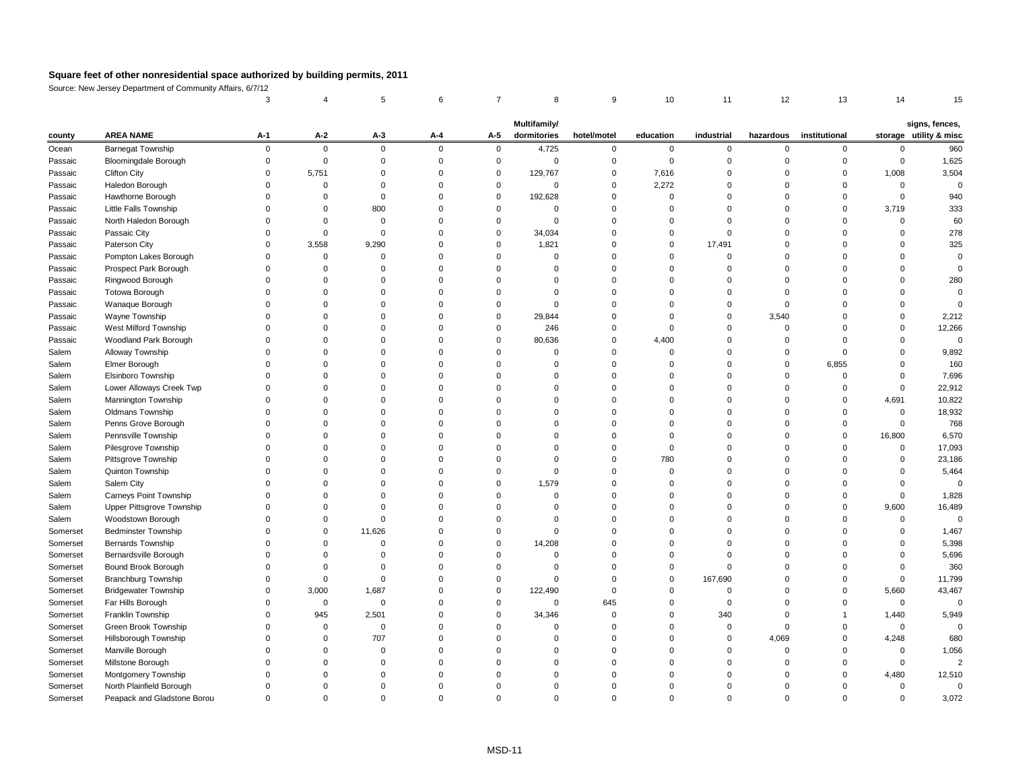Source: New Jersey Department of Community Affairs, 6/7/12

| county   | <b>AREA NAME</b>              | $A-1$    | $A-2$        | $A-3$    | $A-4$       | $A-5$        | <b>Multifamily/</b><br>dormitories | hotel/motel | education | industrial |          | hazardous institutional |          | signs, fences,<br>storage utility & misc |
|----------|-------------------------------|----------|--------------|----------|-------------|--------------|------------------------------------|-------------|-----------|------------|----------|-------------------------|----------|------------------------------------------|
| Ocean    | <b>Barnegat Township</b>      | $\Omega$ | $\mathbf 0$  | $\Omega$ | $\mathbf 0$ | $\mathbf 0$  | 4,725                              | $\mathbf 0$ | 0         | $\Omega$   | $\Omega$ | $\mathbf 0$             |          | 960                                      |
| Passaic  | <b>Bloomingdale Borough</b>   |          | $\Omega$     |          |             |              | 0                                  |             |           |            |          |                         | $\Omega$ | 1,625                                    |
| Passaic  | <b>Clifton City</b>           |          | 5,751        |          |             | $\Omega$     | 129,767                            | 0           | 7,616     |            |          |                         | 1,008    | 3,504                                    |
| Passaic  | Haledon Borough               |          |              |          |             |              | 0                                  |             | 2,272     |            |          |                         |          |                                          |
| Passaic  | Hawthorne Borough             |          |              |          |             |              | 192,628                            |             |           |            |          |                         |          | 940                                      |
| Passaic  | Little Falls Township         |          |              | 800      |             |              |                                    |             |           |            |          |                         | 3,719    | 333                                      |
| Passaic  | North Haledon Borough         |          |              |          |             |              | $\Omega$                           |             |           |            |          |                         |          | 60                                       |
| Passaic  | Passaic City                  |          |              |          |             |              | 34,034                             |             |           |            |          |                         |          | 278                                      |
| Passaic  | Paterson City                 |          | 3,558        | 9,290    |             |              | 1,821                              |             |           | 17,491     |          |                         |          | 325                                      |
| Passaic  | Pompton Lakes Borough         |          |              |          |             |              |                                    |             |           |            |          |                         |          |                                          |
| Passaic  | Prospect Park Borough         |          | <sup>0</sup> |          |             |              |                                    |             |           |            |          |                         |          |                                          |
| Passaic  | Ringwood Borough              |          |              |          |             |              |                                    |             |           |            |          |                         |          | 280                                      |
| Passaic  | Totowa Borough                |          |              |          |             |              |                                    |             |           |            |          |                         |          |                                          |
| Passaic  | Wanaque Borough               |          |              |          |             |              | $\Omega$                           |             |           |            |          |                         |          |                                          |
| Passaic  | Wayne Township                |          |              |          |             | $\Omega$     | 29,844                             |             |           |            | 3,540    |                         |          | 2,212                                    |
| Passaic  | West Milford Township         |          |              |          |             |              | 246                                |             |           |            |          |                         |          | 12,266                                   |
| Passaic  | Woodland Park Borough         |          |              |          |             |              | 80,636                             |             | 4,400     |            |          |                         |          |                                          |
| Salem    | Alloway Township              |          |              |          |             |              |                                    |             |           |            |          |                         |          | 9,892                                    |
| Salem    | Elmer Borough                 |          |              |          |             |              |                                    |             |           |            |          | 6,855                   |          | 160                                      |
| Salem    | Elsinboro Township            |          |              |          |             |              |                                    |             |           |            |          |                         |          | 7,696                                    |
| Salem    | Lower Alloways Creek Twp      |          |              |          |             |              |                                    |             |           |            |          |                         | $\Omega$ | 22,912                                   |
| Salem    | Mannington Township           |          |              |          |             |              |                                    |             |           |            |          |                         | 4,691    | 10,822                                   |
| Salem    | Oldmans Township              |          |              |          |             |              |                                    |             |           |            |          |                         | $\Omega$ | 18,932                                   |
| Salem    | Penns Grove Borough           |          |              |          |             |              |                                    |             |           |            |          |                         |          | 768                                      |
| Salem    | Pennsville Township           |          |              |          |             |              |                                    |             |           |            |          |                         | 16,800   | 6,570                                    |
| Salem    | Pilesgrove Township           |          |              |          |             |              |                                    |             |           |            |          |                         |          | 17,093                                   |
| Salem    | Pittsgrove Township           |          |              |          |             |              |                                    |             | 780       |            |          |                         |          | 23,186                                   |
| Salem    | Quinton Township              |          |              |          |             |              |                                    |             |           |            |          |                         |          | 5,464                                    |
| Salem    | Salem City                    |          |              |          |             |              | 1,579                              |             |           |            |          |                         |          |                                          |
| Salem    | <b>Carneys Point Township</b> |          |              |          |             |              |                                    |             |           |            |          |                         |          | 1,828                                    |
| Salem    | Upper Pittsgrove Township     |          |              |          |             |              |                                    |             |           |            |          |                         | 9,600    | 16,489                                   |
| Salem    | Woodstown Borough             |          |              |          |             |              |                                    |             |           |            |          |                         |          |                                          |
| Somerset | <b>Bedminster Township</b>    |          |              | 11,626   |             |              |                                    |             |           |            |          |                         |          | 1,467                                    |
| Somerset | <b>Bernards Township</b>      |          |              |          |             |              | 14,208                             |             |           |            |          |                         |          | 5,398                                    |
| Somerset | Bernardsville Borough         |          |              |          |             |              |                                    |             |           |            |          |                         |          | 5,696                                    |
| Somerset | Bound Brook Borough           |          |              |          |             |              |                                    |             |           |            |          |                         |          | 360                                      |
| Somerset | Branchburg Township           |          | ∩            |          |             |              |                                    |             |           | 167,690    |          |                         |          | 11,799                                   |
| Somerset | <b>Bridgewater Township</b>   |          | 3,000        | 1,687    |             | <sup>0</sup> | 122,490                            |             |           |            |          |                         | 5,660    | 43,467                                   |
| Somerset | Far Hills Borough             |          | $\Omega$     |          |             |              | $\Omega$                           | 645         |           |            |          |                         | $\Omega$ |                                          |
| Somerset | Franklin Township             |          | 945          | 2,501    |             |              | 34,346                             |             |           | 340        |          |                         | 1,440    | 5,949                                    |
| Somerset | Green Brook Township          |          | 0            |          |             |              |                                    |             |           |            |          |                         | $\Omega$ |                                          |
| Somerset | Hillsborough Township         |          |              | 707      |             |              |                                    |             |           |            | 4,069    |                         | 4,248    | 680                                      |
| Somerset | Manville Borough              |          |              |          |             |              |                                    |             |           |            |          |                         |          | 1,056                                    |
| Somerset | Millstone Borough             |          |              |          |             |              |                                    |             |           |            |          |                         |          |                                          |
| Somerset | Montgomery Township           |          |              |          |             |              |                                    |             |           |            |          |                         | 4,480    | 12,510                                   |
| Somerset | North Plainfield Borough      |          |              |          |             |              |                                    |             |           |            |          |                         | 0        |                                          |
| Somerset | Peapack and Gladstone Borou   | 0        | 0            |          | 0           |              | $\Omega$                           | 0           |           | 0          |          |                         | 0        | 3,072                                    |
|          |                               |          |              |          |             |              |                                    |             |           |            |          |                         |          |                                          |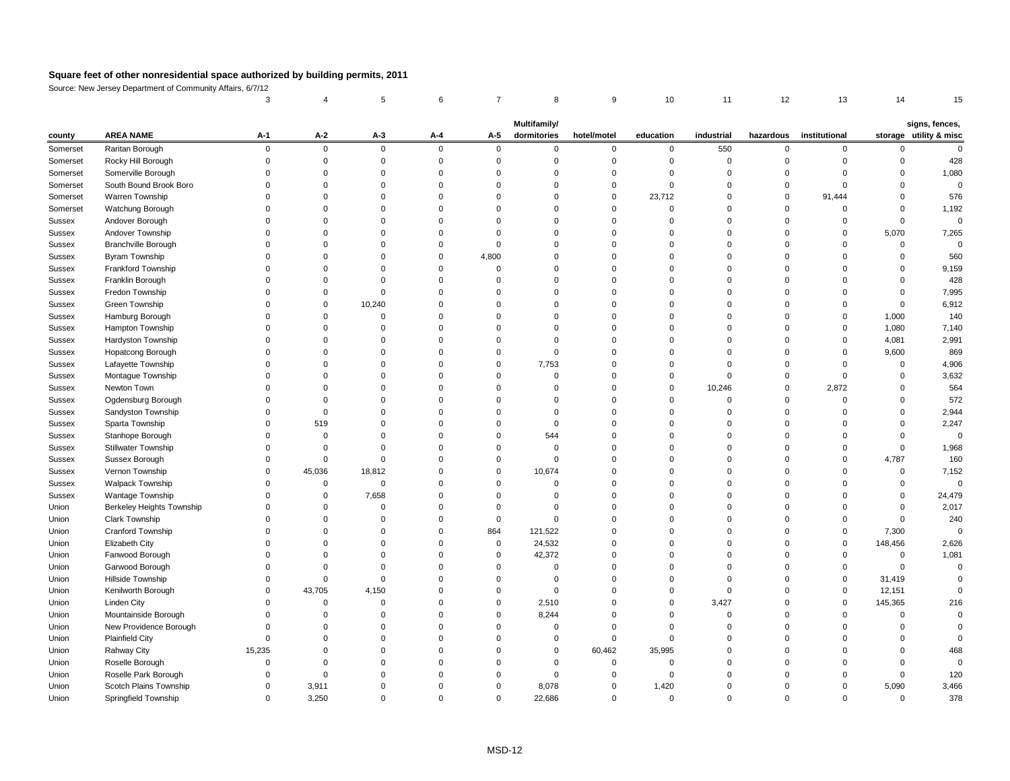Source: New Jersey Department of Community Affairs, 6/7/12

|                    |                            | <b>Multifamily/</b><br>signs, fences, |             |             |          |                |             |                  |                |                   |                       |                           |                        |        |
|--------------------|----------------------------|---------------------------------------|-------------|-------------|----------|----------------|-------------|------------------|----------------|-------------------|-----------------------|---------------------------|------------------------|--------|
| county<br>Somerset | <b>AREA NAME</b>           | $A-1$                                 | $A-2$       | $A-3$       | $A - 4$  | $A-5$          | dormitories | hotel/motel<br>0 | education<br>0 | industrial<br>550 | hazardous<br>$\Omega$ | institutional<br>$\Omega$ | storage utility & misc |        |
|                    | Raritan Borough            | 0                                     | $\mathbf 0$ | $\mathbf 0$ | $\Omega$ | $\mathbf 0$    | $\mathbf 0$ |                  |                |                   |                       |                           |                        |        |
| Somerset           | Rocky Hill Borough         |                                       |             |             |          |                | ∩           |                  |                |                   |                       |                           |                        | 428    |
| Somerset           | Somerville Borough         |                                       |             |             |          |                |             |                  |                |                   |                       | ∩                         |                        | 1,080  |
| Somerset           | South Bound Brook Boro     |                                       |             |             |          |                |             |                  |                |                   |                       |                           |                        |        |
| Somerset           | Warren Township            |                                       |             |             |          |                |             |                  | 23,712         |                   |                       | 91,444                    |                        | 576    |
| Somerset           | Watchung Borough           |                                       |             |             |          |                |             |                  |                |                   |                       |                           |                        | 1,192  |
| Sussex             | Andover Borough            |                                       |             |             |          |                |             |                  |                |                   |                       | $\Omega$                  |                        | 0      |
| Sussex             | Andover Township           |                                       |             |             |          |                |             |                  |                |                   |                       | $\Omega$                  | 5,070                  | 7,265  |
| Sussex             | <b>Branchville Borough</b> |                                       |             |             |          |                |             |                  |                |                   |                       | ∩                         |                        |        |
| Sussex             | <b>Byram Township</b>      |                                       |             |             |          | 4,800          |             |                  |                |                   |                       |                           |                        | 560    |
| <b>Sussex</b>      | Frankford Township         |                                       |             |             |          | $\Omega$       |             |                  |                |                   |                       |                           |                        | 9,159  |
| Sussex             | Franklin Borough           |                                       |             |             |          |                |             |                  |                |                   |                       |                           |                        | 428    |
| Sussex             | Fredon Township            |                                       |             |             |          |                |             |                  |                |                   |                       |                           |                        | 7,995  |
| Sussex             | Green Township             |                                       |             | 10,240      |          |                |             |                  |                |                   |                       |                           |                        | 6,912  |
| <b>Sussex</b>      | Hamburg Borough            |                                       |             |             |          |                |             |                  |                |                   |                       | 0                         | 1,000                  | 140    |
| Sussex             | Hampton Township           |                                       |             |             |          |                |             |                  |                |                   |                       | ∩                         | 1,080                  | 7,140  |
| <b>Sussex</b>      | Hardyston Township         |                                       |             |             |          |                |             |                  |                |                   |                       |                           | 4,081                  | 2,991  |
| Sussex             | Hopatcong Borough          |                                       |             |             |          |                |             |                  |                |                   |                       |                           | 9,600                  | 869    |
| <b>Sussex</b>      | Lafayette Township         |                                       |             |             |          |                | 7,753       |                  |                |                   |                       |                           |                        | 4,906  |
| Sussex             | Montague Township          |                                       |             |             |          |                |             |                  |                |                   |                       |                           |                        | 3,632  |
| Sussex             | Newton Town                |                                       |             |             |          |                |             |                  |                | 10,246            |                       | 2,872                     |                        | 564    |
| Sussex             | Ogdensburg Borough         |                                       |             |             |          |                |             |                  |                |                   |                       |                           |                        | 572    |
| <b>Sussex</b>      | Sandyston Township         |                                       |             |             |          |                |             |                  |                |                   |                       |                           |                        | 2,944  |
| Sussex             | Sparta Township            |                                       | 519         |             |          |                | 0           |                  |                |                   |                       | ∩                         |                        | 2,247  |
| Sussex             | Stanhope Borough           |                                       |             |             |          |                | 544         |                  |                |                   |                       |                           |                        |        |
| <b>Sussex</b>      | <b>Stillwater Township</b> |                                       |             |             |          |                |             |                  |                |                   |                       |                           |                        | 1,968  |
| <b>Sussex</b>      | Sussex Borough             |                                       |             |             |          |                | $\Omega$    |                  |                |                   |                       | $\Omega$                  | 4,787                  | 160    |
| <b>Sussex</b>      | Vernon Township            |                                       | 45,036      | 18,812      |          |                | 10,674      |                  |                |                   |                       |                           |                        | 7,152  |
| Sussex             | <b>Walpack Township</b>    |                                       | $\Omega$    | $\Omega$    |          |                | $\Omega$    |                  |                |                   |                       |                           |                        |        |
| Sussex             | Wantage Township           |                                       |             | 7,658       |          |                |             |                  |                |                   |                       | ∩                         |                        | 24,479 |
| Union              | Berkeley Heights Township  |                                       |             |             |          |                |             |                  |                |                   |                       |                           |                        | 2,017  |
| Union              | <b>Clark Township</b>      |                                       |             |             |          |                |             |                  |                |                   |                       |                           |                        | 240    |
| Union              | <b>Cranford Township</b>   |                                       |             |             |          | 864            | 121,522     |                  |                |                   |                       | $\Omega$                  | 7,300                  |        |
| Union              | Elizabeth City             |                                       |             |             |          | $\mathbf 0$    | 24,532      |                  |                |                   |                       | $\Omega$                  | 148,456                | 2,626  |
| Union              | Fanwood Borough            |                                       |             |             |          | $\Omega$       | 42,372      |                  |                |                   |                       |                           |                        | 1,081  |
| Union              | Garwood Borough            |                                       |             |             |          |                |             |                  |                |                   |                       |                           |                        |        |
| Union              | Hillside Township          |                                       |             |             |          |                |             |                  |                |                   |                       | $\Omega$                  | 31,419                 |        |
| Union              | Kenilworth Borough         |                                       | 43,705      | 4,150       |          |                |             |                  |                |                   |                       | $\Omega$                  | 12,151                 |        |
| Union              | Linden City                |                                       |             |             |          | $\Omega$       | 2,510       |                  |                | 3,427             |                       | $\Omega$                  | 145,365                | 216    |
| Union              | Mountainside Borough       |                                       |             |             |          |                | 8,244       |                  |                |                   |                       |                           |                        |        |
| Union              | New Providence Borough     |                                       |             |             |          |                |             |                  |                |                   |                       |                           |                        |        |
| Union              | <b>Plainfield City</b>     |                                       |             |             |          |                |             |                  |                |                   |                       |                           |                        |        |
| Union              | <b>Rahway City</b>         | 15,235                                |             |             |          |                |             | 60,462           | 35,995         |                   |                       |                           |                        | 468    |
| Union              | Roselle Borough            |                                       |             |             |          |                |             |                  |                |                   |                       |                           |                        |        |
| Union              | Roselle Park Borough       |                                       |             |             |          |                |             |                  |                |                   |                       |                           |                        | 120    |
| Union              | Scotch Plains Township     |                                       | 3,911       |             |          | 0              | 8,078       |                  | 1,420          |                   |                       | $\Omega$                  | 5,090                  | 3,466  |
| Union              | Springfield Township       | 0                                     | 3,250       | 0           |          | $\overline{0}$ | 22,686      | $\overline{0}$   | $\mathbf 0$    | 0                 |                       | $\Omega$                  | $\mathbf 0$            | 378    |